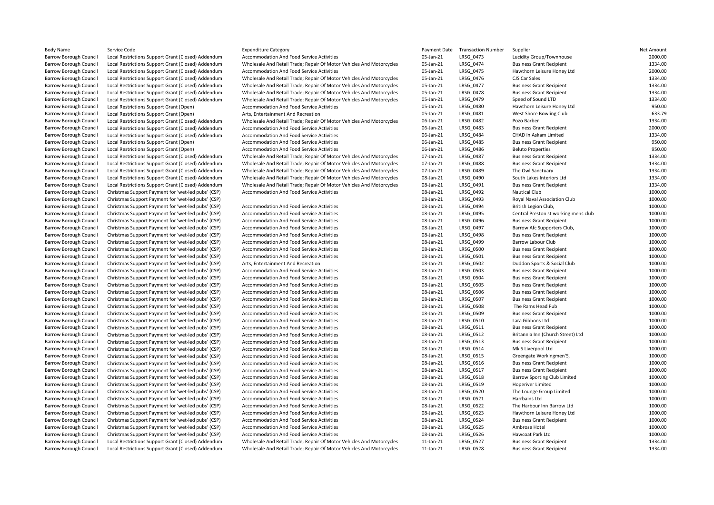| <b>Body Name</b>              | Service Code                                                                                             | <b>Expenditure Category</b>                                          | Payment Date    | <b>Transaction Number</b> | Supplier                             | Net Amount         |
|-------------------------------|----------------------------------------------------------------------------------------------------------|----------------------------------------------------------------------|-----------------|---------------------------|--------------------------------------|--------------------|
| Barrow Borough Council        | Local Restrictions Support Grant (Closed) Addendum                                                       | Accommodation And Food Service Activities                            | 05-Jan-21       | LRSG_0473                 | Lucidity Group/Townhouse             | 2000.00            |
| Barrow Borough Council        | Local Restrictions Support Grant (Closed) Addendum                                                       | Wholesale And Retail Trade; Repair Of Motor Vehicles And Motorcycles | 05-Jan-21       | LRSG 0474                 | <b>Business Grant Recipient</b>      | 1334.00            |
| Barrow Borough Council        | Local Restrictions Support Grant (Closed) Addendum                                                       | Accommodation And Food Service Activities                            | 05-Jan-21       | LRSG 0475                 | Hawthorn Leisure Honey Ltd           | 2000.00            |
| Barrow Borough Council        | Local Restrictions Support Grant (Closed) Addendum                                                       | Wholesale And Retail Trade; Repair Of Motor Vehicles And Motorcycles | 05-Jan-21       | LRSG 0476                 | CJS Car Sales                        | 1334.00            |
| Barrow Borough Council        | Local Restrictions Support Grant (Closed) Addendum                                                       | Wholesale And Retail Trade; Repair Of Motor Vehicles And Motorcycles | 05-Jan-21       | LRSG 0477                 | <b>Business Grant Recipient</b>      | 1334.00            |
| Barrow Borough Council        | Local Restrictions Support Grant (Closed) Addendum                                                       | Wholesale And Retail Trade; Repair Of Motor Vehicles And Motorcycles | 05-Jan-21       | LRSG_0478                 | <b>Business Grant Recipient</b>      | 1334.00            |
| <b>Barrow Borough Council</b> | Local Restrictions Support Grant (Closed) Addendum                                                       | Wholesale And Retail Trade; Repair Of Motor Vehicles And Motorcycles | 05-Jan-21       | LRSG 0479                 | Speed of Sound LTD                   | 1334.00            |
| <b>Barrow Borough Council</b> | Local Restrictions Support Grant (Open)                                                                  | Accommodation And Food Service Activities                            | 05-Jan-21       | LRSG 0480                 | Hawthorn Leisure Honey Ltd           | 950.00             |
| <b>Barrow Borough Council</b> | Local Restrictions Support Grant (Open)                                                                  | Arts, Entertainment And Recreation                                   | 05-Jan-21       | LRSG 0481                 | West Shore Bowling Club              | 633.79             |
| <b>Barrow Borough Council</b> | Local Restrictions Support Grant (Closed) Addendum                                                       | Wholesale And Retail Trade; Repair Of Motor Vehicles And Motorcycles | 06-Jan-21       | LRSG 0482                 | Pozo Barber                          | 1334.00            |
| <b>Barrow Borough Council</b> | Local Restrictions Support Grant (Closed) Addendum                                                       | Accommodation And Food Service Activities                            | 06-Jan-21       | LRSG 0483                 | <b>Business Grant Recipient</b>      | 2000.00            |
| <b>Barrow Borough Council</b> | Local Restrictions Support Grant (Closed) Addendum                                                       | Accommodation And Food Service Activities                            | 06-Jan-21       | LRSG 0484                 | CHAD in Askam Limited                | 1334.00            |
| <b>Barrow Borough Council</b> | Local Restrictions Support Grant (Open)                                                                  | Accommodation And Food Service Activities                            | 06-Jan-21       | LRSG 0485                 | <b>Business Grant Recipient</b>      | 950.00             |
| <b>Barrow Borough Council</b> | Local Restrictions Support Grant (Open)                                                                  | <b>Accommodation And Food Service Activities</b>                     | 06-Jan-21       | <b>LRSG 0486</b>          | <b>Beluto Properties</b>             | 950.00             |
| <b>Barrow Borough Council</b> | Local Restrictions Support Grant (Closed) Addendum                                                       | Wholesale And Retail Trade; Repair Of Motor Vehicles And Motorcycles | 07-Jan-21       | LRSG 0487                 | <b>Business Grant Recipient</b>      | 1334.00            |
| Barrow Borough Council        | Local Restrictions Support Grant (Closed) Addendum                                                       | Wholesale And Retail Trade; Repair Of Motor Vehicles And Motorcycles | 07-Jan-21       | LRSG 0488                 | <b>Business Grant Recipient</b>      | 1334.00            |
| <b>Barrow Borough Council</b> | Local Restrictions Support Grant (Closed) Addendum                                                       | Wholesale And Retail Trade; Repair Of Motor Vehicles And Motorcycles | 07-Jan-21       | LRSG 0489                 | The Owl Sanctuary                    | 1334.00            |
| <b>Barrow Borough Council</b> | Local Restrictions Support Grant (Closed) Addendum                                                       | Wholesale And Retail Trade; Repair Of Motor Vehicles And Motorcycles | 08-Jan-21       | LRSG 0490                 | South Lakes Interiors Ltd            | 1334.00            |
| Barrow Borough Council        | Local Restrictions Support Grant (Closed) Addendum                                                       | Wholesale And Retail Trade; Repair Of Motor Vehicles And Motorcycles | 08-Jan-21       | LRSG 0491                 | <b>Business Grant Recipient</b>      | 1334.00            |
| Barrow Borough Council        | Christmas Support Payment for 'wet-led pubs' (CSP)                                                       | Accommodation And Food Service Activities                            | 08-Jan-21       | LRSG_0492                 | Nautical Club                        | 1000.00            |
| Barrow Borough Council        | Christmas Support Payment for 'wet-led pubs' (CSP)                                                       |                                                                      | 08-Jan-21       | LRSG 0493                 | Royal Naval Association Club         | 1000.00            |
| <b>Barrow Borough Council</b> | Christmas Support Payment for 'wet-led pubs' (CSP)                                                       | Accommodation And Food Service Activities                            | 08-Jan-21       | LRSG 0494                 | British Legion Club,                 | 1000.00            |
| <b>Barrow Borough Council</b> |                                                                                                          | Accommodation And Food Service Activities                            | 08-Jan-21       | LRSG_0495                 | Central Preston st working mens club | 1000.00            |
| Barrow Borough Council        | Christmas Support Payment for 'wet-led pubs' (CSP)<br>Christmas Support Payment for 'wet-led pubs' (CSP) | Accommodation And Food Service Activities                            | 08-Jan-21       | LRSG 0496                 | <b>Business Grant Recipient</b>      | 1000.00            |
| <b>Barrow Borough Council</b> | Christmas Support Payment for 'wet-led pubs' (CSP)                                                       |                                                                      | 08-Jan-21       | LRSG 0497                 | Barrow Afc Supporters Club,          | 1000.00            |
|                               |                                                                                                          | <b>Accommodation And Food Service Activities</b>                     |                 |                           |                                      |                    |
| <b>Barrow Borough Council</b> | Christmas Support Payment for 'wet-led pubs' (CSP)                                                       | Accommodation And Food Service Activities                            | 08-Jan-21       | <b>LRSG 0498</b>          | <b>Business Grant Recipient</b>      | 1000.00            |
| <b>Barrow Borough Council</b> | Christmas Support Payment for 'wet-led pubs' (CSP)                                                       | Accommodation And Food Service Activities                            | 08-Jan-21       | LRSG 0499                 | Barrow Labour Club                   | 1000.00<br>1000.00 |
| <b>Barrow Borough Council</b> | Christmas Support Payment for 'wet-led pubs' (CSP)                                                       | <b>Accommodation And Food Service Activities</b>                     | 08-Jan-21       | LRSG 0500                 | <b>Business Grant Recipient</b>      |                    |
| <b>Barrow Borough Council</b> | Christmas Support Payment for 'wet-led pubs' (CSP)                                                       | Accommodation And Food Service Activities                            | 08-Jan-21       | LRSG 0501                 | <b>Business Grant Recipient</b>      | 1000.00            |
| <b>Barrow Borough Council</b> | Christmas Support Payment for 'wet-led pubs' (CSP)                                                       | Arts, Entertainment And Recreation                                   | 08-Jan-21       | LRSG 0502                 | Duddon Sports & Social Club          | 1000.00            |
| <b>Barrow Borough Council</b> | Christmas Support Payment for 'wet-led pubs' (CSP)                                                       | <b>Accommodation And Food Service Activities</b>                     | 08-Jan-21       | LRSG 0503                 | <b>Business Grant Recipient</b>      | 1000.00            |
| Barrow Borough Council        | Christmas Support Payment for 'wet-led pubs' (CSP)                                                       | Accommodation And Food Service Activities                            | 08-Jan-21       | LRSG_0504                 | <b>Business Grant Recipient</b>      | 1000.00            |
| <b>Barrow Borough Council</b> | Christmas Support Payment for 'wet-led pubs' (CSP)                                                       | Accommodation And Food Service Activities                            | 08-Jan-21       | <b>LRSG 0505</b>          | <b>Business Grant Recipient</b>      | 1000.00            |
| <b>Barrow Borough Council</b> | Christmas Support Payment for 'wet-led pubs' (CSP)                                                       | <b>Accommodation And Food Service Activities</b>                     | 08-Jan-21       | <b>LRSG 0506</b>          | <b>Business Grant Recipient</b>      | 1000.00            |
| <b>Barrow Borough Council</b> | Christmas Support Payment for 'wet-led pubs' (CSP)                                                       | Accommodation And Food Service Activities                            | 08-Jan-21       | LRSG_0507                 | <b>Business Grant Recipient</b>      | 1000.00            |
| <b>Barrow Borough Council</b> | Christmas Support Payment for 'wet-led pubs' (CSP)                                                       | Accommodation And Food Service Activities                            | 08-Jan-21       | LRSG 0508                 | The Rams Head Pub                    | 1000.00            |
| <b>Barrow Borough Council</b> | Christmas Support Payment for 'wet-led pubs' (CSP)                                                       | <b>Accommodation And Food Service Activities</b>                     | 08-Jan-21       | <b>LRSG 0509</b>          | <b>Business Grant Recipient</b>      | 1000.00            |
| <b>Barrow Borough Council</b> | Christmas Support Payment for 'wet-led pubs' (CSP)                                                       | Accommodation And Food Service Activities                            | 08-Jan-21       | LRSG_0510                 | Lara Gibbons Ltd                     | 1000.00            |
| Barrow Borough Council        | Christmas Support Payment for 'wet-led pubs' (CSP)                                                       | Accommodation And Food Service Activities                            | 08-Jan-21       | LRSG 0511                 | <b>Business Grant Recipient</b>      | 1000.00            |
| Barrow Borough Council        | Christmas Support Payment for 'wet-led pubs' (CSP)                                                       | Accommodation And Food Service Activities                            | 08-Jan-21       | LRSG_0512                 | Britannia Inn (Church Street) Ltd    | 1000.00            |
| <b>Barrow Borough Council</b> | Christmas Support Payment for 'wet-led pubs' (CSP)                                                       | Accommodation And Food Service Activities                            | 08-Jan-21       | LRSG 0513                 | <b>Business Grant Recipient</b>      | 1000.00            |
| Barrow Borough Council        | Christmas Support Payment for 'wet-led pubs' (CSP)                                                       | Accommodation And Food Service Activities                            | 08-Jan-21       | LRSG 0514                 | Mk'S Liverpool Ltd                   | 1000.00            |
| <b>Barrow Borough Council</b> | Christmas Support Payment for 'wet-led pubs' (CSP)                                                       | Accommodation And Food Service Activities                            | 08-Jan-21       | LRSG 0515                 | Greengate Workingmen'S,              | 1000.00            |
| <b>Barrow Borough Council</b> | Christmas Support Payment for 'wet-led pubs' (CSP)                                                       | Accommodation And Food Service Activities                            | 08-Jan-21       | LRSG 0516                 | <b>Business Grant Recipient</b>      | 1000.00            |
| <b>Barrow Borough Council</b> | Christmas Support Payment for 'wet-led pubs' (CSP)                                                       | <b>Accommodation And Food Service Activities</b>                     | 08-Jan-21       | LRSG 0517                 | <b>Business Grant Recipient</b>      | 1000.00            |
| Barrow Borough Council        | Christmas Support Payment for 'wet-led pubs' (CSP)                                                       | Accommodation And Food Service Activities                            | 08-Jan-21       | LRSG_0518                 | Barrow Sporting Club Limited         | 1000.00            |
| <b>Barrow Borough Council</b> | Christmas Support Payment for 'wet-led pubs' (CSP)                                                       | Accommodation And Food Service Activities                            | 08-Jan-21       | LRSG_0519                 | Hoperiver Limited                    | 1000.00            |
| <b>Barrow Borough Council</b> | Christmas Support Payment for 'wet-led pubs' (CSP)                                                       | <b>Accommodation And Food Service Activities</b>                     | 08-Jan-21       | <b>LRSG 0520</b>          | The Lounge Group Limited             | 1000.00            |
| <b>Barrow Borough Council</b> | Christmas Support Payment for 'wet-led pubs' (CSP)                                                       | Accommodation And Food Service Activities                            | 08-Jan-21       | LRSG 0521                 | Harrbains Ltd                        | 1000.00            |
| Barrow Borough Council        | Christmas Support Payment for 'wet-led pubs' (CSP)                                                       | Accommodation And Food Service Activities                            | 08-Jan-21       | LRSG 0522                 | The Harbour Inn Barrow Ltd           | 1000.00            |
| Barrow Borough Council        | Christmas Support Payment for 'wet-led pubs' (CSP)                                                       | Accommodation And Food Service Activities                            | 08-Jan-21       | LRSG 0523                 | Hawthorn Leisure Honey Ltd           | 1000.00            |
| Barrow Borough Council        | Christmas Support Payment for 'wet-led pubs' (CSP)                                                       | Accommodation And Food Service Activities                            | 08-Jan-21       | LRSG 0524                 | <b>Business Grant Recipient</b>      | 1000.00            |
| <b>Barrow Borough Council</b> | Christmas Support Payment for 'wet-led pubs' (CSP)                                                       | <b>Accommodation And Food Service Activities</b>                     | 08-Jan-21       | LRSG 0525                 | Ambrose Hotel                        | 1000.00            |
| Barrow Borough Council        | Christmas Support Payment for 'wet-led pubs' (CSP)                                                       | Accommodation And Food Service Activities                            | 08-Jan-21       | LRSG 0526                 | Hawcoat Park Ltd                     | 1000.00            |
| Barrow Borough Council        | Local Restrictions Support Grant (Closed) Addendum                                                       | Wholesale And Retail Trade; Repair Of Motor Vehicles And Motorcycles | $11$ -Jan- $21$ | LRSG 0527                 | <b>Business Grant Recipient</b>      | 1334.00            |
| <b>Barrow Borough Council</b> | Local Restrictions Support Grant (Closed) Addendum                                                       | Wholesale And Retail Trade; Repair Of Motor Vehicles And Motorcycles | $11$ -Jan- $21$ | <b>LRSG 0528</b>          | <b>Business Grant Recipient</b>      | 1334.00            |
|                               |                                                                                                          |                                                                      |                 |                           |                                      |                    |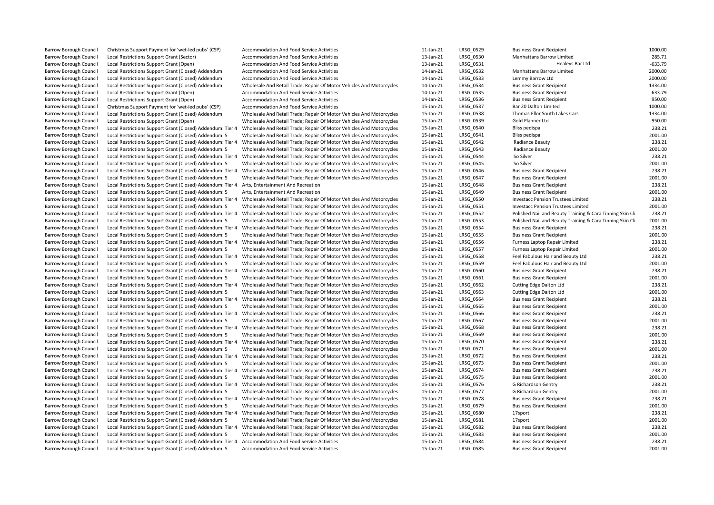| Barrow Borough Council        | Christmas Support Payment for 'wet-led pubs' (CSP)         | Accommodation And Food Service Activities                                                                                                    | $11$ -Jan- $21$ | LRSG 0529              | <b>Business Grant Recipient</b>                           | 1000.00           |
|-------------------------------|------------------------------------------------------------|----------------------------------------------------------------------------------------------------------------------------------------------|-----------------|------------------------|-----------------------------------------------------------|-------------------|
| Barrow Borough Council        | Local Restrictions Support Grant (Sector)                  | Accommodation And Food Service Activities                                                                                                    | 13-Jan-21       | LRSG 0530              | Manhattans Barrow Limited                                 | 285.71            |
| <b>Barrow Borough Council</b> | Local Restrictions Support Grant (Open)                    | Accommodation And Food Service Activities                                                                                                    | 13-Jan-21       | LRSG 0531              | Healeys Bar Ltd                                           | $-633.79$         |
| <b>Barrow Borough Council</b> | Local Restrictions Support Grant (Closed) Addendum         | Accommodation And Food Service Activities                                                                                                    | 14-Jan-21       | LRSG_0532              | Manhattans Barrow Limited                                 | 2000.00           |
| Barrow Borough Council        | Local Restrictions Support Grant (Closed) Addendum         | Accommodation And Food Service Activities                                                                                                    | 14-Jan-21       | LRSG 0533              | Lemmy Barrow Ltd                                          | 2000.00           |
| <b>Barrow Borough Council</b> | Local Restrictions Support Grant (Closed) Addendum         | Wholesale And Retail Trade; Repair Of Motor Vehicles And Motorcycles                                                                         | 14-Jan-21       | LRSG 0534              | <b>Business Grant Recipient</b>                           | 1334.00           |
| <b>Barrow Borough Council</b> | Local Restrictions Support Grant (Open)                    | Accommodation And Food Service Activities                                                                                                    | 14-Jan-21       | LRSG 0535              | <b>Business Grant Recipient</b>                           | 633.79            |
| <b>Barrow Borough Council</b> | Local Restrictions Support Grant (Open)                    | Accommodation And Food Service Activities                                                                                                    | 14-Jan-21       | LRSG 0536              | <b>Business Grant Recipient</b>                           | 950.00            |
| <b>Barrow Borough Council</b> | Christmas Support Payment for 'wet-led pubs' (CSP)         | Accommodation And Food Service Activities                                                                                                    | 15-Jan-21       | LRSG 0537              | Bar 20 Dalton Limited                                     | 1000.00           |
| <b>Barrow Borough Council</b> | Local Restrictions Support Grant (Closed) Addendum         | Wholesale And Retail Trade; Repair Of Motor Vehicles And Motorcycles                                                                         | 15-Jan-21       | LRSG 0538              | Thomas Ellor South Lakes Cars                             | 1334.00           |
| <b>Barrow Borough Council</b> | Local Restrictions Support Grant (Open)                    | Wholesale And Retail Trade; Repair Of Motor Vehicles And Motorcycles                                                                         | 15-Jan-21       | LRSG_0539              | Gold Planner Ltd                                          | 950.00            |
| <b>Barrow Borough Council</b> | Local Restrictions Support Grant (Closed) Addendum: Tier 4 | Wholesale And Retail Trade; Repair Of Motor Vehicles And Motorcycles                                                                         | 15-Jan-21       | LRSG 0540              | Bliss pedispa                                             | 238.21            |
| <b>Barrow Borough Council</b> | Local Restrictions Support Grant (Closed) Addendum: 5      | Wholesale And Retail Trade; Repair Of Motor Vehicles And Motorcycles                                                                         | 15-Jan-21       | LRSG 0541              | Bliss pedispa                                             | 2001.00           |
| <b>Barrow Borough Council</b> | Local Restrictions Support Grant (Closed) Addendum: Tier 4 | Wholesale And Retail Trade; Repair Of Motor Vehicles And Motorcycles                                                                         | 15-Jan-21       | LRSG 0542              | Radiance Beauty                                           | 238.21            |
| <b>Barrow Borough Council</b> | Local Restrictions Support Grant (Closed) Addendum: 5      | Wholesale And Retail Trade; Repair Of Motor Vehicles And Motorcycles                                                                         | 15-Jan-21       | LRSG 0543              | Radiance Beauty                                           | 2001.00           |
| <b>Barrow Borough Council</b> | Local Restrictions Support Grant (Closed) Addendum: Tier 4 | Wholesale And Retail Trade; Repair Of Motor Vehicles And Motorcycles                                                                         | 15-Jan-21       | LRSG 0544              | So Silver                                                 | 238.21            |
| <b>Barrow Borough Council</b> | Local Restrictions Support Grant (Closed) Addendum: 5      | Wholesale And Retail Trade; Repair Of Motor Vehicles And Motorcycles                                                                         | 15-Jan-21       | LRSG 0545              | So Silver                                                 | 2001.00           |
| <b>Barrow Borough Council</b> | Local Restrictions Support Grant (Closed) Addendum: Tier 4 | Wholesale And Retail Trade; Repair Of Motor Vehicles And Motorcycles                                                                         | 15-Jan-21       | LRSG 0546              | <b>Business Grant Recipient</b>                           | 238.21            |
| <b>Barrow Borough Council</b> | Local Restrictions Support Grant (Closed) Addendum: 5      | Wholesale And Retail Trade; Repair Of Motor Vehicles And Motorcycles                                                                         | 15-Jan-21       | LRSG 0547              | <b>Business Grant Recipient</b>                           | 2001.00           |
| <b>Barrow Borough Council</b> | Local Restrictions Support Grant (Closed) Addendum: Tier 4 | Arts, Entertainment And Recreation                                                                                                           | 15-Jan-21       | LRSG 0548              | <b>Business Grant Recipient</b>                           | 238.21            |
| <b>Barrow Borough Council</b> | Local Restrictions Support Grant (Closed) Addendum: 5      | Arts, Entertainment And Recreation                                                                                                           | 15-Jan-21       | LRSG_0549              | <b>Business Grant Recipient</b>                           | 2001.00           |
| <b>Barrow Borough Council</b> | Local Restrictions Support Grant (Closed) Addendum: Tier 4 | Wholesale And Retail Trade; Repair Of Motor Vehicles And Motorcycles                                                                         | 15-Jan-21       | LRSG 0550              | <b>Investacc Pension Trustees Limited</b>                 | 238.21            |
| <b>Barrow Borough Council</b> | Local Restrictions Support Grant (Closed) Addendum: 5      | Wholesale And Retail Trade; Repair Of Motor Vehicles And Motorcycles                                                                         | 15-Jan-21       | LRSG 0551              | Investacc Pension Trustees Limited                        | 2001.00           |
| <b>Barrow Borough Council</b> | Local Restrictions Support Grant (Closed) Addendum: Tier 4 | Wholesale And Retail Trade; Repair Of Motor Vehicles And Motorcycles                                                                         | 15-Jan-21       | LRSG_0552              | Polished Nail and Beauty Training & Cara Tinning Skin Cli | 238.21            |
| <b>Barrow Borough Council</b> | Local Restrictions Support Grant (Closed) Addendum: 5      | Wholesale And Retail Trade; Repair Of Motor Vehicles And Motorcycles                                                                         | 15-Jan-21       | LRSG 0553              | Polished Nail and Beauty Training & Cara Tinning Skin Cli | 2001.00           |
| <b>Barrow Borough Council</b> | Local Restrictions Support Grant (Closed) Addendum: Tier 4 | Wholesale And Retail Trade; Repair Of Motor Vehicles And Motorcycles                                                                         | 15-Jan-21       | LRSG_0554              | <b>Business Grant Recipient</b>                           | 238.21            |
| <b>Barrow Borough Council</b> | Local Restrictions Support Grant (Closed) Addendum: 5      | Wholesale And Retail Trade; Repair Of Motor Vehicles And Motorcycles                                                                         | 15-Jan-21       | LRSG_0555              | <b>Business Grant Recipient</b>                           | 2001.00           |
| <b>Barrow Borough Council</b> | Local Restrictions Support Grant (Closed) Addendum: Tier 4 | Wholesale And Retail Trade; Repair Of Motor Vehicles And Motorcycles                                                                         | 15-Jan-21       | LRSG 0556              | Furness Laptop Repair Limited                             | 238.21            |
| <b>Barrow Borough Council</b> | Local Restrictions Support Grant (Closed) Addendum: 5      | Wholesale And Retail Trade; Repair Of Motor Vehicles And Motorcycles                                                                         | 15-Jan-21       | LRSG 0557              | Furness Laptop Repair Limited                             | 2001.00           |
| <b>Barrow Borough Council</b> | Local Restrictions Support Grant (Closed) Addendum: Tier 4 | Wholesale And Retail Trade; Repair Of Motor Vehicles And Motorcycles                                                                         | 15-Jan-21       | LRSG 0558              | Feel Fabulous Hair and Beauty Ltd                         | 238.21            |
| <b>Barrow Borough Council</b> | Local Restrictions Support Grant (Closed) Addendum: 5      | Wholesale And Retail Trade; Repair Of Motor Vehicles And Motorcycles                                                                         | 15-Jan-21       | LRSG_0559              | Feel Fabulous Hair and Beauty Ltd                         | 2001.00           |
| <b>Barrow Borough Council</b> | Local Restrictions Support Grant (Closed) Addendum: Tier 4 | Wholesale And Retail Trade; Repair Of Motor Vehicles And Motorcycles                                                                         | 15-Jan-21       | LRSG 0560              | <b>Business Grant Recipient</b>                           | 238.21            |
| <b>Barrow Borough Council</b> | Local Restrictions Support Grant (Closed) Addendum: 5      | Wholesale And Retail Trade; Repair Of Motor Vehicles And Motorcycles                                                                         | 15-Jan-21       | LRSG_0561              | <b>Business Grant Recipient</b>                           | 2001.00           |
| <b>Barrow Borough Council</b> | Local Restrictions Support Grant (Closed) Addendum: Tier 4 | Wholesale And Retail Trade; Repair Of Motor Vehicles And Motorcycles                                                                         | 15-Jan-21       | LRSG 0562              | <b>Cutting Edge Dalton Ltd</b>                            | 238.21            |
| <b>Barrow Borough Council</b> | Local Restrictions Support Grant (Closed) Addendum: 5      | Wholesale And Retail Trade; Repair Of Motor Vehicles And Motorcycles                                                                         | 15-Jan-21       | LRSG 0563              | <b>Cutting Edge Dalton Ltd</b>                            | 2001.00           |
| <b>Barrow Borough Council</b> | Local Restrictions Support Grant (Closed) Addendum: Tier 4 | Wholesale And Retail Trade; Repair Of Motor Vehicles And Motorcycles                                                                         | 15-Jan-21       | LRSG_0564              | <b>Business Grant Recipient</b>                           | 238.21            |
| <b>Barrow Borough Council</b> | Local Restrictions Support Grant (Closed) Addendum: 5      | Wholesale And Retail Trade; Repair Of Motor Vehicles And Motorcycles                                                                         | 15-Jan-21       | LRSG 0565              | <b>Business Grant Recipient</b>                           | 2001.00           |
| <b>Barrow Borough Council</b> | Local Restrictions Support Grant (Closed) Addendum: Tier 4 | Wholesale And Retail Trade; Repair Of Motor Vehicles And Motorcycles                                                                         | 15-Jan-21       | LRSG_0566              | <b>Business Grant Recipient</b>                           | 238.21            |
| <b>Barrow Borough Council</b> | Local Restrictions Support Grant (Closed) Addendum: 5      | Wholesale And Retail Trade; Repair Of Motor Vehicles And Motorcycles                                                                         | 15-Jan-21       | LRSG 0567              | <b>Business Grant Recipient</b>                           | 2001.00           |
| <b>Barrow Borough Council</b> | Local Restrictions Support Grant (Closed) Addendum: Tier 4 | Wholesale And Retail Trade; Repair Of Motor Vehicles And Motorcycles                                                                         | 15-Jan-21       | LRSG 0568              | <b>Business Grant Recipient</b>                           | 238.21            |
| <b>Barrow Borough Council</b> |                                                            |                                                                                                                                              | 15-Jan-21       | LRSG 0569              | <b>Business Grant Recipient</b>                           | 2001.00           |
| <b>Barrow Borough Council</b> | Local Restrictions Support Grant (Closed) Addendum: 5      | Wholesale And Retail Trade; Repair Of Motor Vehicles And Motorcycles<br>Wholesale And Retail Trade; Repair Of Motor Vehicles And Motorcycles | 15-Jan-21       |                        | <b>Business Grant Recipient</b>                           | 238.21            |
| <b>Barrow Borough Council</b> | Local Restrictions Support Grant (Closed) Addendum: Tier 4 | Wholesale And Retail Trade; Repair Of Motor Vehicles And Motorcycles                                                                         | 15-Jan-21       | LRSG_0570<br>LRSG 0571 | <b>Business Grant Recipient</b>                           | 2001.00           |
|                               | Local Restrictions Support Grant (Closed) Addendum: 5      |                                                                                                                                              |                 |                        |                                                           | 238.21            |
| <b>Barrow Borough Council</b> | Local Restrictions Support Grant (Closed) Addendum: Tier 4 | Wholesale And Retail Trade; Repair Of Motor Vehicles And Motorcycles                                                                         | 15-Jan-21       | LRSG 0572              | <b>Business Grant Recipient</b>                           |                   |
| <b>Barrow Borough Council</b> | Local Restrictions Support Grant (Closed) Addendum: 5      | Wholesale And Retail Trade; Repair Of Motor Vehicles And Motorcycles                                                                         | 15-Jan-21       | LRSG 0573              | <b>Business Grant Recipient</b>                           | 2001.00<br>238.21 |
| <b>Barrow Borough Council</b> | Local Restrictions Support Grant (Closed) Addendum: Tier 4 | Wholesale And Retail Trade; Repair Of Motor Vehicles And Motorcycles                                                                         | 15-Jan-21       | LRSG 0574              | <b>Business Grant Recipient</b>                           |                   |
| <b>Barrow Borough Council</b> | Local Restrictions Support Grant (Closed) Addendum: 5      | Wholesale And Retail Trade; Repair Of Motor Vehicles And Motorcycles                                                                         | 15-Jan-21       | LRSG 0575              | <b>Business Grant Recipient</b>                           | 2001.00           |
| <b>Barrow Borough Council</b> | Local Restrictions Support Grant (Closed) Addendum: Tier 4 | Wholesale And Retail Trade; Repair Of Motor Vehicles And Motorcycles                                                                         | 15-Jan-21       | LRSG_0576              | G Richardson Gentry                                       | 238.21            |
| <b>Barrow Borough Council</b> | Local Restrictions Support Grant (Closed) Addendum: 5      | Wholesale And Retail Trade; Repair Of Motor Vehicles And Motorcycles                                                                         | 15-Jan-21       | LRSG 0577              | G Richardson Gentry                                       | 2001.00<br>238.21 |
| <b>Barrow Borough Council</b> | Local Restrictions Support Grant (Closed) Addendum: Tier 4 | Wholesale And Retail Trade; Repair Of Motor Vehicles And Motorcycles                                                                         | 15-Jan-21       | LRSG 0578              | <b>Business Grant Recipient</b>                           |                   |
| <b>Barrow Borough Council</b> | Local Restrictions Support Grant (Closed) Addendum: 5      | Wholesale And Retail Trade; Repair Of Motor Vehicles And Motorcycles                                                                         | 15-Jan-21       | LRSG 0579              | <b>Business Grant Recipient</b>                           | 2001.00           |
| <b>Barrow Borough Council</b> | Local Restrictions Support Grant (Closed) Addendum: Tier 4 | Wholesale And Retail Trade; Repair Of Motor Vehicles And Motorcycles                                                                         | 15-Jan-21       | LRSG 0580              | 17sport                                                   | 238.21            |
| <b>Barrow Borough Council</b> | Local Restrictions Support Grant (Closed) Addendum: 5      | Wholesale And Retail Trade; Repair Of Motor Vehicles And Motorcycles                                                                         | 15-Jan-21       | LRSG_0581              | 17sport                                                   | 2001.00           |
| <b>Barrow Borough Council</b> | Local Restrictions Support Grant (Closed) Addendum: Tier 4 | Wholesale And Retail Trade; Repair Of Motor Vehicles And Motorcycles                                                                         | 15-Jan-21       | LRSG 0582              | <b>Business Grant Recipient</b>                           | 238.21            |
| <b>Barrow Borough Council</b> | Local Restrictions Support Grant (Closed) Addendum: 5      | Wholesale And Retail Trade; Repair Of Motor Vehicles And Motorcycles                                                                         | 15-Jan-21       | LRSG 0583              | <b>Business Grant Recipient</b>                           | 2001.00           |
| <b>Barrow Borough Council</b> | Local Restrictions Support Grant (Closed) Addendum: Tier 4 | Accommodation And Food Service Activities                                                                                                    | 15-Jan-21       | LRSG 0584              | <b>Business Grant Recipient</b>                           | 238.21            |
| <b>Barrow Borough Council</b> | Local Restrictions Support Grant (Closed) Addendum: 5      | Accommodation And Food Service Activities                                                                                                    | 15-Jan-21       | LRSG 0585              | <b>Business Grant Recipient</b>                           | 2001.00           |
|                               |                                                            |                                                                                                                                              |                 |                        |                                                           |                   |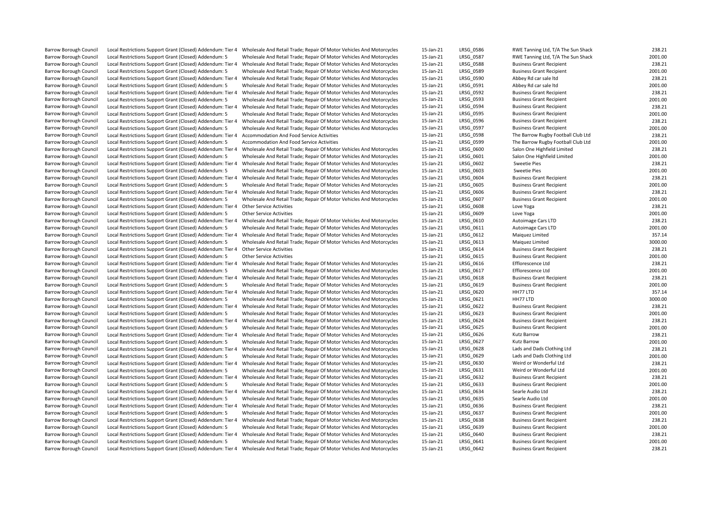Barrow Borough Council Local Restrictions Support Grant (Closed) Addendum: Tier 4 Wholesale And Retail Trade; Repair Of Motor Vehicles And Motorcycles 15-Jan-21 LRSG\_0586 RWE Tanning Ltd, T/A The Sun Shack 238.21 2001.00<br>B Barrow Borough Council Local Restrictions Support Grant (Closed) Addendum: 5 Wholesale And Retail Trade; Repair Of Motor Vehicles And Motorcycles 15-Jan-21 LRSG\_0587 RWE Tanning Ltd, T/A The Support Grant (Closed) Addendum Barrow Borough Council Local Restrictions Support Grant (Closed) Addendum: Tier 4 Wholesale And Retail Trade; Repair Of Motor Vehicles And Motorcycles 15-Jan-21 LRSG\_0588 Business Grant Recipient 238.21 238.21 DRSG DRSG DR Barrow Borough Council Crante: Grant Council Council and Support (Closed) And Motor Cycles And Retail Trade; Repair Of Motor Vehicles And Motor Cycles Barrow Borough Council Local Restrictions Support Grant (Closed) Addendum: Tier 4 Wholesale And Retail Trade; Repair Of Motor Vehicles And Motorcycles 15-Jan-21 LRSG\_0590 Abbey Rd car sale Itd 238.21 238.21 238.21 2001.00 Barrow Borough Council Local Restrictions Support Grant (Closed) Addendum: 5 Wholesale And Retail Trade; Repair Of Motor Vehicles And Motorcycles 15-Jan-21 LRSG\_0591 Abbey Rd car sale Itd 2001.00<br>Barrow Borough Council Loc Barrow Borough Council Local Restrictions Support Grant (Closed) Addendum: Tier 4 Wholesale And Retail Trade; Repair Of Motor Vehicles And Motorcycles 15-Jan-21 LRSG\_0592 Business Grant Recipient 238.21 238.21 2001.00<br>Barr Barrow Borough Council Crant (Closed) And Retail Trade; Repair Of Motor Vehicles And Motorcycles Barrow Borough Council Local Restrictions Support Grant (Closed) Addendum: Tier 4 Wholesale And Retail Trade; Repair Of Motor Vehicles And Motorcycles 15-Jan-21 LRSG 0594 Business Grant Recipient 238.21 238.21 Barrow Borough Council Local Restrictions Support Grant (Closed) Addendum: 5 Wholesale And Retail Trade; Repair Of Motor Vehicles And Motorcycles 15-Jan-21 LRSG 0595 Business Grant Recipient 2001.00 Barrow Borough Council Local Restrictions Support Grant (Closed) Addendum: Tier 4 Wholesale And Retail Trade; Repair Of Motor Vehicles And Motorcycles 15-Jan-21 LRSG\_0596 Business Grant Recipient 238.21 238.21 Database Com Barrow Borough Council Local Restrictions Support Grant (Closed) Addendum: 5 Wholesale And Retail Trade; Repair Of Motor Vehicles And Motorcycles 15-Jan-21 LRSG\_0597 Business Grant Recipient 2001. The Rarrow Rugby Football Exal Restrictions Support Grant (Closed) Addendum: Tier 4 Accommodation And Food Service Activities 15-Jan-21 LRSG\_0598 The Barrow Rugby Football Club Ltd 238.21 238.21 238.21 LRSG\_0598 The Barrow Rugby Football Club Ltd 2 Barrow Borough Council Local Restrictions Support Grant (Closed) Addendum: 5 Accommodation And Food Service Activities 15-Jan-21 LRSG\_0599 The Barrow Rugby Football Club Ltd 15-Jan-21 LRSG\_0599 The Barrow Rugby Football Cl Barrow Borough Council Local Restrictions Support Grant (Closed) Addendum: Tier 4 Wholesale And Retail Trade; Repair Of Motor Vehicles And Motorcycles 15-Jan-21 LRSG\_0600 Salon One Highfield Limited 238.21 Barrow Borough Council Local Restrictions Support Grant (Closed) Addendum: 5 Wholesale And Retail Trade; Repair Of Motor Vehicles And Motorcycles 15-Jan-21 LRSG\_0601 Salon One Highfield Limited 2001.00<br>Barrow Borough Counc Barrow Borough Council Local Restrictions Support Grant (Closed) Addendum: Tier 4 Wholesale And Retail Trade; Repair Of Motor Vehicles And Motorcycles 15-Jan-21 LRSG\_0602 Sweetie Pies 238.21 238.21 238.21 2001.00 Barrow Borough Council Local Restrictions Support Grant (Closed) Addendum: 5 Wholesale And Retail Trade; Repair Of Motor Vehicles And Motorcycles 15-Jan-21 LRSG\_0603 Sweetie Pies 2001.00<br>Barrow Borough Council Local Restri Barrow Borough Council Local Restrictions Support Grant (Closed) Addendum: Tier 4 Wholesale And Retail Trade: Repair Of Motor Vehicles And Motorcycles 15-Jan-21 LRSG 0604 Business Grant Recipient Barrow Borough Council Local Restrictions Support Grant (Closed) Addendum: 5 Wholesale And Retail Trade; Repair Of Motor Vehicles And Motorcycles 15-Jan-21 LRSG 0605 Business Grant Recipient 2001.00 Barrow Borough Council Local Restrictions Support Grant (Closed) Addendum: Tier 4 Wholesale And Retail Trade; Repair Of Motor Vehicles And Motorcycles 15-Jan-21 LRSG\_0606 Business Grant Recipient 238.21 2001 001 001 001 00 Barrow Barrow Borough Council Council Council Council Council Local Restrictions Support Grant (Closed) Addendum: 5 Wholesale And Retail Trade; Repair Of Motor Vehicles And Motorcycles 15-Jan-21 LRSG\_0607 Business Crant Re Barrow Borough Council Local Restrictions Support Grant (Closed) Addendum: Tier 4 Other Service Activities 238.21 238.21 LRSG 0608 Love Yoga Love Yoga Love Yoga 238.21 Barrow Borough Council Local Restrictions Support Grant (Closed) Addendum: 5 Other Service Activities 2001.00 Council and the Service Activities 15-Jan-21 LRSG 0609 Love Yoga Love Yoga 2001.00 Barrow Borough Council Local Restrictions Support Grant (Closed) Addendum: Tier 4 Wholesale And Retail Trade; Repair Of Motor Vehicles And Motorcycles 15-Jan-21 LRSG\_0610 Autoimage Cars LTD 238.21 LRSG\_0610 Autoimage Cars Barrow Borough Council Local Restrictions Support Grant (Closed) Addendum: 5 Wholesale And Retail Trade; Repair Of Motor Vehicles And Motorcycles Barrow Borough Council Local Restrictions Support Grant (Closed) Addendum: Tier 4 Wholesale And Retail Trade; Repair Of Motor Vehicles And Motorcycles 15-Jan-21 LRSG 0612 Maiquez Limited Maiguez Limited 357.14 Barrow Borough Council Local Restrictions Support Grant (Closed) Addendum: 5 Wholesale And Retail Trade; Repair Of Motor Vehicles And Motorcycles 15-Jan-21 LRSG\_0613 Maiquez Limited 3000.00<br>Barrow Borough Council Local Res Barrow Borough Council Local Restrictions Support Grant (Closed) Addendum: Tier 4 Other Service Activities 15-Jan-21 LRSG\_0614 Business Grant Recipient 15-Jan-21 LRSG\_0614 Business Grant Recipient 238.21 2001.00<br>15-Jan-21 Local Restrictions Support Grant (Closed) Addendum: 5 Barrow Borough Council Local Restrictions Support Grant (Closed) Addendum: Tier 4 Wholesale And Retail Trade; Repair Of Motor Vehicles And Motorcycles 15-Jan-21 LRSG\_0616 Efflorescence Ltd 208.21 LRSG\_0617 LRSG\_0617 Efflor Barrow Borough Council Local Restrictions Support Grant (Closed) Addendum: 5 Wholesale And Retail Trade; Repair Of Motor Vehicles And Motorcycles 15-Jan-21 LRSG\_0617 Efflorescence Ltd Encepted: 1001.00<br>Barrow Borough Counc Barrow Borough Council Local Restrictions Support Grant (Closed) Addendum: Tier 4 Wholesale And Retail Trade; Repair Of Motor Vehicles And Motorcycles 15-Jan-21 LRSG\_0618 Business Grant Recipient 238.21 238.21 DRSG DRSG DR Barrow Borough Council Restrictions Support Grant (Closed) Addendum: Support Grant (Closed) Addensitions Suppo<br>Support Council Trade; Repair Of Motor Vehicles And Motorcycles 15-Jan-21 LRSG\_0620 Business C Barrow Borough Council Local Restrictions Support Grant (Closed) Addendum: Tier 4 Wholesale And Retail Trade; Repair Of Motor Vehicles And Motorcycles 15-Jan-21 LRSG\_0620 HH77 LTD 357.14 1870000 1357.14 1870000 137.14 Barrow Borough Council Local Restrictions Support Grant (Closed) Addendum: 5 Wholesale And Retail Trade; Repair Of Motor Vehicles And Motorcycles 15-Jan-21 Barrow Borough Council Local Restrictions Support Grant (Closed) Addendum: Tier 4 Wholesale And Retail Trade; Repair Of Motor Vehicles And Motorcycles 15-Jan-21 LRSG\_0622 Business Grant Recipient 238.21 238.21 2001.00<br>Barr Barrow Barrow Borough Council Council Council Council Local Council Local Restrictions Support Grant (Closed) A<br>15-Jan-21 LRSG\_0623 Business Grant Recipient 15-Jan-21 LRSG\_0624 Business Grant Recipient 2001.00<br>238.21 Unive Barrow Borough Council Local Restrictions Support Grant (Closed) Addendum: Tier 4 Wholesale And Retail Trade; Repair Of Motor Vehicles And Motorcycles 15-Jan-21 LRSG\_0624 Business Grant Recipient 238.21 238.21 2001.00<br>Barr Barrow Borough Council Local Restrictions Support Grant (Closed) Addendum: 5 Wholesale And Retail Trade; Repair Of Motor Vehicles And Motorcycles 15-Jan-21 LRSG\_0625 Business Grant Recipient Barrow Borough Council Local Restrictions Support Grant (Closed) Addendum: Tier 4 Wholesale And Retail Trade; Repair Of Motor Vehicles And Motorcycles 15-Jan-21 LRSG 0626 Kutz Barrow 238.21 238.21 Barrow Borough Council Local Restrictions Support Grant (Closed) Addendum: 5 Wholesale And Retail Trade; Repair Of Motor Vehicles And Motorcycles 15-Jan-21 LRSG\_0627 Kutz Barrow Lads and Dads Clothing Ltd Council Local Res Barrow Borough Council Local Restrictions Support Grant (Closed) Addendum: Tier 4 Wholesale And Retail Trade; Repair Of Motor Vehicles And Motorcycles 15-Jan-21 LRSG\_0628 Lads and Dads Clothing Ltd 238.21 238.21 LRSG Dads Barrow Borough Council Local Restrictions Support Grant (Closed) Addendum: 5 Wholesale And Retail Trade; Repair Of Motor Vehicles And Motorcycles 15-Jan-21 LRSG 0629 Lads and Dads Clothing Ltd Barrow Borough Council Local Restrictions Support Grant (Closed) Addendum: Tier 4 Wholesale And Retail Trade; Repair Of Motor Vehicles And Motorcycles 15-Jan-21 LRSG\_0630 Weird or Wonderful Ltd 238.21 Barrow Borough Council Local Restrictions Support Grant (Closed) Addendum: 5 Wholesale And Retail Trade; Repair Of Motor Vehicles And Motorcycles 15-Jan-21 LRSG\_0631 Weird or Wonderful Ltd 2001.00<br>Barrow Borough Council Lo Barrow Borough Council Local Restrictions Support Grant (Closed) Addendum: Tier 4 Wholesale And Retail Trade; Repair Of Motor Vehicles And Motorcycles 15-Jan-21 LRSG 0632 Business Grant Recipient 238.21 238.21 Barrow Borough Council Local Restrictions Support Grant (Closed) Addendum: 5 Wholesale And Retail Trade; Repair Of Motor Vehicles And Motorcycles 15-Jan-21 LRSG\_0633 Business Grant Recipient 2001.00 Barrow Borough Council Local Restrictions Support Grant (Closed) Addendum: Tier 4 Wholesale And Retail Trade; Repair Of Motor Vehicles And Motorcycles 15-Jan-21 LRSG\_0634 Searle Audio Ltd Searle Audio Ltd 238.21 Barrow Borough Council Local Restrictions Support Grant (Closed) Addendum: 5 Wholesale And Retail Trade; Repair Of Motor Vehicles And Motorcycles 15-Jan-21 LRSG\_0635 Searle Audio Ltd 2001.00<br>Barrow Borough Council Local Re Barrow Borough Council Local Restrictions Support Grant (Closed) Addendum: Tier 4 Wholesale And Retail Trade: Repair Of Motor Vehicles And Motorcycles 15-Jan-21 LRSG\_0636 Business Grant Recipient Barrow Borough Council Local Restrictions Support Grant (Closed) Addendum: 5 Wholesale And Retail Trade; Repair Of Motor Vehicles And Motorcycles 15-Jan-21 LRSG 0637 Business Grant Recipient 2001.00 Barrow Borough Council Local Restrictions Support Grant (Closed) Addendum: Tier 4 Wholesale And Retail Trade; Repair Of Motor Vehicles And Motorcycles 15-Jan-21 LRSG 0638 Business Grant Recipient 238.21 238.21 Barrow Borough Council Local Restrictions Support Grant (Closed) Addendum: 5 Wholesale And Retail Trade; Repair Of Motor Vehicles And Motorcycles 15-Jan-21 LRSG\_0639 Business Grant Recipient 2001.00<br>Barrow Borough Council Barrow Borough Council Local Restrictions Support Grant (Closed) Addendum: Tier 4 Wholesale And Retail Trade; Repair Of Motor Vehicles And Motorcycles 15-Jan-21 Barrow Borough Council Local Restrictions Support Grant (Closed) Addendum: 5 Wholesale And Retail Trade; Repair Of Motor Vehicles And Motorcycles 15-Jan-21 LRSG 0641 Business Grant Recipient 2001.00 Barrow Borough Council Local Restrictions Support Grant (Closed) Addendum: Tier 4 Wholesale And Retail Trade: Repair Of Motor Vehicles And Motorcycles 15-Jan-21 LRSG 0642 Business Grant Recipient 238.21 238.21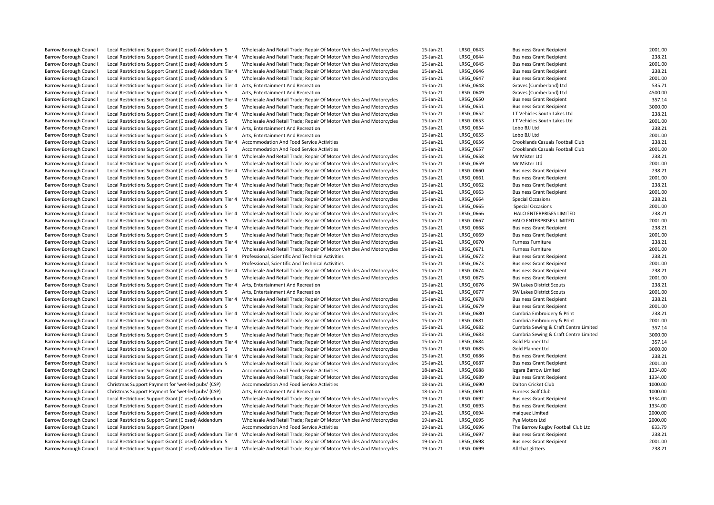| <b>Barrow Borough Council</b> | Local Restrictions Support Grant (Closed) Addendum: 5      | Wholesale And Retail Trade; Repair Of Motor Vehicles And Motorcycles | 15-Jan-21 | LRSG 0643        | <b>Business Grant Recipient</b>       | 2001.00 |
|-------------------------------|------------------------------------------------------------|----------------------------------------------------------------------|-----------|------------------|---------------------------------------|---------|
| <b>Barrow Borough Council</b> | Local Restrictions Support Grant (Closed) Addendum: Tier 4 | Wholesale And Retail Trade; Repair Of Motor Vehicles And Motorcycles | 15-Jan-21 | LRSG 0644        | <b>Business Grant Recipient</b>       | 238.21  |
| <b>Barrow Borough Council</b> | Local Restrictions Support Grant (Closed) Addendum: 5      | Wholesale And Retail Trade; Repair Of Motor Vehicles And Motorcycles | 15-Jan-21 | LRSG 0645        | <b>Business Grant Recipient</b>       | 2001.00 |
| Barrow Borough Council        | Local Restrictions Support Grant (Closed) Addendum: Tier 4 | Wholesale And Retail Trade; Repair Of Motor Vehicles And Motorcycles | 15-Jan-21 | LRSG 0646        | <b>Business Grant Recipient</b>       | 238.21  |
| <b>Barrow Borough Council</b> | Local Restrictions Support Grant (Closed) Addendum: 5      | Wholesale And Retail Trade; Repair Of Motor Vehicles And Motorcycles | 15-Jan-21 | LRSG 0647        | <b>Business Grant Recipient</b>       | 2001.00 |
| <b>Barrow Borough Council</b> | Local Restrictions Support Grant (Closed) Addendum: Tier 4 | Arts, Entertainment And Recreation                                   | 15-Jan-21 | LRSG 0648        | Graves (Cumberland) Ltd               | 535.71  |
|                               |                                                            |                                                                      |           |                  |                                       |         |
| Barrow Borough Council        | Local Restrictions Support Grant (Closed) Addendum: 5      | Arts, Entertainment And Recreation                                   | 15-Jan-21 | LRSG_0649        | Graves (Cumberland) Ltd               | 4500.00 |
| <b>Barrow Borough Council</b> | Local Restrictions Support Grant (Closed) Addendum: Tier 4 | Wholesale And Retail Trade; Repair Of Motor Vehicles And Motorcycles | 15-Jan-21 | LRSG 0650        | <b>Business Grant Recipient</b>       | 357.14  |
| Barrow Borough Council        | Local Restrictions Support Grant (Closed) Addendum: 5      | Wholesale And Retail Trade; Repair Of Motor Vehicles And Motorcycles | 15-Jan-21 | LRSG 0651        | <b>Business Grant Recipient</b>       | 3000.00 |
| Barrow Borough Council        | Local Restrictions Support Grant (Closed) Addendum: Tier 4 | Wholesale And Retail Trade; Repair Of Motor Vehicles And Motorcycles | 15-Jan-21 | LRSG_0652        | J T Vehicles South Lakes Ltd          | 238.21  |
| <b>Barrow Borough Council</b> | Local Restrictions Support Grant (Closed) Addendum: 5      | Wholesale And Retail Trade; Repair Of Motor Vehicles And Motorcycles | 15-Jan-21 | LRSG 0653        | J T Vehicles South Lakes Ltd          | 2001.00 |
| Barrow Borough Council        | Local Restrictions Support Grant (Closed) Addendum: Tier 4 | Arts, Entertainment And Recreation                                   | 15-Jan-21 | LRSG_0654        | Lobo BJJ Ltd                          | 238.21  |
| <b>Barrow Borough Council</b> | Local Restrictions Support Grant (Closed) Addendum: 5      | Arts, Entertainment And Recreation                                   | 15-Jan-21 | LRSG 0655        | Lobo BJJ Ltd                          | 2001.00 |
| <b>Barrow Borough Council</b> | Local Restrictions Support Grant (Closed) Addendum: Tier 4 | <b>Accommodation And Food Service Activities</b>                     | 15-Jan-21 | LRSG 0656        | Crooklands Casuals Football Club      | 238.21  |
| <b>Barrow Borough Council</b> | Local Restrictions Support Grant (Closed) Addendum: 5      | Accommodation And Food Service Activities                            | 15-Jan-21 | LRSG 0657        | Crooklands Casuals Football Club      | 2001.00 |
| <b>Barrow Borough Council</b> | Local Restrictions Support Grant (Closed) Addendum: Tier 4 | Wholesale And Retail Trade; Repair Of Motor Vehicles And Motorcycles | 15-Jan-21 | LRSG 0658        | Mr Mister Ltd                         | 238.21  |
| <b>Barrow Borough Council</b> | Local Restrictions Support Grant (Closed) Addendum: 5      | Wholesale And Retail Trade; Repair Of Motor Vehicles And Motorcycles | 15-Jan-21 | LRSG 0659        | Mr Mister Ltd                         | 2001.00 |
| Barrow Borough Council        | Local Restrictions Support Grant (Closed) Addendum: Tier 4 | Wholesale And Retail Trade; Repair Of Motor Vehicles And Motorcycles | 15-Jan-21 | LRSG_0660        | <b>Business Grant Recipient</b>       | 238.21  |
| <b>Barrow Borough Council</b> | Local Restrictions Support Grant (Closed) Addendum: 5      | Wholesale And Retail Trade; Repair Of Motor Vehicles And Motorcycles | 15-Jan-21 | LRSG_0661        | <b>Business Grant Recipient</b>       | 2001.00 |
| Barrow Borough Council        | Local Restrictions Support Grant (Closed) Addendum: Tier 4 | Wholesale And Retail Trade; Repair Of Motor Vehicles And Motorcycles | 15-Jan-21 | LRSG 0662        | <b>Business Grant Recipient</b>       | 238.21  |
| Barrow Borough Council        | Local Restrictions Support Grant (Closed) Addendum: 5      | Wholesale And Retail Trade; Repair Of Motor Vehicles And Motorcycles | 15-Jan-21 | LRSG 0663        | <b>Business Grant Recipient</b>       | 2001.00 |
| <b>Barrow Borough Council</b> | Local Restrictions Support Grant (Closed) Addendum: Tier 4 | Wholesale And Retail Trade; Repair Of Motor Vehicles And Motorcycles | 15-Jan-21 | LRSG 0664        | Special Occasions                     | 238.21  |
| <b>Barrow Borough Council</b> | Local Restrictions Support Grant (Closed) Addendum: 5      | Wholesale And Retail Trade; Repair Of Motor Vehicles And Motorcycles | 15-Jan-21 | LRSG 0665        | Special Occasions                     | 2001.00 |
| <b>Barrow Borough Council</b> | Local Restrictions Support Grant (Closed) Addendum: Tier 4 | Wholesale And Retail Trade; Repair Of Motor Vehicles And Motorcycles | 15-Jan-21 | LRSG 0666        | HALO ENTERPRISES LIMITED              | 238.21  |
| <b>Barrow Borough Council</b> | Local Restrictions Support Grant (Closed) Addendum: 5      | Wholesale And Retail Trade; Repair Of Motor Vehicles And Motorcycles | 15-Jan-21 | LRSG 0667        | HALO ENTERPRISES LIMITED              | 2001.00 |
| <b>Barrow Borough Council</b> |                                                            |                                                                      | 15-Jan-21 | LRSG 0668        | <b>Business Grant Recipient</b>       | 238.21  |
|                               | Local Restrictions Support Grant (Closed) Addendum: Tier 4 | Wholesale And Retail Trade; Repair Of Motor Vehicles And Motorcycles |           |                  |                                       |         |
| <b>Barrow Borough Council</b> | Local Restrictions Support Grant (Closed) Addendum: 5      | Wholesale And Retail Trade; Repair Of Motor Vehicles And Motorcycles | 15-Jan-21 | LRSG 0669        | <b>Business Grant Recipient</b>       | 2001.00 |
| <b>Barrow Borough Council</b> | Local Restrictions Support Grant (Closed) Addendum: Tier 4 | Wholesale And Retail Trade; Repair Of Motor Vehicles And Motorcycles | 15-Jan-21 | LRSG 0670        | <b>Furness Furniture</b>              | 238.21  |
| Barrow Borough Council        | Local Restrictions Support Grant (Closed) Addendum: 5      | Wholesale And Retail Trade; Repair Of Motor Vehicles And Motorcycles | 15-Jan-21 | LRSG_0671        | <b>Furness Furniture</b>              | 2001.00 |
| <b>Barrow Borough Council</b> | Local Restrictions Support Grant (Closed) Addendum: Tier 4 | Professional, Scientific And Technical Activities                    | 15-Jan-21 | LRSG 0672        | <b>Business Grant Recipient</b>       | 238.21  |
| <b>Barrow Borough Council</b> | Local Restrictions Support Grant (Closed) Addendum: 5      | Professional, Scientific And Technical Activities                    | 15-Jan-21 | LRSG 0673        | <b>Business Grant Recipient</b>       | 2001.00 |
| <b>Barrow Borough Council</b> | Local Restrictions Support Grant (Closed) Addendum: Tier 4 | Wholesale And Retail Trade; Repair Of Motor Vehicles And Motorcycles | 15-Jan-21 | LRSG 0674        | <b>Business Grant Recipient</b>       | 238.21  |
| <b>Barrow Borough Council</b> | Local Restrictions Support Grant (Closed) Addendum: 5      | Wholesale And Retail Trade; Repair Of Motor Vehicles And Motorcycles | 15-Jan-21 | LRSG_0675        | <b>Business Grant Recipient</b>       | 2001.00 |
| Barrow Borough Council        | Local Restrictions Support Grant (Closed) Addendum: Tier 4 | Arts, Entertainment And Recreation                                   | 15-Jan-21 | LRSG 0676        | SW Lakes District Scouts              | 238.21  |
| <b>Barrow Borough Council</b> | Local Restrictions Support Grant (Closed) Addendum: 5      | Arts, Entertainment And Recreation                                   | 15-Jan-21 | LRSG 0677        | SW Lakes District Scouts              | 2001.00 |
| <b>Barrow Borough Council</b> | Local Restrictions Support Grant (Closed) Addendum: Tier 4 | Wholesale And Retail Trade; Repair Of Motor Vehicles And Motorcycles | 15-Jan-21 | LRSG 0678        | <b>Business Grant Recipient</b>       | 238.21  |
| Barrow Borough Council        | Local Restrictions Support Grant (Closed) Addendum: 5      | Wholesale And Retail Trade; Repair Of Motor Vehicles And Motorcycles | 15-Jan-21 | LRSG 0679        | <b>Business Grant Recipient</b>       | 2001.00 |
| Barrow Borough Council        | Local Restrictions Support Grant (Closed) Addendum: Tier 4 | Wholesale And Retail Trade; Repair Of Motor Vehicles And Motorcycles | 15-Jan-21 | LRSG_0680        | Cumbria Embroidery & Print            | 238.21  |
| <b>Barrow Borough Council</b> | Local Restrictions Support Grant (Closed) Addendum: 5      | Wholesale And Retail Trade; Repair Of Motor Vehicles And Motorcycles | 15-Jan-21 | LRSG 0681        | Cumbria Embroidery & Print            | 2001.00 |
| <b>Barrow Borough Council</b> | Local Restrictions Support Grant (Closed) Addendum: Tier 4 | Wholesale And Retail Trade; Repair Of Motor Vehicles And Motorcycles | 15-Jan-21 | LRSG 0682        | Cumbria Sewing & Craft Centre Limited | 357.14  |
| Barrow Borough Council        | Local Restrictions Support Grant (Closed) Addendum: 5      | Wholesale And Retail Trade; Repair Of Motor Vehicles And Motorcycles | 15-Jan-21 | LRSG_0683        | Cumbria Sewing & Craft Centre Limited | 3000.00 |
| <b>Barrow Borough Council</b> | Local Restrictions Support Grant (Closed) Addendum: Tier 4 | Wholesale And Retail Trade; Repair Of Motor Vehicles And Motorcycles | 15-Jan-21 | LRSG 0684        | Gold Planner Ltd                      | 357.14  |
| <b>Barrow Borough Council</b> | Local Restrictions Support Grant (Closed) Addendum: 5      | Wholesale And Retail Trade; Repair Of Motor Vehicles And Motorcycles | 15-Jan-21 | LRSG 0685        | Gold Planner Ltd                      | 3000.00 |
| <b>Barrow Borough Council</b> | Local Restrictions Support Grant (Closed) Addendum: Tier 4 | Wholesale And Retail Trade; Repair Of Motor Vehicles And Motorcycles | 15-Jan-21 | LRSG 0686        | <b>Business Grant Recipient</b>       | 238.21  |
| <b>Barrow Borough Council</b> | Local Restrictions Support Grant (Closed) Addendum: 5      | Wholesale And Retail Trade; Repair Of Motor Vehicles And Motorcycles | 15-Jan-21 | LRSG 0687        | <b>Business Grant Recipient</b>       | 2001.00 |
| <b>Barrow Borough Council</b> | Local Restrictions Support Grant (Closed) Addendum         | <b>Accommodation And Food Service Activities</b>                     | 18-Jan-21 | <b>LRSG 0688</b> | Izgara Barrow Limited                 | 1334.00 |
| <b>Barrow Borough Council</b> | Local Restrictions Support Grant (Closed) Addendum         | Wholesale And Retail Trade; Repair Of Motor Vehicles And Motorcycles | 18-Jan-21 | LRSG 0689        | <b>Business Grant Recipient</b>       | 1334.00 |
| <b>Barrow Borough Council</b> |                                                            | Accommodation And Food Service Activities                            | 18-Jan-21 | LRSG 0690        | Dalton Cricket Club                   | 1000.00 |
|                               | Christmas Support Payment for 'wet-led pubs' (CSP)         |                                                                      |           |                  |                                       |         |
| <b>Barrow Borough Council</b> | Christmas Support Payment for 'wet-led pubs' (CSP)         | Arts, Entertainment And Recreation                                   | 18-Jan-21 | LRSG_0691        | Furness Golf Club                     | 1000.00 |
| <b>Barrow Borough Council</b> | Local Restrictions Support Grant (Closed) Addendum         | Wholesale And Retail Trade; Repair Of Motor Vehicles And Motorcycles | 19-Jan-21 | LRSG 0692        | <b>Business Grant Recipient</b>       | 1334.00 |
| Barrow Borough Council        | Local Restrictions Support Grant (Closed) Addendum         | Wholesale And Retail Trade; Repair Of Motor Vehicles And Motorcycles | 19-Jan-21 | LRSG 0693        | <b>Business Grant Recipient</b>       | 1334.00 |
| Barrow Borough Council        | Local Restrictions Support Grant (Closed) Addendum         | Wholesale And Retail Trade; Repair Of Motor Vehicles And Motorcycles | 19-Jan-21 | LRSG_0694        | maiquez Limited                       | 2000.00 |
| Barrow Borough Council        | Local Restrictions Support Grant (Closed) Addendum         | Wholesale And Retail Trade; Repair Of Motor Vehicles And Motorcycles | 19-Jan-21 | LRSG 0695        | Pye Motors Ltd                        | 2000.00 |
| <b>Barrow Borough Council</b> | Local Restrictions Support Grant (Open)                    | Accommodation And Food Service Activities                            | 19-Jan-21 | LRSG 0696        | The Barrow Rugby Football Club Ltd    | 633.79  |
| <b>Barrow Borough Council</b> | Local Restrictions Support Grant (Closed) Addendum: Tier 4 | Wholesale And Retail Trade; Repair Of Motor Vehicles And Motorcycles | 19-Jan-21 | LRSG_0697        | <b>Business Grant Recipient</b>       | 238.21  |
| <b>Barrow Borough Council</b> | Local Restrictions Support Grant (Closed) Addendum: 5      | Wholesale And Retail Trade; Repair Of Motor Vehicles And Motorcycles | 19-Jan-21 | LRSG 0698        | <b>Business Grant Recipient</b>       | 2001.00 |
| <b>Barrow Borough Council</b> | Local Restrictions Support Grant (Closed) Addendum: Tier 4 | Wholesale And Retail Trade; Repair Of Motor Vehicles And Motorcycles | 19-Jan-21 | LRSG 0699        | All that glitters                     | 238.21  |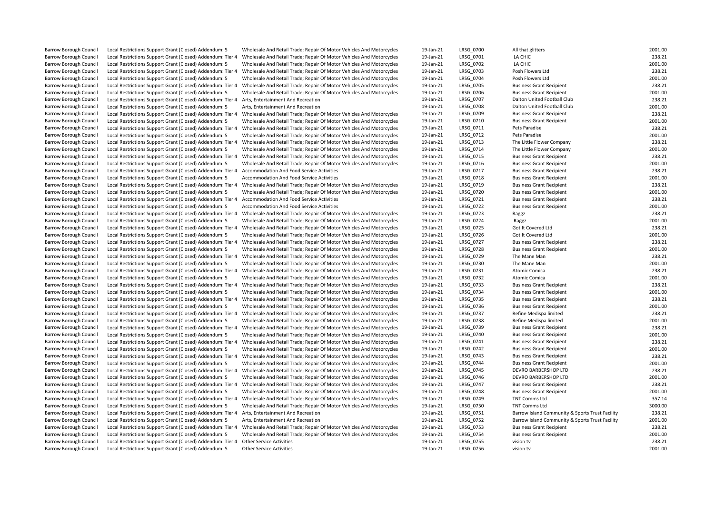| <b>Barrow Borough Council</b> | Local Restrictions Support Grant (Closed) Addendum: 5                                         | Wholesale And Retail Trade; Repair Of Motor Vehicles And Motorcycles                                                            | 19-Jan-21 | LRSG 0700        | All that glitters                               | 2001.00 |
|-------------------------------|-----------------------------------------------------------------------------------------------|---------------------------------------------------------------------------------------------------------------------------------|-----------|------------------|-------------------------------------------------|---------|
| <b>Barrow Borough Council</b> | Local Restrictions Support Grant (Closed) Addendum: Tier 4                                    | Wholesale And Retail Trade; Repair Of Motor Vehicles And Motorcycles                                                            | 19-Jan-21 | LRSG 0701        | LA CHIC                                         | 238.21  |
| <b>Barrow Borough Council</b> | Local Restrictions Support Grant (Closed) Addendum: 5                                         | Wholesale And Retail Trade; Repair Of Motor Vehicles And Motorcycles                                                            | 19-Jan-21 | LRSG 0702        | LA CHIC                                         | 2001.00 |
| <b>Barrow Borough Council</b> | Local Restrictions Support Grant (Closed) Addendum: Tier 4                                    | Wholesale And Retail Trade; Repair Of Motor Vehicles And Motorcycles                                                            | 19-Jan-21 | LRSG 0703        | Posh Flowers Ltd                                | 238.21  |
| <b>Barrow Borough Council</b> | Local Restrictions Support Grant (Closed) Addendum: 5                                         | Wholesale And Retail Trade; Repair Of Motor Vehicles And Motorcycles                                                            | 19-Jan-21 | LRSG 0704        | Posh Flowers Ltd                                | 2001.00 |
| <b>Barrow Borough Council</b> | Local Restrictions Support Grant (Closed) Addendum: Tier 4                                    | Wholesale And Retail Trade; Repair Of Motor Vehicles And Motorcycles                                                            | 19-Jan-21 | <b>LRSG 0705</b> | <b>Business Grant Recipient</b>                 | 238.21  |
| Barrow Borough Council        | Local Restrictions Support Grant (Closed) Addendum: 5                                         | Wholesale And Retail Trade; Repair Of Motor Vehicles And Motorcycles                                                            | 19-Jan-21 | LRSG_0706        | <b>Business Grant Recipient</b>                 | 2001.00 |
| <b>Barrow Borough Council</b> | Local Restrictions Support Grant (Closed) Addendum: Tier 4                                    | Arts, Entertainment And Recreation                                                                                              | 19-Jan-21 | LRSG 0707        | Dalton United Football Club                     | 238.21  |
| <b>Barrow Borough Council</b> |                                                                                               | Arts. Entertainment And Recreation                                                                                              | 19-Jan-21 | <b>LRSG 0708</b> | Dalton United Football Club                     | 2001.00 |
|                               | Local Restrictions Support Grant (Closed) Addendum: 5                                         |                                                                                                                                 |           |                  |                                                 |         |
| <b>Barrow Borough Council</b> | Local Restrictions Support Grant (Closed) Addendum: Tier 4                                    | Wholesale And Retail Trade; Repair Of Motor Vehicles And Motorcycles                                                            | 19-Jan-21 | LRSG 0709        | <b>Business Grant Recipient</b>                 | 238.21  |
| Barrow Borough Council        | Local Restrictions Support Grant (Closed) Addendum: 5                                         | Wholesale And Retail Trade; Repair Of Motor Vehicles And Motorcycles                                                            | 19-Jan-21 | LRSG 0710        | <b>Business Grant Recipient</b>                 | 2001.00 |
| <b>Barrow Borough Council</b> | Local Restrictions Support Grant (Closed) Addendum: Tier 4                                    | Wholesale And Retail Trade; Repair Of Motor Vehicles And Motorcycles                                                            | 19-Jan-21 | LRSG_0711        | Pets Paradise                                   | 238.21  |
| <b>Barrow Borough Council</b> | Local Restrictions Support Grant (Closed) Addendum: 5                                         | Wholesale And Retail Trade; Repair Of Motor Vehicles And Motorcycles                                                            | 19-Jan-21 | LRSG 0712        | Pets Paradise                                   | 2001.00 |
| <b>Barrow Borough Council</b> | Local Restrictions Support Grant (Closed) Addendum: Tier 4                                    | Wholesale And Retail Trade; Repair Of Motor Vehicles And Motorcycles                                                            | 19-Jan-21 | LRSG 0713        | The Little Flower Company                       | 238.21  |
| <b>Barrow Borough Council</b> | Local Restrictions Support Grant (Closed) Addendum: 5                                         | Wholesale And Retail Trade; Repair Of Motor Vehicles And Motorcycles                                                            | 19-Jan-21 | LRSG 0714        | The Little Flower Company                       | 2001.00 |
| <b>Barrow Borough Council</b> | Local Restrictions Support Grant (Closed) Addendum: Tier 4                                    | Wholesale And Retail Trade; Repair Of Motor Vehicles And Motorcycles                                                            | 19-Jan-21 | LRSG 0715        | <b>Business Grant Recipient</b>                 | 238.21  |
| <b>Barrow Borough Council</b> | Local Restrictions Support Grant (Closed) Addendum: 5                                         | Wholesale And Retail Trade; Repair Of Motor Vehicles And Motorcycles                                                            | 19-Jan-21 | LRSG 0716        | <b>Business Grant Recipient</b>                 | 2001.00 |
| <b>Barrow Borough Council</b> | Local Restrictions Support Grant (Closed) Addendum: Tier 4                                    | Accommodation And Food Service Activities                                                                                       | 19-Jan-21 | LRSG 0717        | <b>Business Grant Recipient</b>                 | 238.21  |
| <b>Barrow Borough Council</b> | Local Restrictions Support Grant (Closed) Addendum: 5                                         | Accommodation And Food Service Activities                                                                                       | 19-Jan-21 | LRSG 0718        | <b>Business Grant Recipient</b>                 | 2001.00 |
| Barrow Borough Council        | Local Restrictions Support Grant (Closed) Addendum: Tier 4                                    | Wholesale And Retail Trade; Repair Of Motor Vehicles And Motorcycles                                                            | 19-Jan-21 | LRSG 0719        | <b>Business Grant Recipient</b>                 | 238.21  |
| <b>Barrow Borough Council</b> | Local Restrictions Support Grant (Closed) Addendum: 5                                         | Wholesale And Retail Trade; Repair Of Motor Vehicles And Motorcycles                                                            | 19-Jan-21 | LRSG 0720        | <b>Business Grant Recipient</b>                 | 2001.00 |
| <b>Barrow Borough Council</b> | Local Restrictions Support Grant (Closed) Addendum: Tier 4                                    | <b>Accommodation And Food Service Activities</b>                                                                                | 19-Jan-21 | LRSG 0721        | <b>Business Grant Recipient</b>                 | 238.21  |
| <b>Barrow Borough Council</b> | Local Restrictions Support Grant (Closed) Addendum: 5                                         | <b>Accommodation And Food Service Activities</b>                                                                                | 19-Jan-21 | <b>LRSG 0722</b> | <b>Business Grant Recipient</b>                 | 2001.00 |
| <b>Barrow Borough Council</b> | Local Restrictions Support Grant (Closed) Addendum: Tier 4                                    | Wholesale And Retail Trade; Repair Of Motor Vehicles And Motorcycles                                                            | 19-Jan-21 | LRSG 0723        | Raggz                                           | 238.21  |
| <b>Barrow Borough Council</b> | Local Restrictions Support Grant (Closed) Addendum: 5                                         | Wholesale And Retail Trade; Repair Of Motor Vehicles And Motorcycles                                                            | 19-Jan-21 | LRSG 0724        | Raggz                                           | 2001.00 |
| <b>Barrow Borough Council</b> |                                                                                               | Local Restrictions Support Grant (Closed) Addendum: Tier 4 Wholesale And Retail Trade; Repair Of Motor Vehicles And Motorcycles | 19-Jan-21 | LRSG 0725        | Got It Covered Ltd                              | 238.21  |
| <b>Barrow Borough Council</b> | Local Restrictions Support Grant (Closed) Addendum: 5                                         | Wholesale And Retail Trade; Repair Of Motor Vehicles And Motorcycles                                                            | 19-Jan-21 | LRSG 0726        | Got It Covered Ltd                              | 2001.00 |
| <b>Barrow Borough Council</b> | Local Restrictions Support Grant (Closed) Addendum: Tier 4                                    | Wholesale And Retail Trade; Repair Of Motor Vehicles And Motorcycles                                                            | 19-Jan-21 | <b>LRSG 0727</b> | <b>Business Grant Recipient</b>                 | 238.21  |
| Barrow Borough Council        | Local Restrictions Support Grant (Closed) Addendum: 5                                         | Wholesale And Retail Trade; Repair Of Motor Vehicles And Motorcycles                                                            | 19-Jan-21 | LRSG_0728        | <b>Business Grant Recipient</b>                 | 2001.00 |
| <b>Barrow Borough Council</b> | Local Restrictions Support Grant (Closed) Addendum: Tier 4                                    | Wholesale And Retail Trade; Repair Of Motor Vehicles And Motorcycles                                                            | 19-Jan-21 | LRSG 0729        | The Mane Man                                    | 238.21  |
| <b>Barrow Borough Council</b> | Local Restrictions Support Grant (Closed) Addendum: 5                                         | Wholesale And Retail Trade; Repair Of Motor Vehicles And Motorcycles                                                            | 19-Jan-21 | LRSG 0730        | The Mane Man                                    | 2001.00 |
| <b>Barrow Borough Council</b> | Local Restrictions Support Grant (Closed) Addendum: Tier 4                                    | Wholesale And Retail Trade; Repair Of Motor Vehicles And Motorcycles                                                            | 19-Jan-21 | LRSG 0731        | <b>Atomic Comica</b>                            | 238.21  |
| <b>Barrow Borough Council</b> | Local Restrictions Support Grant (Closed) Addendum: 5                                         | Wholesale And Retail Trade; Repair Of Motor Vehicles And Motorcycles                                                            | 19-Jan-21 | LRSG_0732        | Atomic Comica                                   | 2001.00 |
| <b>Barrow Borough Council</b> | Local Restrictions Support Grant (Closed) Addendum: Tier 4                                    | Wholesale And Retail Trade; Repair Of Motor Vehicles And Motorcycles                                                            | 19-Jan-21 | LRSG 0733        | <b>Business Grant Recipient</b>                 | 238.21  |
| <b>Barrow Borough Council</b> | Local Restrictions Support Grant (Closed) Addendum: 5                                         | Wholesale And Retail Trade; Repair Of Motor Vehicles And Motorcycles                                                            | 19-Jan-21 | LRSG 0734        | <b>Business Grant Recipient</b>                 | 2001.00 |
| <b>Barrow Borough Council</b> | Local Restrictions Support Grant (Closed) Addendum: Tier 4                                    | Wholesale And Retail Trade; Repair Of Motor Vehicles And Motorcycles                                                            | 19-Jan-21 | LRSG 0735        | <b>Business Grant Recipient</b>                 | 238.21  |
| <b>Barrow Borough Council</b> | Local Restrictions Support Grant (Closed) Addendum: 5                                         | Wholesale And Retail Trade; Repair Of Motor Vehicles And Motorcycles                                                            | 19-Jan-21 | LRSG 0736        | <b>Business Grant Recipient</b>                 | 2001.00 |
| Barrow Borough Council        | Local Restrictions Support Grant (Closed) Addendum: Tier 4                                    | Wholesale And Retail Trade; Repair Of Motor Vehicles And Motorcycles                                                            | 19-Jan-21 | LRSG_0737        | Refine Medispa limited                          | 238.21  |
| <b>Barrow Borough Council</b> | Local Restrictions Support Grant (Closed) Addendum: 5                                         | Wholesale And Retail Trade; Repair Of Motor Vehicles And Motorcycles                                                            | 19-Jan-21 | LRSG 0738        | Refine Medispa limited                          | 2001.00 |
| <b>Barrow Borough Council</b> | Local Restrictions Support Grant (Closed) Addendum: Tier 4                                    | Wholesale And Retail Trade; Repair Of Motor Vehicles And Motorcycles                                                            | 19-Jan-21 | LRSG 0739        | <b>Business Grant Recipient</b>                 | 238.21  |
| Barrow Borough Council        | Local Restrictions Support Grant (Closed) Addendum: 5                                         | Wholesale And Retail Trade; Repair Of Motor Vehicles And Motorcycles                                                            | 19-Jan-21 | LRSG_0740        | <b>Business Grant Recipient</b>                 | 2001.00 |
| <b>Barrow Borough Council</b> | Local Restrictions Support Grant (Closed) Addendum: Tier 4                                    | Wholesale And Retail Trade; Repair Of Motor Vehicles And Motorcycles                                                            | 19-Jan-21 | LRSG 0741        | <b>Business Grant Recipient</b>                 | 238.21  |
| <b>Barrow Borough Council</b> | Local Restrictions Support Grant (Closed) Addendum: 5                                         | Wholesale And Retail Trade; Repair Of Motor Vehicles And Motorcycles                                                            | 19-Jan-21 | LRSG 0742        | <b>Business Grant Recipient</b>                 | 2001.00 |
| <b>Barrow Borough Council</b> | Local Restrictions Support Grant (Closed) Addendum: Tier 4                                    | Wholesale And Retail Trade; Repair Of Motor Vehicles And Motorcycles                                                            | 19-Jan-21 | LRSG 0743        | <b>Business Grant Recipient</b>                 | 238.21  |
| <b>Barrow Borough Council</b> | Local Restrictions Support Grant (Closed) Addendum: 5                                         | Wholesale And Retail Trade; Repair Of Motor Vehicles And Motorcycles                                                            | 19-Jan-21 | LRSG 0744        | <b>Business Grant Recipient</b>                 | 2001.00 |
|                               |                                                                                               |                                                                                                                                 |           |                  |                                                 | 238.21  |
| <b>Barrow Borough Council</b> | Local Restrictions Support Grant (Closed) Addendum: Tier 4                                    | Wholesale And Retail Trade; Repair Of Motor Vehicles And Motorcycles                                                            | 19-Jan-21 | <b>LRSG 0745</b> | DEVRO BARBERSHOP LTD                            |         |
| <b>Barrow Borough Council</b> | Local Restrictions Support Grant (Closed) Addendum: 5                                         | Wholesale And Retail Trade; Repair Of Motor Vehicles And Motorcycles                                                            | 19-Jan-21 | LRSG 0746        | DEVRO BARBERSHOP LTD                            | 2001.00 |
| <b>Barrow Borough Council</b> | Local Restrictions Support Grant (Closed) Addendum: Tier 4                                    | Wholesale And Retail Trade; Repair Of Motor Vehicles And Motorcycles                                                            | 19-Jan-21 | LRSG 0747        | <b>Business Grant Recipient</b>                 | 238.21  |
| <b>Barrow Borough Council</b> | Local Restrictions Support Grant (Closed) Addendum: 5                                         | Wholesale And Retail Trade; Repair Of Motor Vehicles And Motorcycles                                                            | 19-Jan-21 | LRSG 0748        | <b>Business Grant Recipient</b>                 | 2001.00 |
| <b>Barrow Borough Council</b> | Local Restrictions Support Grant (Closed) Addendum: Tier 4                                    | Wholesale And Retail Trade; Repair Of Motor Vehicles And Motorcycles                                                            | 19-Jan-21 | LRSG 0749        | <b>TNT Comms Ltd</b>                            | 357.14  |
| <b>Barrow Borough Council</b> | Local Restrictions Support Grant (Closed) Addendum: 5                                         | Wholesale And Retail Trade; Repair Of Motor Vehicles And Motorcycles                                                            | 19-Jan-21 | LRSG 0750        | <b>TNT Comms Ltd</b>                            | 3000.00 |
| Barrow Borough Council        | Local Restrictions Support Grant (Closed) Addendum: Tier 4 Arts, Entertainment And Recreation |                                                                                                                                 | 19-Jan-21 | LRSG_0751        | Barrow Island Community & Sports Trust Facility | 238.21  |
| <b>Barrow Borough Council</b> | Local Restrictions Support Grant (Closed) Addendum: 5                                         | Arts, Entertainment And Recreation                                                                                              | 19-Jan-21 | <b>LRSG 0752</b> | Barrow Island Community & Sports Trust Facility | 2001.00 |
| <b>Barrow Borough Council</b> | Local Restrictions Support Grant (Closed) Addendum: Tier 4                                    | Wholesale And Retail Trade; Repair Of Motor Vehicles And Motorcycles                                                            | 19-Jan-21 | LRSG 0753        | <b>Business Grant Recipient</b>                 | 238.21  |
| <b>Barrow Borough Council</b> | Local Restrictions Support Grant (Closed) Addendum: 5                                         | Wholesale And Retail Trade; Repair Of Motor Vehicles And Motorcycles                                                            | 19-Jan-21 | LRSG_0754        | <b>Business Grant Recipient</b>                 | 2001.00 |
| <b>Barrow Borough Council</b> | Local Restrictions Support Grant (Closed) Addendum: Tier 4                                    | <b>Other Service Activities</b>                                                                                                 | 19-Jan-21 | LRSG 0755        | vision tv                                       | 238.21  |
| Barrow Borough Council        | Local Restrictions Support Grant (Closed) Addendum: 5                                         | <b>Other Service Activities</b>                                                                                                 | 19-Jan-21 | LRSG 0756        | vision tv                                       | 2001.00 |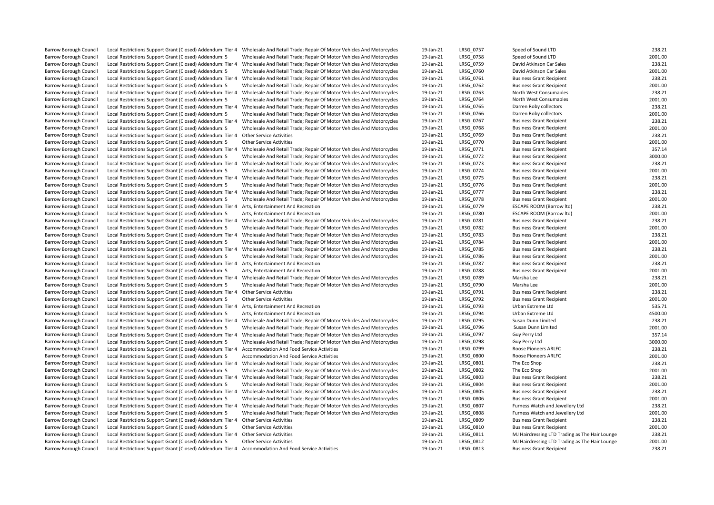| <b>Barrow Borough Council</b> |                                                                                                      | Local Restrictions Support Grant (Closed) Addendum: Tier 4 Wholesale And Retail Trade; Repair Of Motor Vehicles And Motorcycles | 19-Jan-21 | LRSG 0757 | Speed of Sound LTD                             | 238.21  |
|-------------------------------|------------------------------------------------------------------------------------------------------|---------------------------------------------------------------------------------------------------------------------------------|-----------|-----------|------------------------------------------------|---------|
| <b>Barrow Borough Council</b> | Local Restrictions Support Grant (Closed) Addendum: 5                                                | Wholesale And Retail Trade; Repair Of Motor Vehicles And Motorcycles                                                            | 19-Jan-21 | LRSG 0758 | Speed of Sound LTD                             | 2001.00 |
| <b>Barrow Borough Council</b> | Local Restrictions Support Grant (Closed) Addendum: Tier 4                                           | Wholesale And Retail Trade; Repair Of Motor Vehicles And Motorcycles                                                            | 19-Jan-21 | LRSG 0759 | David Atkinson Car Sales                       | 238.21  |
| <b>Barrow Borough Council</b> | Local Restrictions Support Grant (Closed) Addendum: 5                                                | Wholesale And Retail Trade; Repair Of Motor Vehicles And Motorcycles                                                            | 19-Jan-21 | LRSG 0760 | David Atkinson Car Sales                       | 2001.00 |
| <b>Barrow Borough Council</b> | Local Restrictions Support Grant (Closed) Addendum: Tier 4                                           | Wholesale And Retail Trade; Repair Of Motor Vehicles And Motorcycles                                                            | 19-Jan-21 | LRSG 0761 | <b>Business Grant Recipient</b>                | 238.21  |
| <b>Barrow Borough Council</b> | Local Restrictions Support Grant (Closed) Addendum: 5                                                | Wholesale And Retail Trade; Repair Of Motor Vehicles And Motorcycles                                                            | 19-Jan-21 | LRSG 0762 | <b>Business Grant Recipient</b>                | 2001.00 |
| <b>Barrow Borough Council</b> | Local Restrictions Support Grant (Closed) Addendum: Tier 4                                           | Wholesale And Retail Trade; Repair Of Motor Vehicles And Motorcycles                                                            | 19-Jan-21 | LRSG 0763 | North West Consumables                         | 238.21  |
| <b>Barrow Borough Council</b> | Local Restrictions Support Grant (Closed) Addendum: 5                                                | Wholesale And Retail Trade; Repair Of Motor Vehicles And Motorcycles                                                            | 19-Jan-21 | LRSG 0764 | North West Consumables                         | 2001.00 |
| <b>Barrow Borough Council</b> |                                                                                                      |                                                                                                                                 | 19-Jan-21 | LRSG 0765 | Darren Roby collectors                         | 238.21  |
|                               | Local Restrictions Support Grant (Closed) Addendum: Tier 4                                           | Wholesale And Retail Trade; Repair Of Motor Vehicles And Motorcycles                                                            |           |           |                                                |         |
| <b>Barrow Borough Council</b> | Local Restrictions Support Grant (Closed) Addendum: 5                                                | Wholesale And Retail Trade; Repair Of Motor Vehicles And Motorcycles                                                            | 19-Jan-21 | LRSG 0766 | Darren Roby collectors                         | 2001.00 |
| <b>Barrow Borough Council</b> | Local Restrictions Support Grant (Closed) Addendum: Tier 4                                           | Wholesale And Retail Trade; Repair Of Motor Vehicles And Motorcycles                                                            | 19-Jan-21 | LRSG 0767 | <b>Business Grant Recipient</b>                | 238.21  |
| <b>Barrow Borough Council</b> | Local Restrictions Support Grant (Closed) Addendum: 5                                                | Wholesale And Retail Trade; Repair Of Motor Vehicles And Motorcycles                                                            | 19-Jan-21 | LRSG 0768 | <b>Business Grant Recipient</b>                | 2001.00 |
| <b>Barrow Borough Council</b> | Local Restrictions Support Grant (Closed) Addendum: Tier 4 Other Service Activities                  |                                                                                                                                 | 19-Jan-21 | LRSG 0769 | <b>Business Grant Recipient</b>                | 238.21  |
| <b>Barrow Borough Council</b> | Local Restrictions Support Grant (Closed) Addendum: 5                                                | <b>Other Service Activities</b>                                                                                                 | 19-Jan-21 | LRSG 0770 | <b>Business Grant Recipient</b>                | 2001.00 |
| <b>Barrow Borough Council</b> | Local Restrictions Support Grant (Closed) Addendum: Tier 4                                           | Wholesale And Retail Trade; Repair Of Motor Vehicles And Motorcycles                                                            | 19-Jan-21 | LRSG 0771 | <b>Business Grant Recipient</b>                | 357.14  |
| Barrow Borough Council        | Local Restrictions Support Grant (Closed) Addendum: 5                                                | Wholesale And Retail Trade; Repair Of Motor Vehicles And Motorcycles                                                            | 19-Jan-21 | LRSG_0772 | <b>Business Grant Recipient</b>                | 3000.00 |
| <b>Barrow Borough Council</b> | Local Restrictions Support Grant (Closed) Addendum: Tier 4                                           | Wholesale And Retail Trade; Repair Of Motor Vehicles And Motorcycles                                                            | 19-Jan-21 | LRSG 0773 | <b>Business Grant Recipient</b>                | 238.21  |
| <b>Barrow Borough Council</b> | Local Restrictions Support Grant (Closed) Addendum: 5                                                | Wholesale And Retail Trade; Repair Of Motor Vehicles And Motorcycles                                                            | 19-Jan-21 | LRSG 0774 | <b>Business Grant Recipient</b>                | 2001.00 |
| Barrow Borough Council        | Local Restrictions Support Grant (Closed) Addendum: Tier 4                                           | Wholesale And Retail Trade; Repair Of Motor Vehicles And Motorcycles                                                            | 19-Jan-21 | LRSG 0775 | <b>Business Grant Recipient</b>                | 238.21  |
| Barrow Borough Council        | Local Restrictions Support Grant (Closed) Addendum: 5                                                | Wholesale And Retail Trade; Repair Of Motor Vehicles And Motorcycles                                                            | 19-Jan-21 | LRSG_0776 | <b>Business Grant Recipient</b>                | 2001.00 |
| Barrow Borough Council        | Local Restrictions Support Grant (Closed) Addendum: Tier 4                                           | Wholesale And Retail Trade; Repair Of Motor Vehicles And Motorcycles                                                            | 19-Jan-21 | LRSG 0777 | <b>Business Grant Recipient</b>                | 238.21  |
| <b>Barrow Borough Council</b> | Local Restrictions Support Grant (Closed) Addendum: 5                                                | Wholesale And Retail Trade; Repair Of Motor Vehicles And Motorcycles                                                            | 19-Jan-21 | LRSG 0778 | <b>Business Grant Recipient</b>                | 2001.00 |
| <b>Barrow Borough Council</b> | Local Restrictions Support Grant (Closed) Addendum: Tier 4 Arts, Entertainment And Recreation        |                                                                                                                                 | 19-Jan-21 | LRSG 0779 | <b>ESCAPE ROOM (Barrow Itd)</b>                | 238.21  |
| <b>Barrow Borough Council</b> | Local Restrictions Support Grant (Closed) Addendum: 5                                                | Arts, Entertainment And Recreation                                                                                              | 19-Jan-21 | LRSG 0780 | ESCAPE ROOM (Barrow Itd)                       | 2001.00 |
| Barrow Borough Council        | Local Restrictions Support Grant (Closed) Addendum: Tier 4                                           | Wholesale And Retail Trade; Repair Of Motor Vehicles And Motorcycles                                                            | 19-Jan-21 | LRSG_0781 | <b>Business Grant Recipient</b>                | 238.21  |
| <b>Barrow Borough Council</b> | Local Restrictions Support Grant (Closed) Addendum: 5                                                | Wholesale And Retail Trade; Repair Of Motor Vehicles And Motorcycles                                                            | 19-Jan-21 | LRSG 0782 | <b>Business Grant Recipient</b>                | 2001.00 |
| <b>Barrow Borough Council</b> | Local Restrictions Support Grant (Closed) Addendum: Tier 4                                           | Wholesale And Retail Trade; Repair Of Motor Vehicles And Motorcycles                                                            | 19-Jan-21 | LRSG 0783 | <b>Business Grant Recipient</b>                | 238.21  |
| Barrow Borough Council        | Local Restrictions Support Grant (Closed) Addendum: 5                                                | Wholesale And Retail Trade; Repair Of Motor Vehicles And Motorcycles                                                            | 19-Jan-21 | LRSG_0784 | <b>Business Grant Recipient</b>                | 2001.00 |
| Barrow Borough Council        | Local Restrictions Support Grant (Closed) Addendum: Tier 4                                           | Wholesale And Retail Trade; Repair Of Motor Vehicles And Motorcycles                                                            | 19-Jan-21 | LRSG 0785 | <b>Business Grant Recipient</b>                | 238.21  |
| <b>Barrow Borough Council</b> | Local Restrictions Support Grant (Closed) Addendum: 5                                                | Wholesale And Retail Trade; Repair Of Motor Vehicles And Motorcycles                                                            | 19-Jan-21 | LRSG 0786 | <b>Business Grant Recipient</b>                | 2001.00 |
| <b>Barrow Borough Council</b> | Local Restrictions Support Grant (Closed) Addendum: Tier 4 Arts, Entertainment And Recreation        |                                                                                                                                 | 19-Jan-21 | LRSG 0787 | <b>Business Grant Recipient</b>                | 238.21  |
| Barrow Borough Council        | Local Restrictions Support Grant (Closed) Addendum: 5                                                | Arts, Entertainment And Recreation                                                                                              | 19-Jan-21 | LRSG 0788 | <b>Business Grant Recipient</b>                | 2001.00 |
| Barrow Borough Council        | Local Restrictions Support Grant (Closed) Addendum: Tier 4                                           | Wholesale And Retail Trade; Repair Of Motor Vehicles And Motorcycles                                                            | 19-Jan-21 | LRSG_0789 | Marsha Lee                                     | 238.21  |
| <b>Barrow Borough Council</b> | Local Restrictions Support Grant (Closed) Addendum: 5                                                | Wholesale And Retail Trade; Repair Of Motor Vehicles And Motorcycles                                                            | 19-Jan-21 | LRSG 0790 | Marsha Lee                                     | 2001.00 |
| Barrow Borough Council        | Local Restrictions Support Grant (Closed) Addendum: Tier 4 Other Service Activities                  |                                                                                                                                 | 19-Jan-21 | LRSG 0791 | <b>Business Grant Recipient</b>                | 238.21  |
| <b>Barrow Borough Council</b> | Local Restrictions Support Grant (Closed) Addendum: 5                                                | Other Service Activities                                                                                                        | 19-Jan-21 | LRSG_0792 | <b>Business Grant Recipient</b>                | 2001.00 |
| <b>Barrow Borough Council</b> | Local Restrictions Support Grant (Closed) Addendum: Tier 4                                           | Arts, Entertainment And Recreation                                                                                              | 19-Jan-21 | LRSG 0793 | Urban Extreme Ltd                              | 535.71  |
| Barrow Borough Council        | Local Restrictions Support Grant (Closed) Addendum: 5                                                | Arts, Entertainment And Recreation                                                                                              | 19-Jan-21 | LRSG 0794 | Urban Extreme Ltd                              | 4500.00 |
| <b>Barrow Borough Council</b> | Local Restrictions Support Grant (Closed) Addendum: Tier 4                                           | Wholesale And Retail Trade; Repair Of Motor Vehicles And Motorcycles                                                            | 19-Jan-21 | LRSG 0795 | Susan Dunn Limited                             | 238.21  |
| Barrow Borough Council        | Local Restrictions Support Grant (Closed) Addendum: 5                                                | Wholesale And Retail Trade; Repair Of Motor Vehicles And Motorcycles                                                            | 19-Jan-21 | LRSG_0796 | Susan Dunn Limited                             | 2001.00 |
| Barrow Borough Council        | Local Restrictions Support Grant (Closed) Addendum: Tier 4                                           | Wholesale And Retail Trade; Repair Of Motor Vehicles And Motorcycles                                                            | 19-Jan-21 | LRSG_0797 | Guy Perry Ltd                                  | 357.14  |
|                               |                                                                                                      |                                                                                                                                 |           | LRSG 0798 |                                                | 3000.00 |
| <b>Barrow Borough Council</b> | Local Restrictions Support Grant (Closed) Addendum: 5                                                | Wholesale And Retail Trade; Repair Of Motor Vehicles And Motorcycles                                                            | 19-Jan-21 |           | Guy Perry Ltd<br>Roose Pioneers ARLFC          |         |
| <b>Barrow Borough Council</b> | Local Restrictions Support Grant (Closed) Addendum: Tier 4                                           | Accommodation And Food Service Activities                                                                                       | 19-Jan-21 | LRSG 0799 | <b>Roose Pioneers ARLFC</b>                    | 238.21  |
| <b>Barrow Borough Council</b> | Local Restrictions Support Grant (Closed) Addendum: 5                                                | Accommodation And Food Service Activities                                                                                       | 19-Jan-21 | LRSG 0800 |                                                | 2001.00 |
| <b>Barrow Borough Council</b> | Local Restrictions Support Grant (Closed) Addendum: Tier 4                                           | Wholesale And Retail Trade; Repair Of Motor Vehicles And Motorcycles                                                            | 19-Jan-21 | LRSG_0801 | The Eco Shop                                   | 238.21  |
| <b>Barrow Borough Council</b> | Local Restrictions Support Grant (Closed) Addendum: 5                                                | Wholesale And Retail Trade; Repair Of Motor Vehicles And Motorcycles                                                            | 19-Jan-21 | LRSG 0802 | The Eco Shop                                   | 2001.00 |
| <b>Barrow Borough Council</b> | Local Restrictions Support Grant (Closed) Addendum: Tier 4                                           | Wholesale And Retail Trade; Repair Of Motor Vehicles And Motorcycles                                                            | 19-Jan-21 | LRSG 0803 | <b>Business Grant Recipient</b>                | 238.21  |
| Barrow Borough Council        | Local Restrictions Support Grant (Closed) Addendum: 5                                                | Wholesale And Retail Trade; Repair Of Motor Vehicles And Motorcycles                                                            | 19-Jan-21 | LRSG_0804 | <b>Business Grant Recipient</b>                | 2001.00 |
| <b>Barrow Borough Council</b> | Local Restrictions Support Grant (Closed) Addendum: Tier 4                                           | Wholesale And Retail Trade; Repair Of Motor Vehicles And Motorcycles                                                            | 19-Jan-21 | LRSG 0805 | <b>Business Grant Recipient</b>                | 238.21  |
| <b>Barrow Borough Council</b> | Local Restrictions Support Grant (Closed) Addendum: 5                                                | Wholesale And Retail Trade; Repair Of Motor Vehicles And Motorcycles                                                            | 19-Jan-21 | LRSG 0806 | <b>Business Grant Recipient</b>                | 2001.00 |
| Barrow Borough Council        | Local Restrictions Support Grant (Closed) Addendum: Tier 4                                           | Wholesale And Retail Trade; Repair Of Motor Vehicles And Motorcycles                                                            | 19-Jan-21 | LRSG 0807 | Furness Watch and Jewellery Ltd                | 238.21  |
| <b>Barrow Borough Council</b> | Local Restrictions Support Grant (Closed) Addendum: 5                                                | Wholesale And Retail Trade; Repair Of Motor Vehicles And Motorcycles                                                            | 19-Jan-21 | LRSG 0808 | Furness Watch and Jewellery Ltd                | 2001.00 |
| <b>Barrow Borough Council</b> | Local Restrictions Support Grant (Closed) Addendum: Tier 4                                           | Other Service Activities                                                                                                        | 19-Jan-21 | LRSG_0809 | <b>Business Grant Recipient</b>                | 238.21  |
| <b>Barrow Borough Council</b> | Local Restrictions Support Grant (Closed) Addendum: 5                                                | <b>Other Service Activities</b>                                                                                                 | 19-Jan-21 | LRSG 0810 | <b>Business Grant Recipient</b>                | 2001.00 |
| <b>Barrow Borough Council</b> | Local Restrictions Support Grant (Closed) Addendum: Tier 4                                           | <b>Other Service Activities</b>                                                                                                 | 19-Jan-21 | LRSG_0811 | MJ Hairdressing LTD Trading as The Hair Lounge | 238.21  |
| <b>Barrow Borough Council</b> | Local Restrictions Support Grant (Closed) Addendum: 5                                                | <b>Other Service Activities</b>                                                                                                 | 19-Jan-21 | LRSG 0812 | MJ Hairdressing LTD Trading as The Hair Lounge | 2001.00 |
| Barrow Borough Council        | Local Restrictions Support Grant (Closed) Addendum: Tier 4 Accommodation And Food Service Activities |                                                                                                                                 | 19-Jan-21 | LRSG 0813 | <b>Business Grant Recipient</b>                | 238.21  |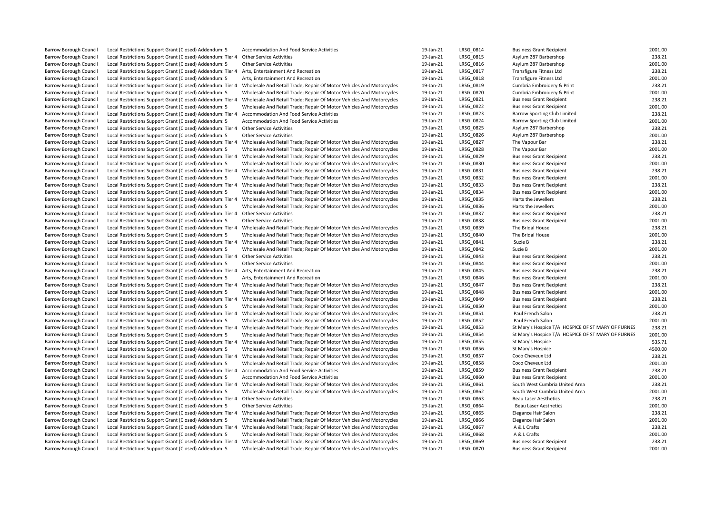| Barrow Borough Council        | Local Restrictions Support Grant (Closed) Addendum: 5      | Accommodation And Food Service Activities                            | 19-Jan-21 | LRSG_0814        | <b>Business Grant Recipient</b>                    | 2001.00 |
|-------------------------------|------------------------------------------------------------|----------------------------------------------------------------------|-----------|------------------|----------------------------------------------------|---------|
| <b>Barrow Borough Council</b> | Local Restrictions Support Grant (Closed) Addendum: Tier 4 | <b>Other Service Activities</b>                                      | 19-Jan-21 | LRSG 0815        | Asylum 287 Barbershop                              | 238.21  |
| <b>Barrow Borough Council</b> | Local Restrictions Support Grant (Closed) Addendum: 5      | <b>Other Service Activities</b>                                      | 19-Jan-21 | LRSG 0816        | Asylum 287 Barbershop                              | 2001.00 |
| <b>Barrow Borough Council</b> | Local Restrictions Support Grant (Closed) Addendum: Tier 4 | Arts, Entertainment And Recreation                                   | 19-Jan-21 | LRSG_0817        | <b>Transfigure Fitness Ltd</b>                     | 238.21  |
| <b>Barrow Borough Council</b> | Local Restrictions Support Grant (Closed) Addendum: 5      | Arts, Entertainment And Recreation                                   | 19-Jan-21 | LRSG 0818        | <b>Transfigure Fitness Ltd</b>                     | 2001.00 |
| <b>Barrow Borough Council</b> | Local Restrictions Support Grant (Closed) Addendum: Tier 4 | Wholesale And Retail Trade; Repair Of Motor Vehicles And Motorcycles | 19-Jan-21 | LRSG 0819        | Cumbria Embroidery & Print                         | 238.21  |
| Barrow Borough Council        | Local Restrictions Support Grant (Closed) Addendum: 5      | Wholesale And Retail Trade; Repair Of Motor Vehicles And Motorcycles | 19-Jan-21 | LRSG_0820        | Cumbria Embroidery & Print                         | 2001.00 |
| Barrow Borough Council        | Local Restrictions Support Grant (Closed) Addendum: Tier 4 | Wholesale And Retail Trade; Repair Of Motor Vehicles And Motorcycles | 19-Jan-21 | LRSG 0821        | <b>Business Grant Recipient</b>                    | 238.21  |
| <b>Barrow Borough Council</b> | Local Restrictions Support Grant (Closed) Addendum: 5      | Wholesale And Retail Trade; Repair Of Motor Vehicles And Motorcycles | 19-Jan-21 | LRSG_0822        | <b>Business Grant Recipient</b>                    | 2001.00 |
| Barrow Borough Council        | Local Restrictions Support Grant (Closed) Addendum: Tier 4 | Accommodation And Food Service Activities                            | 19-Jan-21 | LRSG 0823        | Barrow Sporting Club Limited                       | 238.21  |
| <b>Barrow Borough Council</b> | Local Restrictions Support Grant (Closed) Addendum: 5      | Accommodation And Food Service Activities                            | 19-Jan-21 | LRSG 0824        | <b>Barrow Sporting Club Limited</b>                | 2001.00 |
| Barrow Borough Council        | Local Restrictions Support Grant (Closed) Addendum: Tier 4 | <b>Other Service Activities</b>                                      | 19-Jan-21 | LRSG_0825        | Asylum 287 Barbershop                              | 238.21  |
| <b>Barrow Borough Council</b> | Local Restrictions Support Grant (Closed) Addendum: 5      | <b>Other Service Activities</b>                                      | 19-Jan-21 | LRSG 0826        | Asylum 287 Barbershop                              | 2001.00 |
| Barrow Borough Council        | Local Restrictions Support Grant (Closed) Addendum: Tier 4 | Wholesale And Retail Trade; Repair Of Motor Vehicles And Motorcycles | 19-Jan-21 | <b>LRSG 0827</b> | The Vapour Bar                                     | 238.21  |
| <b>Barrow Borough Council</b> | Local Restrictions Support Grant (Closed) Addendum: 5      | Wholesale And Retail Trade; Repair Of Motor Vehicles And Motorcycles | 19-Jan-21 | LRSG 0828        | The Vapour Bar                                     | 2001.00 |
| Barrow Borough Council        | Local Restrictions Support Grant (Closed) Addendum: Tier 4 | Wholesale And Retail Trade; Repair Of Motor Vehicles And Motorcycles | 19-Jan-21 | LRSG 0829        | <b>Business Grant Recipient</b>                    | 238.21  |
| <b>Barrow Borough Council</b> | Local Restrictions Support Grant (Closed) Addendum: 5      | Wholesale And Retail Trade; Repair Of Motor Vehicles And Motorcycles | 19-Jan-21 | LRSG 0830        | <b>Business Grant Recipient</b>                    | 2001.00 |
| <b>Barrow Borough Council</b> | Local Restrictions Support Grant (Closed) Addendum: Tier   | Wholesale And Retail Trade; Repair Of Motor Vehicles And Motorcycles | 19-Jan-21 | LRSG 0831        | <b>Business Grant Recipient</b>                    | 238.21  |
| <b>Barrow Borough Council</b> | Local Restrictions Support Grant (Closed) Addendum: 5      | Wholesale And Retail Trade; Repair Of Motor Vehicles And Motorcycles | 19-Jan-21 | LRSG_0832        | <b>Business Grant Recipient</b>                    | 2001.00 |
| Barrow Borough Council        | Local Restrictions Support Grant (Closed) Addendum: Tier 4 | Wholesale And Retail Trade; Repair Of Motor Vehicles And Motorcycles | 19-Jan-21 | LRSG 0833        | <b>Business Grant Recipient</b>                    | 238.21  |
| <b>Barrow Borough Council</b> | Local Restrictions Support Grant (Closed) Addendum: 5      | Wholesale And Retail Trade; Repair Of Motor Vehicles And Motorcycles | 19-Jan-21 | LRSG 0834        | <b>Business Grant Recipient</b>                    | 2001.00 |
| <b>Barrow Borough Council</b> | Local Restrictions Support Grant (Closed) Addendum: Tier 4 | Wholesale And Retail Trade; Repair Of Motor Vehicles And Motorcycles | 19-Jan-21 | LRSG 0835        | Harts the Jewellers                                | 238.21  |
| Barrow Borough Council        | Local Restrictions Support Grant (Closed) Addendum: 5      | Wholesale And Retail Trade; Repair Of Motor Vehicles And Motorcycles | 19-Jan-21 | LRSG_0836        | Harts the Jewellers                                | 2001.00 |
| Barrow Borough Council        | Local Restrictions Support Grant (Closed) Addendum: Tier 4 | <b>Other Service Activities</b>                                      | 19-Jan-21 | LRSG 0837        | <b>Business Grant Recipient</b>                    | 238.21  |
| <b>Barrow Borough Council</b> | Local Restrictions Support Grant (Closed) Addendum: 5      | <b>Other Service Activities</b>                                      | 19-Jan-21 | LRSG 0838        | <b>Business Grant Recipient</b>                    | 2001.00 |
| <b>Barrow Borough Council</b> | Local Restrictions Support Grant (Closed) Addendum: Tier 4 | Wholesale And Retail Trade; Repair Of Motor Vehicles And Motorcycles | 19-Jan-21 | LRSG 0839        | The Bridal House                                   | 238.21  |
| Barrow Borough Council        | Local Restrictions Support Grant (Closed) Addendum: 5      | Wholesale And Retail Trade; Repair Of Motor Vehicles And Motorcycles | 19-Jan-21 | LRSG 0840        | The Bridal House                                   | 2001.00 |
| Barrow Borough Council        | Local Restrictions Support Grant (Closed) Addendum: Tier 4 | Wholesale And Retail Trade; Repair Of Motor Vehicles And Motorcycles | 19-Jan-21 | LRSG 0841        | Suzie B                                            | 238.21  |
| <b>Barrow Borough Council</b> | Local Restrictions Support Grant (Closed) Addendum: 5      | Wholesale And Retail Trade; Repair Of Motor Vehicles And Motorcycles | 19-Jan-21 | LRSG 0842        | Suzie B                                            | 2001.00 |
| <b>Barrow Borough Council</b> | Local Restrictions Support Grant (Closed) Addendum: Tier 4 | <b>Other Service Activities</b>                                      | 19-Jan-21 | LRSG 0843        | <b>Business Grant Recipient</b>                    | 238.21  |
| Barrow Borough Council        | Local Restrictions Support Grant (Closed) Addendum: 5      | <b>Other Service Activities</b>                                      | 19-Jan-21 | LRSG_0844        | <b>Business Grant Recipient</b>                    | 2001.00 |
| <b>Barrow Borough Council</b> | Local Restrictions Support Grant (Closed) Addendum: Tier 4 | Arts, Entertainment And Recreation                                   | 19-Jan-21 | LRSG 0845        | <b>Business Grant Recipient</b>                    | 238.21  |
| Barrow Borough Council        | Local Restrictions Support Grant (Closed) Addendum: 5      | Arts, Entertainment And Recreation                                   | 19-Jan-21 | LRSG 0846        | <b>Business Grant Recipient</b>                    | 2001.00 |
| <b>Barrow Borough Council</b> | Local Restrictions Support Grant (Closed) Addendum: Tier   | Wholesale And Retail Trade; Repair Of Motor Vehicles And Motorcycles | 19-Jan-21 | LRSG 0847        | <b>Business Grant Recipient</b>                    | 238.21  |
| Barrow Borough Council        | Local Restrictions Support Grant (Closed) Addendum: 5      | Wholesale And Retail Trade; Repair Of Motor Vehicles And Motorcycles | 19-Jan-21 | LRSG 0848        | <b>Business Grant Recipient</b>                    | 2001.00 |
| Barrow Borough Council        | Local Restrictions Support Grant (Closed) Addendum: Tier 4 | Wholesale And Retail Trade; Repair Of Motor Vehicles And Motorcycles | 19-Jan-21 | LRSG_0849        | <b>Business Grant Recipient</b>                    | 238.21  |
| <b>Barrow Borough Council</b> | Local Restrictions Support Grant (Closed) Addendum: 5      | Wholesale And Retail Trade; Repair Of Motor Vehicles And Motorcycles | 19-Jan-21 | <b>LRSG 0850</b> | <b>Business Grant Recipient</b>                    | 2001.00 |
| <b>Barrow Borough Council</b> | Local Restrictions Support Grant (Closed) Addendum: Tier 4 | Wholesale And Retail Trade; Repair Of Motor Vehicles And Motorcycles | 19-Jan-21 | LRSG 0851        | Paul French Salon                                  | 238.21  |
| <b>Barrow Borough Council</b> | Local Restrictions Support Grant (Closed) Addendum: 5      | Wholesale And Retail Trade; Repair Of Motor Vehicles And Motorcycles | 19-Jan-21 | LRSG 0852        | Paul French Salon                                  | 2001.00 |
| <b>Barrow Borough Council</b> | Local Restrictions Support Grant (Closed) Addendum: Tier   | Wholesale And Retail Trade; Repair Of Motor Vehicles And Motorcycles | 19-Jan-21 | LRSG 0853        | St Mary's Hospice T/A HOSPICE OF ST MARY OF FURNES | 238.21  |
| <b>Barrow Borough Council</b> | Local Restrictions Support Grant (Closed) Addendum: 5      | Wholesale And Retail Trade; Repair Of Motor Vehicles And Motorcycles | 19-Jan-21 | <b>LRSG 0854</b> | St Mary's Hospice T/A HOSPICE OF ST MARY OF FURNES | 2001.00 |
| Barrow Borough Council        | Local Restrictions Support Grant (Closed) Addendum: Tier 4 | Wholesale And Retail Trade; Repair Of Motor Vehicles And Motorcycles | 19-Jan-21 | LRSG_0855        | St Mary's Hospice                                  | 535.71  |
| <b>Barrow Borough Council</b> | Local Restrictions Support Grant (Closed) Addendum: 5      | Wholesale And Retail Trade; Repair Of Motor Vehicles And Motorcycles | 19-Jan-21 | LRSG_0856        | St Mary's Hospice                                  | 4500.00 |
| <b>Barrow Borough Council</b> | Local Restrictions Support Grant (Closed) Addendum: Tier 4 | Wholesale And Retail Trade; Repair Of Motor Vehicles And Motorcycles | 19-Jan-21 | <b>LRSG 0857</b> | Coco Cheveux Ltd                                   | 238.21  |
| <b>Barrow Borough Council</b> | Local Restrictions Support Grant (Closed) Addendum: 5      | Wholesale And Retail Trade; Repair Of Motor Vehicles And Motorcycles | 19-Jan-21 | LRSG 0858        | Coco Cheveux Ltd                                   | 2001.00 |
| Barrow Borough Council        | Local Restrictions Support Grant (Closed) Addendum: Tier 4 | Accommodation And Food Service Activities                            | 19-Jan-21 | LRSG 0859        | <b>Business Grant Recipient</b>                    | 238.21  |
| Barrow Borough Council        | Local Restrictions Support Grant (Closed) Addendum: 5      | Accommodation And Food Service Activities                            | 19-Jan-21 | LRSG 0860        | <b>Business Grant Recipient</b>                    | 2001.00 |
| <b>Barrow Borough Council</b> | Local Restrictions Support Grant (Closed) Addendum: Tier 4 | Wholesale And Retail Trade; Repair Of Motor Vehicles And Motorcycles | 19-Jan-21 | LRSG 0861        | South West Cumbria United Area                     | 238.21  |
| <b>Barrow Borough Council</b> | Local Restrictions Support Grant (Closed) Addendum: 5      | Wholesale And Retail Trade; Repair Of Motor Vehicles And Motorcycles | 19-Jan-21 | LRSG 0862        | South West Cumbria United Area                     | 2001.00 |
| Barrow Borough Council        | Local Restrictions Support Grant (Closed) Addendum: Tier 4 | <b>Other Service Activities</b>                                      | 19-Jan-21 | LRSG_0863        | <b>Beau Laser Aesthetics</b>                       | 238.21  |
| <b>Barrow Borough Council</b> | Local Restrictions Support Grant (Closed) Addendum: 5      | <b>Other Service Activities</b>                                      | 19-Jan-21 | LRSG 0864        | <b>Beau Laser Aesthetics</b>                       | 2001.00 |
| <b>Barrow Borough Council</b> | Local Restrictions Support Grant (Closed) Addendum: Tier 4 | Wholesale And Retail Trade; Repair Of Motor Vehicles And Motorcycles | 19-Jan-21 | <b>LRSG 0865</b> | Elegance Hair Salon                                | 238.21  |
| <b>Barrow Borough Council</b> | Local Restrictions Support Grant (Closed) Addendum: 5      | Wholesale And Retail Trade; Repair Of Motor Vehicles And Motorcycles | 19-Jan-21 | LRSG 0866        | Elegance Hair Salon                                | 2001.00 |
| <b>Barrow Borough Council</b> | Local Restrictions Support Grant (Closed) Addendum: Tier 4 | Wholesale And Retail Trade; Repair Of Motor Vehicles And Motorcycles | 19-Jan-21 | LRSG 0867        | A & L Crafts                                       | 238.21  |
| <b>Barrow Borough Council</b> | Local Restrictions Support Grant (Closed) Addendum: 5      | Wholesale And Retail Trade; Repair Of Motor Vehicles And Motorcycles | 19-Jan-21 | LRSG_0868        | A & L Crafts                                       | 2001.00 |
| <b>Barrow Borough Council</b> | Local Restrictions Support Grant (Closed) Addendum: Tier 4 | Wholesale And Retail Trade; Repair Of Motor Vehicles And Motorcycles | 19-Jan-21 | LRSG 0869        | <b>Business Grant Recipient</b>                    | 238.21  |
| <b>Barrow Borough Council</b> | Local Restrictions Support Grant (Closed) Addendum: 5      | Wholesale And Retail Trade; Repair Of Motor Vehicles And Motorcycles | 19-Jan-21 | <b>LRSG 0870</b> | <b>Business Grant Recipient</b>                    | 2001.00 |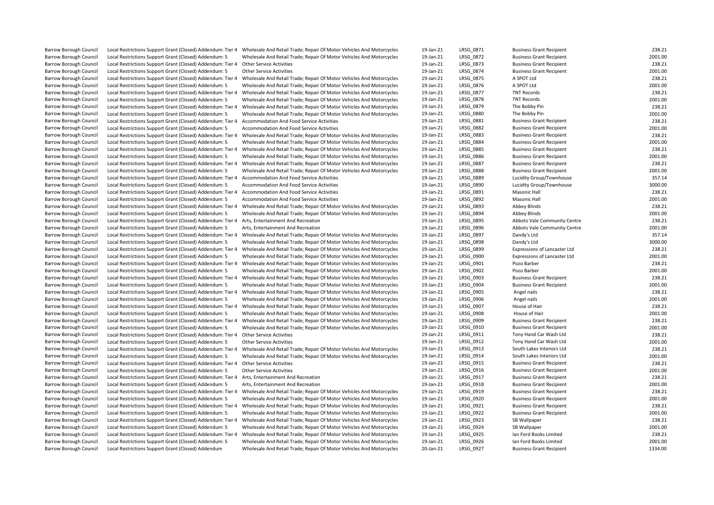| <b>Barrow Borough Council</b>                           | Local Restrictions Support Grant (Closed) Addendum: Tier 4                                                          | Wholesale And Retail Trade; Repair Of Motor Vehicles And Motorcycles                   | 19-Jan-21 | LRSG_0871        | <b>Business Grant Recipient</b> | 238.21  |
|---------------------------------------------------------|---------------------------------------------------------------------------------------------------------------------|----------------------------------------------------------------------------------------|-----------|------------------|---------------------------------|---------|
| Barrow Borough Council                                  | Local Restrictions Support Grant (Closed) Addendum: 5                                                               | Wholesale And Retail Trade; Repair Of Motor Vehicles And Motorcycles                   | 19-Jan-21 | LRSG_0872        | <b>Business Grant Recipient</b> | 2001.00 |
| <b>Barrow Borough Council</b>                           | Local Restrictions Support Grant (Closed) Addendum: Tier 4                                                          | <b>Other Service Activities</b>                                                        | 19-Jan-21 | LRSG 0873        | <b>Business Grant Recipient</b> | 238.21  |
| Barrow Borough Council                                  | Local Restrictions Support Grant (Closed) Addendum: 5                                                               | <b>Other Service Activities</b>                                                        | 19-Jan-21 | LRSG_0874        | <b>Business Grant Recipient</b> | 2001.00 |
| <b>Barrow Borough Council</b>                           | Local Restrictions Support Grant (Closed) Addendum: Tier 4                                                          | Wholesale And Retail Trade; Repair Of Motor Vehicles And Motorcycles                   | 19-Jan-21 | LRSG 0875        | A SPOT Ltd                      | 238.21  |
| <b>Barrow Borough Council</b>                           | Local Restrictions Support Grant (Closed) Addendum: 5                                                               | Wholesale And Retail Trade; Repair Of Motor Vehicles And Motorcycles                   | 19-Jan-21 | LRSG 0876        | A SPOT Ltd                      | 2001.00 |
| Barrow Borough Council                                  | Local Restrictions Support Grant (Closed) Addendum: Tier 4                                                          | Wholesale And Retail Trade; Repair Of Motor Vehicles And Motorcycles                   | 19-Jan-21 | LRSG 0877        | <b>TNT Records</b>              | 238.21  |
| <b>Barrow Borough Council</b>                           | Local Restrictions Support Grant (Closed) Addendum: 5                                                               | Wholesale And Retail Trade; Repair Of Motor Vehicles And Motorcycles                   | 19-Jan-21 | LRSG 0878        | <b>TNT Records</b>              | 2001.00 |
| <b>Barrow Borough Council</b>                           | Local Restrictions Support Grant (Closed) Addendum: Tier 4                                                          | Wholesale And Retail Trade; Repair Of Motor Vehicles And Motorcycles                   | 19-Jan-21 | LRSG 0879        | The Bobby Pin                   | 238.21  |
| Barrow Borough Council                                  | Local Restrictions Support Grant (Closed) Addendum: 5                                                               | Wholesale And Retail Trade; Repair Of Motor Vehicles And Motorcycles                   | 19-Jan-21 | LRSG 0880        | The Bobby Pin                   | 2001.00 |
| <b>Barrow Borough Council</b>                           | Local Restrictions Support Grant (Closed) Addendum: Tier 4                                                          | Accommodation And Food Service Activities                                              | 19-Jan-21 | LRSG 0881        | <b>Business Grant Recipient</b> | 238.21  |
| Barrow Borough Council                                  | Local Restrictions Support Grant (Closed) Addendum: 5                                                               | Accommodation And Food Service Activities                                              | 19-Jan-21 | <b>LRSG 0882</b> | <b>Business Grant Recipient</b> | 2001.00 |
| Barrow Borough Council                                  | Local Restrictions Support Grant (Closed) Addendum: Tier 4                                                          | Wholesale And Retail Trade; Repair Of Motor Vehicles And Motorcycles                   | 19-Jan-21 | LRSG_0883        | <b>Business Grant Recipient</b> | 238.21  |
| Barrow Borough Council                                  | Local Restrictions Support Grant (Closed) Addendum: 5                                                               | Wholesale And Retail Trade; Repair Of Motor Vehicles And Motorcycles                   | 19-Jan-21 | LRSG 0884        | <b>Business Grant Recipient</b> | 2001.00 |
| <b>Barrow Borough Council</b>                           | Local Restrictions Support Grant (Closed) Addendum: Tier                                                            | Wholesale And Retail Trade; Repair Of Motor Vehicles And Motorcycles                   | 19-Jan-21 | LRSG_0885        | <b>Business Grant Recipient</b> | 238.21  |
| Barrow Borough Council                                  | Local Restrictions Support Grant (Closed) Addendum: 5                                                               | Wholesale And Retail Trade; Repair Of Motor Vehicles And Motorcycles                   | 19-Jan-21 | LRSG_0886        | <b>Business Grant Recipient</b> | 2001.00 |
| Barrow Borough Council                                  | Local Restrictions Support Grant (Closed) Addendum: Tier 4                                                          | Wholesale And Retail Trade; Repair Of Motor Vehicles And Motorcycles                   | 19-Jan-21 | LRSG 0887        | <b>Business Grant Recipient</b> | 238.21  |
| <b>Barrow Borough Council</b>                           | Local Restrictions Support Grant (Closed) Addendum: 5                                                               | Wholesale And Retail Trade; Repair Of Motor Vehicles And Motorcycles                   | 19-Jan-21 | <b>LRSG 0888</b> | <b>Business Grant Recipient</b> | 2001.00 |
| Barrow Borough Council                                  | Local Restrictions Support Grant (Closed) Addendum: Tier 4                                                          | Accommodation And Food Service Activities                                              | 19-Jan-21 | LRSG 0889        | Lucidity Group/Townhouse        | 357.14  |
| <b>Barrow Borough Council</b>                           | Local Restrictions Support Grant (Closed) Addendum: 5                                                               | Accommodation And Food Service Activities                                              | 19-Jan-21 | LRSG 0890        | Lucidity Group/Townhouse        | 3000.00 |
| Barrow Borough Council                                  |                                                                                                                     |                                                                                        | 19-Jan-21 | LRSG_0891        | Masonic Hall                    | 238.21  |
| <b>Barrow Borough Council</b>                           | Local Restrictions Support Grant (Closed) Addendum: Tier 4                                                          | Accommodation And Food Service Activities<br>Accommodation And Food Service Activities | 19-Jan-21 | LRSG 0892        | Masonic Hall                    | 2001.00 |
| <b>Barrow Borough Council</b>                           | Local Restrictions Support Grant (Closed) Addendum: 5<br>Local Restrictions Support Grant (Closed) Addendum: Tier 4 | Wholesale And Retail Trade; Repair Of Motor Vehicles And Motorcycles                   | 19-Jan-21 | LRSG 0893        | Abbey Blinds                    | 238.21  |
|                                                         |                                                                                                                     |                                                                                        |           |                  |                                 |         |
| Barrow Borough Council                                  | Local Restrictions Support Grant (Closed) Addendum: 5                                                               | Wholesale And Retail Trade; Repair Of Motor Vehicles And Motorcycles                   | 19-Jan-21 | LRSG_0894        | Abbey Blinds                    | 2001.00 |
| Barrow Borough Council<br><b>Barrow Borough Council</b> | Local Restrictions Support Grant (Closed) Addendum: Tier 4                                                          | Arts, Entertainment And Recreation                                                     | 19-Jan-21 | <b>LRSG 0895</b> | Abbots Vale Community Centre    | 238.21  |
|                                                         | Local Restrictions Support Grant (Closed) Addendum: 5                                                               | Arts, Entertainment And Recreation                                                     | 19-Jan-21 | LRSG 0896        | Abbots Vale Community Centre    | 2001.00 |
| Barrow Borough Council                                  | Local Restrictions Support Grant (Closed) Addendum: Tier 4                                                          | Wholesale And Retail Trade; Repair Of Motor Vehicles And Motorcycles                   | 19-Jan-21 | LRSG_0897        | Dandy's Ltd                     | 357.14  |
| <b>Barrow Borough Council</b>                           | Local Restrictions Support Grant (Closed) Addendum: 5                                                               | Wholesale And Retail Trade; Repair Of Motor Vehicles And Motorcycles                   | 19-Jan-21 | LRSG 0898        | Dandy's Ltd                     | 3000.00 |
| <b>Barrow Borough Council</b>                           | Local Restrictions Support Grant (Closed) Addendum: Tier 4                                                          | Wholesale And Retail Trade; Repair Of Motor Vehicles And Motorcycles                   | 19-Jan-21 | LRSG 0899        | Expressions of Lancaster Ltd    | 238.21  |
| Barrow Borough Council                                  | Local Restrictions Support Grant (Closed) Addendum: 5                                                               | Wholesale And Retail Trade; Repair Of Motor Vehicles And Motorcycles                   | 19-Jan-21 | LRSG 0900        | Expressions of Lancaster Ltd    | 2001.00 |
| <b>Barrow Borough Council</b>                           | Local Restrictions Support Grant (Closed) Addendum: Tier 4                                                          | Wholesale And Retail Trade; Repair Of Motor Vehicles And Motorcycles                   | 19-Jan-21 | LRSG_0901        | Pozo Barber                     | 238.21  |
| <b>Barrow Borough Council</b>                           | Local Restrictions Support Grant (Closed) Addendum: 5                                                               | Wholesale And Retail Trade; Repair Of Motor Vehicles And Motorcycles                   | 19-Jan-21 | LRSG 0902        | Pozo Barber                     | 2001.00 |
| Barrow Borough Council                                  | Local Restrictions Support Grant (Closed) Addendum: Tier 4                                                          | Wholesale And Retail Trade; Repair Of Motor Vehicles And Motorcycles                   | 19-Jan-21 | LRSG 0903        | <b>Business Grant Recipient</b> | 238.21  |
| <b>Barrow Borough Council</b>                           | Local Restrictions Support Grant (Closed) Addendum: 5                                                               | Wholesale And Retail Trade; Repair Of Motor Vehicles And Motorcycles                   | 19-Jan-21 | LRSG 0904        | <b>Business Grant Recipient</b> | 2001.00 |
| Barrow Borough Council                                  | Local Restrictions Support Grant (Closed) Addendum: Tier 4                                                          | Wholesale And Retail Trade; Repair Of Motor Vehicles And Motorcycles                   | 19-Jan-21 | LRSG_0905        | Angel nails                     | 238.21  |
| Barrow Borough Council                                  | Local Restrictions Support Grant (Closed) Addendum: 5                                                               | Wholesale And Retail Trade; Repair Of Motor Vehicles And Motorcycles                   | 19-Jan-21 | LRSG_0906        | Angel nails                     | 2001.00 |
| <b>Barrow Borough Council</b>                           | Local Restrictions Support Grant (Closed) Addendum: Tier                                                            | Wholesale And Retail Trade; Repair Of Motor Vehicles And Motorcycles                   | 19-Jan-21 | LRSG 0907        | House of Hair                   | 238.21  |
| <b>Barrow Borough Council</b>                           | Local Restrictions Support Grant (Closed) Addendum: 5                                                               | Wholesale And Retail Trade; Repair Of Motor Vehicles And Motorcycles                   | 19-Jan-21 | LRSG_0908        | House of Hair                   | 2001.00 |
| <b>Barrow Borough Council</b>                           | Local Restrictions Support Grant (Closed) Addendum: Tier 4                                                          | Wholesale And Retail Trade; Repair Of Motor Vehicles And Motorcycles                   | 19-Jan-21 | LRSG 0909        | <b>Business Grant Recipient</b> | 238.21  |
| <b>Barrow Borough Council</b>                           | Local Restrictions Support Grant (Closed) Addendum: 5                                                               | Wholesale And Retail Trade; Repair Of Motor Vehicles And Motorcycles                   | 19-Jan-21 | LRSG 0910        | <b>Business Grant Recipient</b> | 2001.00 |
| <b>Barrow Borough Council</b>                           | Local Restrictions Support Grant (Closed) Addendum: Tier 4                                                          | <b>Other Service Activities</b>                                                        | 19-Jan-21 | LRSG 0911        | Tony Hand Car Wash Ltd          | 238.21  |
| <b>Barrow Borough Council</b>                           | Local Restrictions Support Grant (Closed) Addendum: 5                                                               | <b>Other Service Activities</b>                                                        | 19-Jan-21 | LRSG_0912        | Tony Hand Car Wash Ltd          | 2001.00 |
| <b>Barrow Borough Council</b>                           | Local Restrictions Support Grant (Closed) Addendum: Tier 4                                                          | Wholesale And Retail Trade; Repair Of Motor Vehicles And Motorcycles                   | 19-Jan-21 | LRSG_0913        | South Lakes Interiors Ltd       | 238.21  |
| <b>Barrow Borough Council</b>                           | Local Restrictions Support Grant (Closed) Addendum: 5                                                               | Wholesale And Retail Trade; Repair Of Motor Vehicles And Motorcycles                   | 19-Jan-21 | LRSG 0914        | South Lakes Interiors Ltd       | 2001.00 |
| <b>Barrow Borough Council</b>                           | Local Restrictions Support Grant (Closed) Addendum: Tier 4                                                          | <b>Other Service Activities</b>                                                        | 19-Jan-21 | LRSG_0915        | <b>Business Grant Recipient</b> | 238.21  |
| <b>Barrow Borough Council</b>                           | Local Restrictions Support Grant (Closed) Addendum: 5                                                               | <b>Other Service Activities</b>                                                        | 19-Jan-21 | LRSG 0916        | <b>Business Grant Recipient</b> | 2001.00 |
| <b>Barrow Borough Council</b>                           | Local Restrictions Support Grant (Closed) Addendum: Tier 4                                                          | Arts, Entertainment And Recreation                                                     | 19-Jan-21 | LRSG 0917        | <b>Business Grant Recipient</b> | 238.21  |
| <b>Barrow Borough Council</b>                           | Local Restrictions Support Grant (Closed) Addendum: 5                                                               | Arts, Entertainment And Recreation                                                     | 19-Jan-21 | LRSG 0918        | <b>Business Grant Recipient</b> | 2001.00 |
| <b>Barrow Borough Council</b>                           | Local Restrictions Support Grant (Closed) Addendum: Tier 4                                                          | Wholesale And Retail Trade; Repair Of Motor Vehicles And Motorcycles                   | 19-Jan-21 | LRSG 0919        | <b>Business Grant Recipient</b> | 238.21  |
| <b>Barrow Borough Council</b>                           | Local Restrictions Support Grant (Closed) Addendum: 5                                                               | Wholesale And Retail Trade; Repair Of Motor Vehicles And Motorcycles                   | 19-Jan-21 | LRSG_0920        | <b>Business Grant Recipient</b> | 2001.00 |
| <b>Barrow Borough Council</b>                           | Local Restrictions Support Grant (Closed) Addendum: Tier 4                                                          | Wholesale And Retail Trade; Repair Of Motor Vehicles And Motorcycles                   | 19-Jan-21 | LRSG 0921        | <b>Business Grant Recipient</b> | 238.21  |
| <b>Barrow Borough Council</b>                           | Local Restrictions Support Grant (Closed) Addendum: 5                                                               | Wholesale And Retail Trade; Repair Of Motor Vehicles And Motorcycles                   | 19-Jan-21 | <b>LRSG 0922</b> | <b>Business Grant Recipient</b> | 2001.00 |
| <b>Barrow Borough Council</b>                           | Local Restrictions Support Grant (Closed) Addendum: Tier                                                            | Wholesale And Retail Trade; Repair Of Motor Vehicles And Motorcycles                   | 19-Jan-21 | LRSG_0923        | SB Wallpaper                    | 238.21  |
| <b>Barrow Borough Council</b>                           | Local Restrictions Support Grant (Closed) Addendum: 5                                                               | Wholesale And Retail Trade; Repair Of Motor Vehicles And Motorcycles                   | 19-Jan-21 | LRSG 0924        | SB Wallpaper                    | 2001.00 |
| <b>Barrow Borough Council</b>                           | Local Restrictions Support Grant (Closed) Addendum: Tier 4                                                          | Wholesale And Retail Trade; Repair Of Motor Vehicles And Motorcycles                   | 19-Jan-21 | LRSG_0925        | Ian Ford Books Limited          | 238.21  |
| <b>Barrow Borough Council</b>                           | Local Restrictions Support Grant (Closed) Addendum: 5                                                               | Wholesale And Retail Trade; Repair Of Motor Vehicles And Motorcycles                   | 19-Jan-21 | LRSG 0926        | Ian Ford Books Limited          | 2001.00 |
| <b>Barrow Borough Council</b>                           | Local Restrictions Support Grant (Closed) Addendum                                                                  | Wholesale And Retail Trade; Repair Of Motor Vehicles And Motorcycles                   | 20-Jan-21 | LRSG 0927        | <b>Business Grant Recipient</b> | 1334.00 |
|                                                         |                                                                                                                     |                                                                                        |           |                  |                                 |         |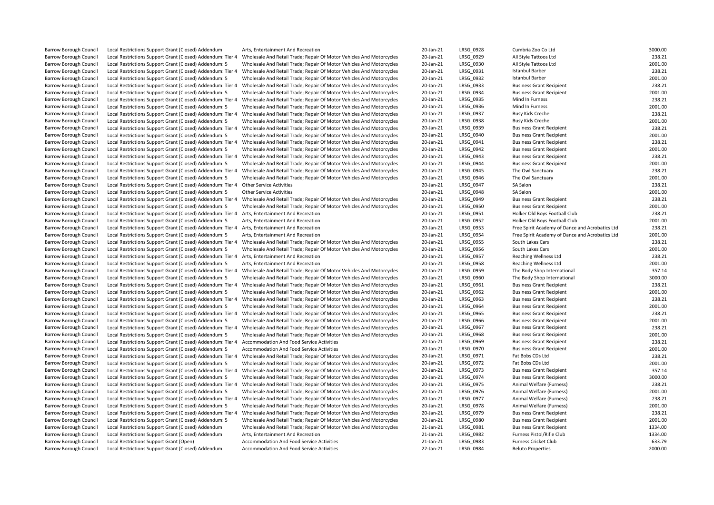| <b>Barrow Borough Council</b> | Local Restrictions Support Grant (Closed) Addendum                                                                  | Arts, Entertainment And Recreation                                                                                                           | 20-Jan-21 | LRSG_0928        | Cumbria Zoo Co Ltd                              | 3000.00           |
|-------------------------------|---------------------------------------------------------------------------------------------------------------------|----------------------------------------------------------------------------------------------------------------------------------------------|-----------|------------------|-------------------------------------------------|-------------------|
| <b>Barrow Borough Council</b> | Local Restrictions Support Grant (Closed) Addendum: Tier 4                                                          | Wholesale And Retail Trade; Repair Of Motor Vehicles And Motorcycles                                                                         | 20-Jan-21 | LRSG_0929        | All Style Tattoos Ltd                           | 238.21            |
| <b>Barrow Borough Council</b> | Local Restrictions Support Grant (Closed) Addendum: 5                                                               | Wholesale And Retail Trade; Repair Of Motor Vehicles And Motorcycles                                                                         | 20-Jan-21 | LRSG 0930        | All Style Tattoos Ltd                           | 2001.00           |
| <b>Barrow Borough Council</b> | Local Restrictions Support Grant (Closed) Addendum: Tier 4                                                          | Wholesale And Retail Trade; Repair Of Motor Vehicles And Motorcycles                                                                         | 20-Jan-21 | LRSG_0931        | <b>Istanbul Barber</b>                          | 238.21            |
| <b>Barrow Borough Council</b> | Local Restrictions Support Grant (Closed) Addendum: 5                                                               | Wholesale And Retail Trade; Repair Of Motor Vehicles And Motorcycles                                                                         | 20-Jan-21 | LRSG 0932        | <b>Istanbul Barber</b>                          | 2001.00           |
| <b>Barrow Borough Council</b> | Local Restrictions Support Grant (Closed) Addendum: Tier 4                                                          | Wholesale And Retail Trade; Repair Of Motor Vehicles And Motorcycles                                                                         | 20-Jan-21 | LRSG 0933        | <b>Business Grant Recipient</b>                 | 238.21            |
| Barrow Borough Council        | Local Restrictions Support Grant (Closed) Addendum: 5                                                               | Wholesale And Retail Trade; Repair Of Motor Vehicles And Motorcycles                                                                         | 20-Jan-21 | LRSG 0934        | <b>Business Grant Recipient</b>                 | 2001.00           |
| <b>Barrow Borough Council</b> | Local Restrictions Support Grant (Closed) Addendum: Tier 4                                                          | Wholesale And Retail Trade; Repair Of Motor Vehicles And Motorcycles                                                                         | 20-Jan-21 | LRSG 0935        | Mind In Furness                                 | 238.21            |
| <b>Barrow Borough Council</b> | Local Restrictions Support Grant (Closed) Addendum: 5                                                               | Wholesale And Retail Trade; Repair Of Motor Vehicles And Motorcycles                                                                         | 20-Jan-21 | LRSG 0936        | Mind In Furness                                 | 2001.00           |
| Barrow Borough Council        | Local Restrictions Support Grant (Closed) Addendum: Tier 4                                                          | Wholesale And Retail Trade; Repair Of Motor Vehicles And Motorcycles                                                                         | 20-Jan-21 | LRSG 0937        | <b>Busy Kids Creche</b>                         | 238.21            |
| <b>Barrow Borough Council</b> | Local Restrictions Support Grant (Closed) Addendum: 5                                                               | Wholesale And Retail Trade; Repair Of Motor Vehicles And Motorcycles                                                                         | 20-Jan-21 | LRSG 0938        | <b>Busy Kids Creche</b>                         | 2001.00           |
| <b>Barrow Borough Council</b> | Local Restrictions Support Grant (Closed) Addendum: Tier 4                                                          | Wholesale And Retail Trade; Repair Of Motor Vehicles And Motorcycles                                                                         | 20-Jan-21 | LRSG 0939        | <b>Business Grant Recipient</b>                 | 238.21            |
| <b>Barrow Borough Council</b> | Local Restrictions Support Grant (Closed) Addendum: 5                                                               | Wholesale And Retail Trade; Repair Of Motor Vehicles And Motorcycles                                                                         | 20-Jan-21 | LRSG 0940        | <b>Business Grant Recipient</b>                 | 2001.00           |
| <b>Barrow Borough Council</b> | Local Restrictions Support Grant (Closed) Addendum: Tier 4                                                          | Wholesale And Retail Trade; Repair Of Motor Vehicles And Motorcycles                                                                         | 20-Jan-21 | LRSG 0941        | <b>Business Grant Recipient</b>                 | 238.21            |
| <b>Barrow Borough Council</b> | Local Restrictions Support Grant (Closed) Addendum: 5                                                               | Wholesale And Retail Trade; Repair Of Motor Vehicles And Motorcycles                                                                         | 20-Jan-21 | LRSG 0942        | <b>Business Grant Recipient</b>                 | 2001.00           |
| <b>Barrow Borough Council</b> | Local Restrictions Support Grant (Closed) Addendum: Tier 4                                                          | Wholesale And Retail Trade; Repair Of Motor Vehicles And Motorcycles                                                                         | 20-Jan-21 | LRSG 0943        | <b>Business Grant Recipient</b>                 | 238.21            |
| <b>Barrow Borough Council</b> | Local Restrictions Support Grant (Closed) Addendum: 5                                                               | Wholesale And Retail Trade; Repair Of Motor Vehicles And Motorcycles                                                                         | 20-Jan-21 | LRSG 0944        | <b>Business Grant Recipient</b>                 | 2001.00           |
| <b>Barrow Borough Council</b> | Local Restrictions Support Grant (Closed) Addendum: Tier 4                                                          | Wholesale And Retail Trade; Repair Of Motor Vehicles And Motorcycles                                                                         | 20-Jan-21 | LRSG 0945        | The Owl Sanctuary                               | 238.21            |
| <b>Barrow Borough Council</b> | Local Restrictions Support Grant (Closed) Addendum: 5                                                               | Wholesale And Retail Trade; Repair Of Motor Vehicles And Motorcycles                                                                         | 20-Jan-21 | LRSG 0946        | The Owl Sanctuary                               | 2001.00           |
| <b>Barrow Borough Council</b> | Local Restrictions Support Grant (Closed) Addendum: Tier 4 Other Service Activities                                 |                                                                                                                                              | 20-Jan-21 | LRSG 0947        | SA Salon                                        | 238.21            |
| <b>Barrow Borough Council</b> | Local Restrictions Support Grant (Closed) Addendum: 5                                                               | <b>Other Service Activities</b>                                                                                                              | 20-Jan-21 | LRSG 0948        | SA Salon                                        | 2001.00           |
| <b>Barrow Borough Council</b> | Local Restrictions Support Grant (Closed) Addendum: Tier 4                                                          | Wholesale And Retail Trade; Repair Of Motor Vehicles And Motorcycles                                                                         | 20-Jan-21 | LRSG 0949        | <b>Business Grant Recipient</b>                 | 238.21            |
| <b>Barrow Borough Council</b> | Local Restrictions Support Grant (Closed) Addendum: 5                                                               | Wholesale And Retail Trade; Repair Of Motor Vehicles And Motorcycles                                                                         | 20-Jan-21 | LRSG_0950        | <b>Business Grant Recipient</b>                 | 2001.00           |
| <b>Barrow Borough Council</b> | Local Restrictions Support Grant (Closed) Addendum: Tier 4                                                          | Arts, Entertainment And Recreation                                                                                                           | 20-Jan-21 | LRSG_0951        | Holker Old Boys Football Club                   | 238.21            |
| <b>Barrow Borough Council</b> | Local Restrictions Support Grant (Closed) Addendum: 5                                                               | Arts, Entertainment And Recreation                                                                                                           | 20-Jan-21 | LRSG 0952        | Holker Old Boys Football Club                   | 2001.00           |
| <b>Barrow Borough Council</b> | Local Restrictions Support Grant (Closed) Addendum: Tier 4 Arts, Entertainment And Recreation                       |                                                                                                                                              | 20-Jan-21 | LRSG_0953        | Free Spirit Academy of Dance and Acrobatics Ltd | 238.21            |
| <b>Barrow Borough Council</b> | Local Restrictions Support Grant (Closed) Addendum: 5                                                               | Arts, Entertainment And Recreation                                                                                                           | 20-Jan-21 | LRSG 0954        | Free Spirit Academy of Dance and Acrobatics Ltd | 2001.00           |
| <b>Barrow Borough Council</b> | Local Restrictions Support Grant (Closed) Addendum: Tier 4                                                          | Wholesale And Retail Trade; Repair Of Motor Vehicles And Motorcycles                                                                         | 20-Jan-21 | LRSG 0955        | South Lakes Cars                                | 238.21            |
| Barrow Borough Council        | Local Restrictions Support Grant (Closed) Addendum: 5                                                               | Wholesale And Retail Trade; Repair Of Motor Vehicles And Motorcycles                                                                         | 20-Jan-21 | LRSG 0956        | South Lakes Cars                                | 2001.00           |
| <b>Barrow Borough Council</b> | Local Restrictions Support Grant (Closed) Addendum: Tier 4 Arts, Entertainment And Recreation                       |                                                                                                                                              | 20-Jan-21 | LRSG_0957        | Reaching Wellness Ltd                           | 238.21            |
| <b>Barrow Borough Council</b> | Local Restrictions Support Grant (Closed) Addendum: 5                                                               | Arts, Entertainment And Recreation                                                                                                           | 20-Jan-21 | LRSG 0958        | <b>Reaching Wellness Ltd</b>                    | 2001.00           |
| Barrow Borough Council        | Local Restrictions Support Grant (Closed) Addendum: Tier 4                                                          | Wholesale And Retail Trade; Repair Of Motor Vehicles And Motorcycles                                                                         | 20-Jan-21 | LRSG 0959        | The Body Shop International                     | 357.14            |
| <b>Barrow Borough Council</b> | Local Restrictions Support Grant (Closed) Addendum: 5                                                               | Wholesale And Retail Trade; Repair Of Motor Vehicles And Motorcycles                                                                         | 20-Jan-21 | LRSG_0960        | The Body Shop International                     | 3000.00           |
| <b>Barrow Borough Council</b> | Local Restrictions Support Grant (Closed) Addendum: Tier 4                                                          | Wholesale And Retail Trade; Repair Of Motor Vehicles And Motorcycles                                                                         | 20-Jan-21 | LRSG 0961        | <b>Business Grant Recipient</b>                 | 238.21            |
| <b>Barrow Borough Council</b> | Local Restrictions Support Grant (Closed) Addendum: 5                                                               | Wholesale And Retail Trade; Repair Of Motor Vehicles And Motorcycles                                                                         | 20-Jan-21 | LRSG 0962        | <b>Business Grant Recipient</b>                 | 2001.00           |
| <b>Barrow Borough Council</b> | Local Restrictions Support Grant (Closed) Addendum: Tier 4                                                          | Wholesale And Retail Trade; Repair Of Motor Vehicles And Motorcycles                                                                         | 20-Jan-21 | LRSG 0963        | <b>Business Grant Recipient</b>                 | 238.21            |
| <b>Barrow Borough Council</b> | Local Restrictions Support Grant (Closed) Addendum: 5                                                               | Wholesale And Retail Trade; Repair Of Motor Vehicles And Motorcycles                                                                         | 20-Jan-21 | LRSG 0964        | <b>Business Grant Recipient</b>                 | 2001.00           |
| <b>Barrow Borough Council</b> | Local Restrictions Support Grant (Closed) Addendum: Tier 4                                                          | Wholesale And Retail Trade; Repair Of Motor Vehicles And Motorcycles                                                                         | 20-Jan-21 | LRSG 0965        | <b>Business Grant Recipient</b>                 | 238.21            |
| <b>Barrow Borough Council</b> | Local Restrictions Support Grant (Closed) Addendum: 5                                                               | Wholesale And Retail Trade; Repair Of Motor Vehicles And Motorcycles                                                                         | 20-Jan-21 | LRSG 0966        | <b>Business Grant Recipient</b>                 | 2001.00           |
| <b>Barrow Borough Council</b> | Local Restrictions Support Grant (Closed) Addendum: Tier 4                                                          | Wholesale And Retail Trade; Repair Of Motor Vehicles And Motorcycles                                                                         | 20-Jan-21 | LRSG 0967        | <b>Business Grant Recipient</b>                 | 238.21            |
| <b>Barrow Borough Council</b> | Local Restrictions Support Grant (Closed) Addendum: 5                                                               | Wholesale And Retail Trade; Repair Of Motor Vehicles And Motorcycles                                                                         | 20-Jan-21 | LRSG 0968        | <b>Business Grant Recipient</b>                 | 2001.00           |
| <b>Barrow Borough Council</b> | Local Restrictions Support Grant (Closed) Addendum: Tier 4                                                          | Accommodation And Food Service Activities                                                                                                    | 20-Jan-21 | LRSG 0969        | <b>Business Grant Recipient</b>                 | 238.21            |
| <b>Barrow Borough Council</b> | Local Restrictions Support Grant (Closed) Addendum: 5                                                               | Accommodation And Food Service Activities                                                                                                    | 20-Jan-21 | LRSG 0970        | <b>Business Grant Recipient</b>                 | 2001.00           |
| <b>Barrow Borough Council</b> | Local Restrictions Support Grant (Closed) Addendum: Tier 4                                                          | Wholesale And Retail Trade; Repair Of Motor Vehicles And Motorcycles                                                                         | 20-Jan-21 | LRSG 0971        | Fat Bobs CDs Ltd                                | 238.21            |
| <b>Barrow Borough Council</b> | Local Restrictions Support Grant (Closed) Addendum: 5                                                               | Wholesale And Retail Trade; Repair Of Motor Vehicles And Motorcycles                                                                         | 20-Jan-21 | LRSG_0972        | Fat Bobs CDs Ltd                                | 2001.00           |
| <b>Barrow Borough Council</b> | Local Restrictions Support Grant (Closed) Addendum: Tier 4                                                          | Wholesale And Retail Trade; Repair Of Motor Vehicles And Motorcycles                                                                         | 20-Jan-21 | LRSG 0973        | <b>Business Grant Recipient</b>                 | 357.14            |
| <b>Barrow Borough Council</b> | Local Restrictions Support Grant (Closed) Addendum: 5                                                               | Wholesale And Retail Trade; Repair Of Motor Vehicles And Motorcycles                                                                         | 20-Jan-21 | LRSG 0974        | <b>Business Grant Recipient</b>                 | 3000.00           |
| <b>Barrow Borough Council</b> |                                                                                                                     |                                                                                                                                              | 20-Jan-21 | LRSG_0975        | Animal Welfare (Furness)                        | 238.21            |
| <b>Barrow Borough Council</b> | Local Restrictions Support Grant (Closed) Addendum: Tier 4<br>Local Restrictions Support Grant (Closed) Addendum: 5 | Wholesale And Retail Trade; Repair Of Motor Vehicles And Motorcycles<br>Wholesale And Retail Trade; Repair Of Motor Vehicles And Motorcycles | 20-Jan-21 | LRSG 0976        | Animal Welfare (Furness)                        | 2001.00           |
| <b>Barrow Borough Council</b> | Local Restrictions Support Grant (Closed) Addendum: Tier 4                                                          | Wholesale And Retail Trade; Repair Of Motor Vehicles And Motorcycles                                                                         | 20-Jan-21 | LRSG 0977        | Animal Welfare (Furness)                        | 238.21            |
|                               |                                                                                                                     |                                                                                                                                              |           |                  |                                                 | 2001.00           |
| <b>Barrow Borough Council</b> | Local Restrictions Support Grant (Closed) Addendum: 5                                                               | Wholesale And Retail Trade; Repair Of Motor Vehicles And Motorcycles                                                                         | 20-Jan-21 | LRSG 0978        | Animal Welfare (Furness)                        | 238.21            |
| <b>Barrow Borough Council</b> | Local Restrictions Support Grant (Closed) Addendum: Tier 4                                                          | Wholesale And Retail Trade; Repair Of Motor Vehicles And Motorcycles                                                                         | 20-Jan-21 | LRSG_0979        | <b>Business Grant Recipient</b>                 | 2001.00           |
| <b>Barrow Borough Council</b> | Local Restrictions Support Grant (Closed) Addendum: 5                                                               | Wholesale And Retail Trade; Repair Of Motor Vehicles And Motorcycles                                                                         | 20-Jan-21 | LRSG 0980        | <b>Business Grant Recipient</b>                 |                   |
| Barrow Borough Council        | Local Restrictions Support Grant (Closed) Addendum                                                                  | Wholesale And Retail Trade; Repair Of Motor Vehicles And Motorcycles                                                                         | 21-Jan-21 | LRSG 0981        | <b>Business Grant Recipient</b>                 | 1334.00           |
| Barrow Borough Council        | Local Restrictions Support Grant (Closed) Addendum                                                                  | Arts, Entertainment And Recreation                                                                                                           | 21-Jan-21 | LRSG_0982        | Furness Pistol/Rifle Club                       | 1334.00<br>633.79 |
| <b>Barrow Borough Council</b> | Local Restrictions Support Grant (Open)                                                                             | Accommodation And Food Service Activities                                                                                                    | 21-Jan-21 | LRSG 0983        | Furness Cricket Club                            |                   |
| Barrow Borough Council        | Local Restrictions Support Grant (Closed) Addendum                                                                  | Accommodation And Food Service Activities                                                                                                    | 22-Jan-21 | <b>LRSG 0984</b> | <b>Beluto Properties</b>                        | 2000.00           |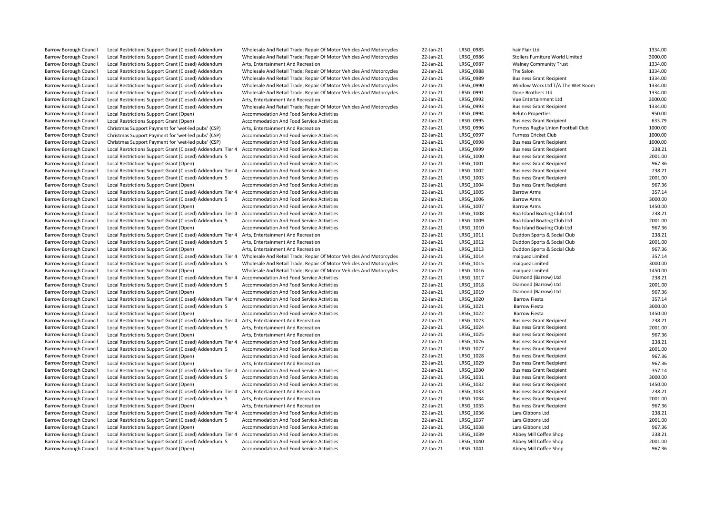| Barrow Borough Council        | Local Restrictions Support Grant (Closed) Addendum                                                    | Wholesale And Retail Trade; Repair Of Motor Vehicles And Motorcycles     | 22-Jan-21 | LRSG_0985 | hair Flair Ltd                                                     | 1334.00           |
|-------------------------------|-------------------------------------------------------------------------------------------------------|--------------------------------------------------------------------------|-----------|-----------|--------------------------------------------------------------------|-------------------|
| <b>Barrow Borough Council</b> | Local Restrictions Support Grant (Closed) Addendum                                                    | Wholesale And Retail Trade; Repair Of Motor Vehicles And Motorcycles     | 22-Jan-21 | LRSG 0986 | Stollers Furniture World Limited                                   | 3000.00           |
| Barrow Borough Council        | Local Restrictions Support Grant (Closed) Addendum                                                    | Arts, Entertainment And Recreation                                       | 22-Jan-21 | LRSG 0987 | <b>Walney Community Trust</b>                                      | 1334.00           |
| Barrow Borough Council        | Local Restrictions Support Grant (Closed) Addendum                                                    | Wholesale And Retail Trade; Repair Of Motor Vehicles And Motorcycles     | 22-Jan-21 | LRSG 0988 | The Salon                                                          | 1334.00           |
| Barrow Borough Council        | Local Restrictions Support Grant (Closed) Addendum                                                    | Wholesale And Retail Trade; Repair Of Motor Vehicles And Motorcycles     | 22-Jan-21 | LRSG 0989 | <b>Business Grant Recipient</b>                                    | 1334.00           |
| Barrow Borough Council        | Local Restrictions Support Grant (Closed) Addendum                                                    | Wholesale And Retail Trade; Repair Of Motor Vehicles And Motorcycles     | 22-Jan-21 | LRSG 0990 | Window Worx Ltd T/A The Wet Room                                   | 1334.00           |
| <b>Barrow Borough Council</b> | Local Restrictions Support Grant (Closed) Addendum                                                    | Wholesale And Retail Trade; Repair Of Motor Vehicles And Motorcycles     | 22-Jan-21 | LRSG 0991 | Done Brothers Ltd                                                  | 1334.00           |
| Barrow Borough Council        | Local Restrictions Support Grant (Closed) Addendum                                                    | Arts, Entertainment And Recreation                                       | 22-Jan-21 | LRSG 0992 | Vue Entertainment Ltd                                              | 3000.00           |
| <b>Barrow Borough Council</b> | Local Restrictions Support Grant (Closed) Addendum                                                    | Wholesale And Retail Trade; Repair Of Motor Vehicles And Motorcycles     | 22-Jan-21 | LRSG 0993 | <b>Business Grant Recipient</b>                                    | 1334.00           |
| Barrow Borough Council        | Local Restrictions Support Grant (Open)                                                               | Accommodation And Food Service Activities                                | 22-Jan-21 | LRSG_0994 | <b>Beluto Properties</b>                                           | 950.00            |
| <b>Barrow Borough Council</b> | Local Restrictions Support Grant (Open)                                                               | Accommodation And Food Service Activities                                | 22-Jan-21 | LRSG 0995 | <b>Business Grant Recipient</b>                                    | 633.79            |
| Barrow Borough Council        | Christmas Support Payment for 'wet-led pubs' (CSP)                                                    | Arts, Entertainment And Recreation                                       | 22-Jan-21 | LRSG_0996 | Furness Rugby Union Football Club                                  | 1000.00           |
| Barrow Borough Council        | Christmas Support Payment for 'wet-led pubs' (CSP)                                                    | Accommodation And Food Service Activities                                | 22-Jan-21 | LRSG 0997 | <b>Furness Cricket Club</b>                                        | 1000.00           |
| <b>Barrow Borough Council</b> | Christmas Support Payment for 'wet-led pubs' (CSP)                                                    | Accommodation And Food Service Activities                                | 22-Jan-21 | LRSG 0998 | <b>Business Grant Recipient</b>                                    | 1000.00           |
| Barrow Borough Council        | Local Restrictions Support Grant (Closed) Addendum: Tier 4                                            | Accommodation And Food Service Activities                                | 22-Jan-21 | LRSG 0999 | <b>Business Grant Recipient</b>                                    | 238.21            |
| Barrow Borough Council        | Local Restrictions Support Grant (Closed) Addendum: 5                                                 | Accommodation And Food Service Activities                                | 22-Jan-21 | LRSG 1000 | <b>Business Grant Recipient</b>                                    | 2001.00           |
| Barrow Borough Council        | Local Restrictions Support Grant (Open)                                                               | Accommodation And Food Service Activities                                | 22-Jan-21 | LRSG 1001 | <b>Business Grant Recipient</b>                                    | 967.36            |
| <b>Barrow Borough Council</b> | Local Restrictions Support Grant (Closed) Addendum: Tier 4                                            | Accommodation And Food Service Activities                                | 22-Jan-21 | LRSG 1002 | <b>Business Grant Recipient</b>                                    | 238.21            |
| Barrow Borough Council        | Local Restrictions Support Grant (Closed) Addendum: 5                                                 | Accommodation And Food Service Activities                                | 22-Jan-21 | LRSG_1003 | <b>Business Grant Recipient</b>                                    | 2001.00           |
| Barrow Borough Council        | Local Restrictions Support Grant (Open)                                                               | Accommodation And Food Service Activities                                | 22-Jan-21 | LRSG 1004 | <b>Business Grant Recipient</b>                                    | 967.36            |
| <b>Barrow Borough Council</b> | Local Restrictions Support Grant (Closed) Addendum: Tier 4                                            | Accommodation And Food Service Activities                                | 22-Jan-21 | LRSG 1005 | <b>Barrow Arms</b>                                                 | 357.14            |
| <b>Barrow Borough Council</b> | Local Restrictions Support Grant (Closed) Addendum: 5                                                 | Accommodation And Food Service Activities                                | 22-Jan-21 | LRSG 1006 | <b>Barrow Arms</b>                                                 | 3000.00           |
| <b>Barrow Borough Council</b> | Local Restrictions Support Grant (Open)                                                               | Accommodation And Food Service Activities                                | 22-Jan-21 | LRSG 1007 | <b>Barrow Arms</b>                                                 | 1450.00           |
| Barrow Borough Council        | Local Restrictions Support Grant (Closed) Addendum: Tier 4                                            | Accommodation And Food Service Activities                                | 22-Jan-21 | LRSG_1008 | Roa Island Boating Club Ltd                                        | 238.21            |
| <b>Barrow Borough Council</b> | Local Restrictions Support Grant (Closed) Addendum: 5                                                 | Accommodation And Food Service Activities                                | 22-Jan-21 | LRSG 1009 | Roa Island Boating Club Ltd                                        | 2001.00           |
| Barrow Borough Council        | Local Restrictions Support Grant (Open)                                                               | Accommodation And Food Service Activities                                | 22-Jan-21 | LRSG_1010 | Roa Island Boating Club Ltd                                        | 967.36            |
| <b>Barrow Borough Council</b> | Local Restrictions Support Grant (Closed) Addendum: Tier 4                                            | Arts, Entertainment And Recreation                                       | 22-Jan-21 | LRSG 1011 | Duddon Sports & Social Club                                        | 238.21            |
| <b>Barrow Borough Council</b> | Local Restrictions Support Grant (Closed) Addendum: 5                                                 | Arts, Entertainment And Recreation                                       | 22-Jan-21 | LRSG_1012 | Duddon Sports & Social Club                                        | 2001.00           |
| Barrow Borough Council        | Local Restrictions Support Grant (Open)                                                               | Arts, Entertainment And Recreation                                       | 22-Jan-21 | LRSG 1013 | Duddon Sports & Social Club                                        | 967.36            |
| <b>Barrow Borough Council</b> | Local Restrictions Support Grant (Closed) Addendum: Tier 4                                            | Wholesale And Retail Trade; Repair Of Motor Vehicles And Motorcycles     | 22-Jan-21 | LRSG 1014 | maiquez Limited                                                    | 357.14            |
| <b>Barrow Borough Council</b> | Local Restrictions Support Grant (Closed) Addendum: 5                                                 | Wholesale And Retail Trade; Repair Of Motor Vehicles And Motorcycles     | 22-Jan-21 | LRSG_1015 | maiquez Limited                                                    | 3000.00           |
| <b>Barrow Borough Council</b> | Local Restrictions Support Grant (Open)                                                               | Wholesale And Retail Trade; Repair Of Motor Vehicles And Motorcycles     | 22-Jan-21 | LRSG 1016 | maiquez Limited                                                    | 1450.00           |
| Barrow Borough Council        | Local Restrictions Support Grant (Closed) Addendum: Tier 4                                            | Accommodation And Food Service Activities                                | 22-Jan-21 | LRSG 1017 | Diamond (Barrow) Ltd                                               | 238.21            |
| <b>Barrow Borough Council</b> | Local Restrictions Support Grant (Closed) Addendum: 5                                                 | Accommodation And Food Service Activities                                | 22-Jan-21 | LRSG 1018 | Diamond (Barrow) Ltd                                               | 2001.00           |
| Barrow Borough Council        | Local Restrictions Support Grant (Open)                                                               | Accommodation And Food Service Activities                                | 22-Jan-21 | LRSG_1019 | Diamond (Barrow) Ltd                                               | 967.36            |
| Barrow Borough Council        | Local Restrictions Support Grant (Closed) Addendum: Tier 4                                            | Accommodation And Food Service Activities                                | 22-Jan-21 | LRSG_1020 | <b>Barrow Fiesta</b>                                               | 357.14            |
| <b>Barrow Borough Council</b> | Local Restrictions Support Grant (Closed) Addendum: 5                                                 | <b>Accommodation And Food Service Activities</b>                         | 22-Jan-21 | LRSG 1021 | <b>Barrow Fiesta</b>                                               | 3000.00           |
| Barrow Borough Council        | Local Restrictions Support Grant (Open)                                                               | Accommodation And Food Service Activities                                | 22-Jan-21 | LRSG_1022 | <b>Barrow Fiesta</b>                                               | 1450.00           |
| <b>Barrow Borough Council</b> | Local Restrictions Support Grant (Closed) Addendum: Tier 4                                            | Arts, Entertainment And Recreation                                       | 22-Jan-21 | LRSG 1023 | <b>Business Grant Recipient</b>                                    | 238.21            |
| <b>Barrow Borough Council</b> | Local Restrictions Support Grant (Closed) Addendum: 5                                                 | Arts, Entertainment And Recreation                                       | 22-Jan-21 | LRSG_1024 | <b>Business Grant Recipient</b>                                    | 2001.00           |
| <b>Barrow Borough Council</b> | Local Restrictions Support Grant (Open)                                                               | Arts, Entertainment And Recreation                                       | 22-Jan-21 | LRSG 1025 | <b>Business Grant Recipient</b>                                    | 967.36            |
| <b>Barrow Borough Council</b> | Local Restrictions Support Grant (Closed) Addendum: Tier 4                                            | Accommodation And Food Service Activities                                | 22-Jan-21 | LRSG 1026 | <b>Business Grant Recipient</b>                                    | 238.21            |
| <b>Barrow Borough Council</b> | Local Restrictions Support Grant (Closed) Addendum: 5                                                 | Accommodation And Food Service Activities                                | 22-Jan-21 | LRSG_1027 | <b>Business Grant Recipient</b>                                    | 2001.00           |
| <b>Barrow Borough Council</b> | Local Restrictions Support Grant (Open)                                                               | Accommodation And Food Service Activities                                | 22-Jan-21 | LRSG_1028 | <b>Business Grant Recipient</b>                                    | 967.36            |
| <b>Barrow Borough Council</b> | Local Restrictions Support Grant (Open)                                                               | Arts, Entertainment And Recreation                                       | 22-Jan-21 | LRSG 1029 | <b>Business Grant Recipient</b>                                    | 967.36            |
| <b>Barrow Borough Council</b> | Local Restrictions Support Grant (Closed) Addendum: Tier 4                                            | Accommodation And Food Service Activities                                | 22-Jan-21 | LRSG 1030 | <b>Business Grant Recipient</b>                                    | 357.14            |
| <b>Barrow Borough Council</b> | Local Restrictions Support Grant (Closed) Addendum: 5                                                 | Accommodation And Food Service Activities                                | 22-Jan-21 | LRSG_1031 | <b>Business Grant Recipient</b>                                    | 3000.00           |
| <b>Barrow Borough Council</b> |                                                                                                       | Accommodation And Food Service Activities                                | 22-Jan-21 | LRSG_1032 | <b>Business Grant Recipient</b>                                    | 1450.00           |
| <b>Barrow Borough Council</b> | Local Restrictions Support Grant (Open)<br>Local Restrictions Support Grant (Closed) Addendum: Tier 4 |                                                                          | 22-Jan-21 | LRSG 1033 |                                                                    | 238.21            |
| <b>Barrow Borough Council</b> | Local Restrictions Support Grant (Closed) Addendum: 5                                                 | Arts, Entertainment And Recreation<br>Arts, Entertainment And Recreation | 22-Jan-21 | LRSG 1034 | <b>Business Grant Recipient</b><br><b>Business Grant Recipient</b> | 2001.00           |
|                               |                                                                                                       |                                                                          |           |           |                                                                    |                   |
| <b>Barrow Borough Council</b> | Local Restrictions Support Grant (Open)                                                               | Arts, Entertainment And Recreation                                       | 22-Jan-21 | LRSG_1035 | <b>Business Grant Recipient</b>                                    | 967.36<br>238.21  |
| <b>Barrow Borough Council</b> | Local Restrictions Support Grant (Closed) Addendum: Tier 4                                            | Accommodation And Food Service Activities                                | 22-Jan-21 | LRSG 1036 | Lara Gibbons Ltd                                                   |                   |
| <b>Barrow Borough Council</b> | Local Restrictions Support Grant (Closed) Addendum: 5                                                 | <b>Accommodation And Food Service Activities</b>                         | 22-Jan-21 | LRSG 1037 | Lara Gibbons Ltd                                                   | 2001.00<br>967.36 |
| <b>Barrow Borough Council</b> | Local Restrictions Support Grant (Open)                                                               | Accommodation And Food Service Activities                                | 22-Jan-21 | LRSG 1038 | Lara Gibbons Ltd                                                   |                   |
| <b>Barrow Borough Council</b> | Local Restrictions Support Grant (Closed) Addendum: Tier 4                                            | <b>Accommodation And Food Service Activities</b>                         | 22-Jan-21 | LRSG_1039 | Abbey Mill Coffee Shop                                             | 238.21            |
| <b>Barrow Borough Council</b> | Local Restrictions Support Grant (Closed) Addendum: 5                                                 | Accommodation And Food Service Activities                                | 22-Jan-21 | LRSG_1040 | Abbey Mill Coffee Shop                                             | 2001.00           |
| <b>Barrow Borough Council</b> | Local Restrictions Support Grant (Open)                                                               | Accommodation And Food Service Activities                                | 22-Jan-21 | LRSG 1041 | Abbey Mill Coffee Shop                                             | 967.36            |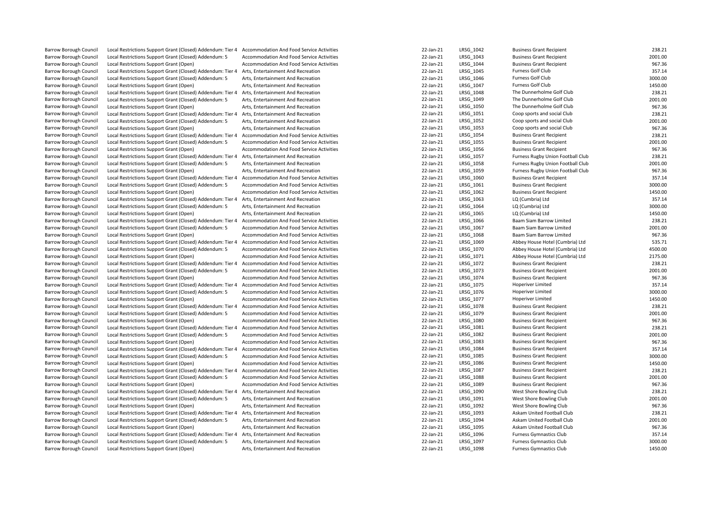| Barrow Borough Council        | Local Restrictions Support Grant (Closed) Addendum: Tier 4                                                          | Accommodation And Food Service Activities                                              | 22-Jan-21 | LRSG_1042 | <b>Business Grant Recipient</b>   | 238.21  |
|-------------------------------|---------------------------------------------------------------------------------------------------------------------|----------------------------------------------------------------------------------------|-----------|-----------|-----------------------------------|---------|
| <b>Barrow Borough Council</b> | Local Restrictions Support Grant (Closed) Addendum: 5                                                               |                                                                                        | 22-Jan-21 | LRSG_1043 | <b>Business Grant Recipient</b>   | 2001.00 |
| <b>Barrow Borough Council</b> | Local Restrictions Support Grant (Open)                                                                             | Accommodation And Food Service Activities<br>Accommodation And Food Service Activities | 22-Jan-21 | LRSG 1044 | <b>Business Grant Recipient</b>   | 967.36  |
| <b>Barrow Borough Council</b> |                                                                                                                     | Arts, Entertainment And Recreation                                                     | 22-Jan-21 | LRSG 1045 | Furness Golf Club                 | 357.14  |
|                               | Local Restrictions Support Grant (Closed) Addendum: Tier 4                                                          | Arts, Entertainment And Recreation                                                     | 22-Jan-21 | LRSG 1046 | Furness Golf Club                 | 3000.00 |
| <b>Barrow Borough Council</b> | Local Restrictions Support Grant (Closed) Addendum: 5                                                               |                                                                                        |           |           |                                   | 1450.00 |
| <b>Barrow Borough Council</b> | Local Restrictions Support Grant (Open)                                                                             | Arts, Entertainment And Recreation                                                     | 22-Jan-21 | LRSG 1047 | Furness Golf Club                 |         |
| <b>Barrow Borough Council</b> | Local Restrictions Support Grant (Closed) Addendum: Tier 4                                                          | Arts, Entertainment And Recreation                                                     | 22-Jan-21 | LRSG 1048 | The Dunnerholme Golf Club         | 238.21  |
| <b>Barrow Borough Council</b> | Local Restrictions Support Grant (Closed) Addendum: 5                                                               | Arts, Entertainment And Recreation                                                     | 22-Jan-21 | LRSG 1049 | The Dunnerholme Golf Club         | 2001.00 |
| <b>Barrow Borough Council</b> | Local Restrictions Support Grant (Open)                                                                             | Arts, Entertainment And Recreation                                                     | 22-Jan-21 | LRSG 1050 | The Dunnerholme Golf Club         | 967.36  |
| <b>Barrow Borough Council</b> | Local Restrictions Support Grant (Closed) Addendum: Tier 4                                                          | Arts, Entertainment And Recreation                                                     | 22-Jan-21 | LRSG_1051 | Coop sports and social Club       | 238.21  |
| <b>Barrow Borough Council</b> | Local Restrictions Support Grant (Closed) Addendum: 5                                                               | Arts, Entertainment And Recreation                                                     | 22-Jan-21 | LRSG 1052 | Coop sports and social Club       | 2001.00 |
| Barrow Borough Council        | Local Restrictions Support Grant (Open)                                                                             | Arts, Entertainment And Recreation                                                     | 22-Jan-21 | LRSG 1053 | Coop sports and social Club       | 967.36  |
| <b>Barrow Borough Council</b> | Local Restrictions Support Grant (Closed) Addendum: Tier 4                                                          | Accommodation And Food Service Activities                                              | 22-Jan-21 | LRSG 1054 | <b>Business Grant Recipient</b>   | 238.21  |
| <b>Barrow Borough Council</b> | Local Restrictions Support Grant (Closed) Addendum: 5                                                               | Accommodation And Food Service Activities                                              | 22-Jan-21 | LRSG 1055 | <b>Business Grant Recipient</b>   | 2001.00 |
| <b>Barrow Borough Council</b> | Local Restrictions Support Grant (Open)                                                                             | Accommodation And Food Service Activities                                              | 22-Jan-21 | LRSG 1056 | <b>Business Grant Recipient</b>   | 967.36  |
| <b>Barrow Borough Council</b> | Local Restrictions Support Grant (Closed) Addendum: Tier 4                                                          | Arts, Entertainment And Recreation                                                     | 22-Jan-21 | LRSG 1057 | Furness Rugby Union Football Club | 238.21  |
| <b>Barrow Borough Council</b> | Local Restrictions Support Grant (Closed) Addendum: 5                                                               | Arts, Entertainment And Recreation                                                     | 22-Jan-21 | LRSG 1058 | Furness Rugby Union Football Club | 2001.00 |
| Barrow Borough Council        | Local Restrictions Support Grant (Open)                                                                             | Arts, Entertainment And Recreation                                                     | 22-Jan-21 | LRSG 1059 | Furness Rugby Union Football Club | 967.36  |
| <b>Barrow Borough Council</b> | Local Restrictions Support Grant (Closed) Addendum: Tier 4                                                          | Accommodation And Food Service Activities                                              | 22-Jan-21 | LRSG 1060 | <b>Business Grant Recipient</b>   | 357.14  |
| <b>Barrow Borough Council</b> | Local Restrictions Support Grant (Closed) Addendum: 5                                                               | Accommodation And Food Service Activities                                              | 22-Jan-21 | LRSG 1061 | <b>Business Grant Recipient</b>   | 3000.00 |
| Barrow Borough Council        | Local Restrictions Support Grant (Open)                                                                             | Accommodation And Food Service Activities                                              | 22-Jan-21 | LRSG_1062 | <b>Business Grant Recipient</b>   | 1450.00 |
| <b>Barrow Borough Council</b> | Local Restrictions Support Grant (Closed) Addendum: Tier 4                                                          | Arts, Entertainment And Recreation                                                     | 22-Jan-21 | LRSG 1063 | LQ (Cumbria) Ltd                  | 357.14  |
| Barrow Borough Council        | Local Restrictions Support Grant (Closed) Addendum: 5                                                               | Arts, Entertainment And Recreation                                                     | 22-Jan-21 | LRSG 1064 | LQ (Cumbria) Ltd                  | 3000.00 |
| <b>Barrow Borough Council</b> | Local Restrictions Support Grant (Open)                                                                             | Arts, Entertainment And Recreation                                                     | 22-Jan-21 | LRSG 1065 | LQ (Cumbria) Ltd                  | 1450.00 |
| Barrow Borough Council        | Local Restrictions Support Grant (Closed) Addendum: Tier 4                                                          | Accommodation And Food Service Activities                                              | 22-Jan-21 | LRSG 1066 | Baam Siam Barrow Limited          | 238.21  |
| <b>Barrow Borough Council</b> | Local Restrictions Support Grant (Closed) Addendum: 5                                                               | Accommodation And Food Service Activities                                              | 22-Jan-21 | LRSG 1067 | Baam Siam Barrow Limited          | 2001.00 |
| <b>Barrow Borough Council</b> | Local Restrictions Support Grant (Open)                                                                             | Accommodation And Food Service Activities                                              | 22-Jan-21 | LRSG 1068 | Baam Siam Barrow Limited          | 967.36  |
| <b>Barrow Borough Council</b> | Local Restrictions Support Grant (Closed) Addendum: Tier 4                                                          | Accommodation And Food Service Activities                                              | 22-Jan-21 | LRSG 1069 | Abbey House Hotel (Cumbria) Ltd   | 535.71  |
| <b>Barrow Borough Council</b> | Local Restrictions Support Grant (Closed) Addendum: 5                                                               | Accommodation And Food Service Activities                                              | 22-Jan-21 | LRSG_1070 | Abbey House Hotel (Cumbria) Ltd   | 4500.00 |
| <b>Barrow Borough Council</b> | Local Restrictions Support Grant (Open)                                                                             | Accommodation And Food Service Activities                                              | 22-Jan-21 | LRSG 1071 | Abbey House Hotel (Cumbria) Ltd   | 2175.00 |
| Barrow Borough Council        | Local Restrictions Support Grant (Closed) Addendum: Tier 4                                                          | Accommodation And Food Service Activities                                              | 22-Jan-21 | LRSG 1072 | <b>Business Grant Recipient</b>   | 238.21  |
| <b>Barrow Borough Council</b> | Local Restrictions Support Grant (Closed) Addendum: 5                                                               | Accommodation And Food Service Activities                                              | 22-Jan-21 | LRSG 1073 | <b>Business Grant Recipient</b>   | 2001.00 |
| <b>Barrow Borough Council</b> | Local Restrictions Support Grant (Open)                                                                             | Accommodation And Food Service Activities                                              | 22-Jan-21 | LRSG_1074 | <b>Business Grant Recipient</b>   | 967.36  |
| <b>Barrow Borough Council</b> | Local Restrictions Support Grant (Closed) Addendum: Tier 4                                                          | Accommodation And Food Service Activities                                              | 22-Jan-21 | LRSG_1075 | Hoperiver Limited                 | 357.14  |
| Barrow Borough Council        | Local Restrictions Support Grant (Closed) Addendum: 5                                                               | Accommodation And Food Service Activities                                              | 22-Jan-21 | LRSG 1076 | Hoperiver Limited                 | 3000.00 |
| <b>Barrow Borough Council</b> | Local Restrictions Support Grant (Open)                                                                             | Accommodation And Food Service Activities                                              | 22-Jan-21 | LRSG 1077 | Hoperiver Limited                 | 1450.00 |
| <b>Barrow Borough Council</b> | Local Restrictions Support Grant (Closed) Addendum: Tier 4                                                          | Accommodation And Food Service Activities                                              | 22-Jan-21 | LRSG 1078 | <b>Business Grant Recipient</b>   | 238.21  |
| Barrow Borough Council        | Local Restrictions Support Grant (Closed) Addendum: 5                                                               | Accommodation And Food Service Activities                                              | 22-Jan-21 | LRSG_1079 | <b>Business Grant Recipient</b>   | 2001.00 |
| Barrow Borough Council        | Local Restrictions Support Grant (Open)                                                                             | Accommodation And Food Service Activities                                              | 22-Jan-21 | LRSG 1080 | <b>Business Grant Recipient</b>   | 967.36  |
| Barrow Borough Council        | Local Restrictions Support Grant (Closed) Addendum: Tier 4                                                          | Accommodation And Food Service Activities                                              | 22-Jan-21 | LRSG 1081 | <b>Business Grant Recipient</b>   | 238.21  |
| <b>Barrow Borough Council</b> | Local Restrictions Support Grant (Closed) Addendum: 5                                                               | Accommodation And Food Service Activities                                              | 22-Jan-21 | LRSG 1082 | <b>Business Grant Recipient</b>   | 2001.00 |
| <b>Barrow Borough Council</b> | Local Restrictions Support Grant (Open)                                                                             | Accommodation And Food Service Activities                                              | 22-Jan-21 | LRSG 1083 | <b>Business Grant Recipient</b>   | 967.36  |
| <b>Barrow Borough Council</b> | Local Restrictions Support Grant (Closed) Addendum: Tier 4                                                          | Accommodation And Food Service Activities                                              | 22-Jan-21 | LRSG 1084 | <b>Business Grant Recipient</b>   | 357.14  |
| Barrow Borough Council        | Local Restrictions Support Grant (Closed) Addendum: 5                                                               | Accommodation And Food Service Activities                                              | 22-Jan-21 | LRSG 1085 | <b>Business Grant Recipient</b>   | 3000.00 |
| <b>Barrow Borough Council</b> | Local Restrictions Support Grant (Open)                                                                             | Accommodation And Food Service Activities                                              | 22-Jan-21 | LRSG 1086 | <b>Business Grant Recipient</b>   | 1450.00 |
| Barrow Borough Council        |                                                                                                                     | Accommodation And Food Service Activities                                              | 22-Jan-21 | LRSG 1087 | <b>Business Grant Recipient</b>   | 238.21  |
| <b>Barrow Borough Council</b> | Local Restrictions Support Grant (Closed) Addendum: Tier 4<br>Local Restrictions Support Grant (Closed) Addendum: 5 | Accommodation And Food Service Activities                                              | 22-Jan-21 | LRSG 1088 | <b>Business Grant Recipient</b>   | 2001.00 |
| Barrow Borough Council        |                                                                                                                     |                                                                                        | 22-Jan-21 | LRSG 1089 | <b>Business Grant Recipient</b>   | 967.36  |
|                               | Local Restrictions Support Grant (Open)                                                                             | Accommodation And Food Service Activities                                              | 22-Jan-21 | LRSG 1090 | West Shore Bowling Club           | 238.21  |
| <b>Barrow Borough Council</b> | Local Restrictions Support Grant (Closed) Addendum: Tier 4                                                          | Arts, Entertainment And Recreation                                                     |           |           |                                   |         |
| Barrow Borough Council        | Local Restrictions Support Grant (Closed) Addendum: 5                                                               | Arts, Entertainment And Recreation                                                     | 22-Jan-21 | LRSG 1091 | West Shore Bowling Club           | 2001.00 |
| Barrow Borough Council        | Local Restrictions Support Grant (Open)                                                                             | Arts, Entertainment And Recreation                                                     | 22-Jan-21 | LRSG 1092 | West Shore Bowling Club           | 967.36  |
| Barrow Borough Council        | Local Restrictions Support Grant (Closed) Addendum: Tier 4                                                          | Arts, Entertainment And Recreation                                                     | 22-Jan-21 | LRSG 1093 | Askam United Football Club        | 238.21  |
| <b>Barrow Borough Council</b> | Local Restrictions Support Grant (Closed) Addendum: 5                                                               | Arts, Entertainment And Recreation                                                     | 22-Jan-21 | LRSG_1094 | Askam United Football Club        | 2001.00 |
| Barrow Borough Council        | Local Restrictions Support Grant (Open)                                                                             | Arts, Entertainment And Recreation                                                     | 22-Jan-21 | LRSG 1095 | Askam United Football Club        | 967.36  |
| Barrow Borough Council        | Local Restrictions Support Grant (Closed) Addendum: Tier 4                                                          | Arts, Entertainment And Recreation                                                     | 22-Jan-21 | LRSG 1096 | <b>Furness Gymnastics Club</b>    | 357.14  |
| Barrow Borough Council        | Local Restrictions Support Grant (Closed) Addendum: 5                                                               | Arts, Entertainment And Recreation                                                     | 22-Jan-21 | LRSG 1097 | <b>Furness Gymnastics Club</b>    | 3000.00 |
| Barrow Borough Council        | Local Restrictions Support Grant (Open)                                                                             | Arts, Entertainment And Recreation                                                     | 22-Jan-21 | LRSG_1098 | <b>Furness Gymnastics Club</b>    | 1450.00 |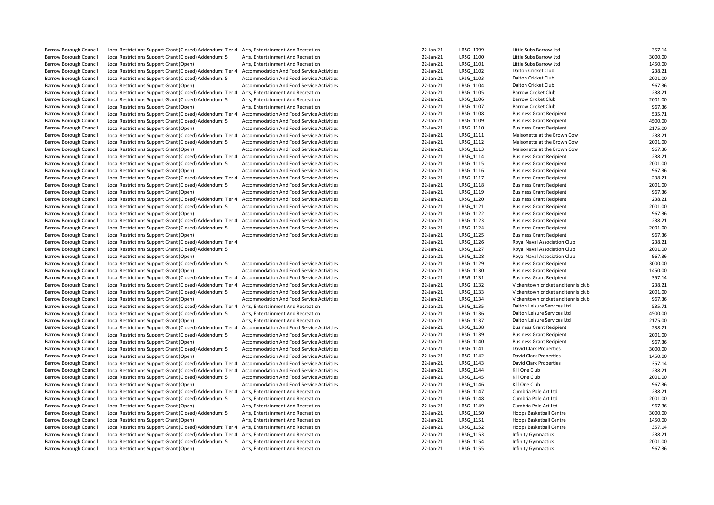| <b>Barrow Borough Council</b> | Local Restrictions Support Grant (Closed) Addendum: Tier 4 Arts, Entertainment And Recreation |                                                  | 22-Jan-21 | LRSG 1099 | Little Subs Barrow Ltd              | 357.14  |
|-------------------------------|-----------------------------------------------------------------------------------------------|--------------------------------------------------|-----------|-----------|-------------------------------------|---------|
| <b>Barrow Borough Council</b> | Local Restrictions Support Grant (Closed) Addendum: 5                                         | Arts, Entertainment And Recreation               | 22-Jan-21 | LRSG 1100 | Little Subs Barrow Ltd              | 3000.00 |
| Barrow Borough Council        | Local Restrictions Support Grant (Open)                                                       | Arts, Entertainment And Recreation               | 22-Jan-21 | LRSG 1101 | Little Subs Barrow Ltd              | 1450.00 |
| <b>Barrow Borough Council</b> | Local Restrictions Support Grant (Closed) Addendum: Tier 4                                    | Accommodation And Food Service Activities        | 22-Jan-21 | LRSG 1102 | Dalton Cricket Club                 | 238.21  |
| Barrow Borough Council        | Local Restrictions Support Grant (Closed) Addendum: 5                                         | Accommodation And Food Service Activities        | 22-Jan-21 | LRSG 1103 | Dalton Cricket Club                 | 2001.00 |
| <b>Barrow Borough Council</b> | Local Restrictions Support Grant (Open)                                                       | Accommodation And Food Service Activities        | 22-Jan-21 | LRSG 1104 | Dalton Cricket Club                 | 967.36  |
| <b>Barrow Borough Council</b> | Local Restrictions Support Grant (Closed) Addendum: Tier 4                                    | Arts, Entertainment And Recreation               | 22-Jan-21 | LRSG_1105 | <b>Barrow Cricket Club</b>          | 238.21  |
| <b>Barrow Borough Council</b> | Local Restrictions Support Grant (Closed) Addendum: 5                                         | Arts, Entertainment And Recreation               | 22-Jan-21 | LRSG 1106 | <b>Barrow Cricket Club</b>          | 2001.00 |
| Barrow Borough Council        | Local Restrictions Support Grant (Open)                                                       | Arts, Entertainment And Recreation               | 22-Jan-21 | LRSG 1107 | <b>Barrow Cricket Club</b>          | 967.36  |
| <b>Barrow Borough Council</b> | Local Restrictions Support Grant (Closed) Addendum: Tier 4                                    | Accommodation And Food Service Activities        | 22-Jan-21 | LRSG 1108 | <b>Business Grant Recipient</b>     | 535.71  |
| Barrow Borough Council        | Local Restrictions Support Grant (Closed) Addendum: 5                                         | Accommodation And Food Service Activities        | 22-Jan-21 | LRSG_1109 | <b>Business Grant Recipient</b>     | 4500.00 |
| Barrow Borough Council        | Local Restrictions Support Grant (Open)                                                       | Accommodation And Food Service Activities        | 22-Jan-21 | LRSG 1110 | <b>Business Grant Recipient</b>     | 2175.00 |
| <b>Barrow Borough Council</b> | Local Restrictions Support Grant (Closed) Addendum: Tier 4                                    | Accommodation And Food Service Activities        | 22-Jan-21 | LRSG 1111 | Maisonette at the Brown Cow         | 238.21  |
| Barrow Borough Council        | Local Restrictions Support Grant (Closed) Addendum: 5                                         | Accommodation And Food Service Activities        | 22-Jan-21 | LRSG_1112 | Maisonette at the Brown Cow         | 2001.00 |
| <b>Barrow Borough Council</b> | Local Restrictions Support Grant (Open)                                                       | <b>Accommodation And Food Service Activities</b> | 22-Jan-21 | LRSG 1113 | Maisonette at the Brown Cow         | 967.36  |
| Barrow Borough Council        | Local Restrictions Support Grant (Closed) Addendum: Tier 4                                    | Accommodation And Food Service Activities        | 22-Jan-21 | LRSG 1114 | <b>Business Grant Recipient</b>     | 238.21  |
| <b>Barrow Borough Council</b> | Local Restrictions Support Grant (Closed) Addendum: 5                                         | Accommodation And Food Service Activities        | 22-Jan-21 | LRSG 1115 | <b>Business Grant Recipient</b>     | 2001.00 |
| Barrow Borough Council        | Local Restrictions Support Grant (Open)                                                       | Accommodation And Food Service Activities        | 22-Jan-21 | LRSG 1116 | <b>Business Grant Recipient</b>     | 967.36  |
| Barrow Borough Council        | Local Restrictions Support Grant (Closed) Addendum: Tier 4                                    | Accommodation And Food Service Activities        | 22-Jan-21 | LRSG 1117 | <b>Business Grant Recipient</b>     | 238.21  |
| Barrow Borough Council        | Local Restrictions Support Grant (Closed) Addendum: 5                                         | Accommodation And Food Service Activities        | 22-Jan-21 | LRSG 1118 | <b>Business Grant Recipient</b>     | 2001.00 |
| <b>Barrow Borough Council</b> | Local Restrictions Support Grant (Open)                                                       | Accommodation And Food Service Activities        | 22-Jan-21 | LRSG 1119 | <b>Business Grant Recipient</b>     | 967.36  |
| Barrow Borough Council        | Local Restrictions Support Grant (Closed) Addendum: Tier 4                                    | Accommodation And Food Service Activities        | 22-Jan-21 | LRSG 1120 | <b>Business Grant Recipient</b>     | 238.21  |
| <b>Barrow Borough Council</b> | Local Restrictions Support Grant (Closed) Addendum: 5                                         | Accommodation And Food Service Activities        | 22-Jan-21 | LRSG 1121 | <b>Business Grant Recipient</b>     | 2001.00 |
| Barrow Borough Council        | Local Restrictions Support Grant (Open)                                                       | Accommodation And Food Service Activities        | 22-Jan-21 | LRSG_1122 | <b>Business Grant Recipient</b>     | 967.36  |
| <b>Barrow Borough Council</b> | Local Restrictions Support Grant (Closed) Addendum: Tier 4                                    | Accommodation And Food Service Activities        | 22-Jan-21 | LRSG 1123 | <b>Business Grant Recipient</b>     | 238.21  |
| Barrow Borough Council        | Local Restrictions Support Grant (Closed) Addendum: 5                                         | Accommodation And Food Service Activities        | 22-Jan-21 | LRSG_1124 | <b>Business Grant Recipient</b>     | 2001.00 |
| <b>Barrow Borough Council</b> | Local Restrictions Support Grant (Open)                                                       | Accommodation And Food Service Activities        | 22-Jan-21 | LRSG 1125 | <b>Business Grant Recipient</b>     | 967.36  |
| <b>Barrow Borough Council</b> | Local Restrictions Support Grant (Closed) Addendum: Tier 4                                    |                                                  | 22-Jan-21 | LRSG 1126 | Royal Naval Association Club        | 238.21  |
| Barrow Borough Council        | Local Restrictions Support Grant (Closed) Addendum: 5                                         |                                                  | 22-Jan-21 | LRSG 1127 | Royal Naval Association Club        | 2001.00 |
| <b>Barrow Borough Council</b> | Local Restrictions Support Grant (Open)                                                       |                                                  | 22-Jan-21 | LRSG 1128 | Royal Naval Association Club        | 967.36  |
| Barrow Borough Council        | Local Restrictions Support Grant (Closed) Addendum: 5                                         | Accommodation And Food Service Activities        | 22-Jan-21 | LRSG 1129 | <b>Business Grant Recipient</b>     | 3000.00 |
| <b>Barrow Borough Council</b> | Local Restrictions Support Grant (Open)                                                       | Accommodation And Food Service Activities        | 22-Jan-21 | LRSG 1130 | <b>Business Grant Recipient</b>     | 1450.00 |
| Barrow Borough Council        | Local Restrictions Support Grant (Closed) Addendum: Tier 4                                    | Accommodation And Food Service Activities        | 22-Jan-21 | LRSG 1131 | <b>Business Grant Recipient</b>     | 357.14  |
| <b>Barrow Borough Council</b> | Local Restrictions Support Grant (Closed) Addendum: Tier 4                                    | Accommodation And Food Service Activities        | 22-Jan-21 | LRSG 1132 | Vickerstown cricket and tennis club | 238.21  |
| Barrow Borough Council        | Local Restrictions Support Grant (Closed) Addendum: 5                                         | Accommodation And Food Service Activities        | 22-Jan-21 | LRSG 1133 | Vickerstown cricket and tennis club | 2001.00 |
| Barrow Borough Council        | Local Restrictions Support Grant (Open)                                                       | Accommodation And Food Service Activities        | 22-Jan-21 | LRSG 1134 | Vickerstown cricket and tennis club | 967.36  |
| Barrow Borough Council        | Local Restrictions Support Grant (Closed) Addendum: Tier 4                                    | Arts, Entertainment And Recreation               | 22-Jan-21 | LRSG 1135 | Dalton Leisure Services Ltd         | 535.71  |
| <b>Barrow Borough Council</b> | Local Restrictions Support Grant (Closed) Addendum: 5                                         | Arts, Entertainment And Recreation               | 22-Jan-21 | LRSG 1136 | Dalton Leisure Services Ltd         | 4500.00 |
| Barrow Borough Council        | Local Restrictions Support Grant (Open)                                                       | Arts, Entertainment And Recreation               | 22-Jan-21 | LRSG_1137 | Dalton Leisure Services Ltd         | 2175.00 |
| Barrow Borough Council        | Local Restrictions Support Grant (Closed) Addendum: Tier 4                                    | Accommodation And Food Service Activities        | 22-Jan-21 | LRSG 1138 | <b>Business Grant Recipient</b>     | 238.21  |
| <b>Barrow Borough Council</b> | Local Restrictions Support Grant (Closed) Addendum: 5                                         | Accommodation And Food Service Activities        | 22-Jan-21 | LRSG_1139 | <b>Business Grant Recipient</b>     | 2001.00 |
| Barrow Borough Council        | Local Restrictions Support Grant (Open)                                                       | Accommodation And Food Service Activities        | 22-Jan-21 | LRSG 1140 | <b>Business Grant Recipient</b>     | 967.36  |
| <b>Barrow Borough Council</b> | Local Restrictions Support Grant (Closed) Addendum: 5                                         | Accommodation And Food Service Activities        | 22-Jan-21 | LRSG_1141 | David Clark Properties              | 3000.00 |
| <b>Barrow Borough Council</b> | Local Restrictions Support Grant (Open)                                                       | Accommodation And Food Service Activities        | 22-Jan-21 | LRSG 1142 | David Clark Properties              | 1450.00 |
| <b>Barrow Borough Council</b> | Local Restrictions Support Grant (Closed) Addendum: Tier 4                                    | Accommodation And Food Service Activities        | 22-Jan-21 | LRSG 1143 | <b>David Clark Properties</b>       | 357.14  |
| <b>Barrow Borough Council</b> | Local Restrictions Support Grant (Closed) Addendum: Tier 4                                    | Accommodation And Food Service Activities        | 22-Jan-21 | LRSG 1144 | Kill One Club                       | 238.21  |
| <b>Barrow Borough Council</b> | Local Restrictions Support Grant (Closed) Addendum: 5                                         | Accommodation And Food Service Activities        | 22-Jan-21 | LRSG 1145 | Kill One Club                       | 2001.00 |
| Barrow Borough Council        | Local Restrictions Support Grant (Open)                                                       | Accommodation And Food Service Activities        | 22-Jan-21 | LRSG 1146 | Kill One Club                       | 967.36  |
| <b>Barrow Borough Council</b> | Local Restrictions Support Grant (Closed) Addendum: Tier 4                                    | Arts, Entertainment And Recreation               | 22-Jan-21 | LRSG 1147 | Cumbria Pole Art Ltd                | 238.21  |
| Barrow Borough Council        | Local Restrictions Support Grant (Closed) Addendum: 5                                         | Arts, Entertainment And Recreation               | 22-Jan-21 | LRSG 1148 | Cumbria Pole Art Ltd                | 2001.00 |
| <b>Barrow Borough Council</b> | Local Restrictions Support Grant (Open)                                                       | Arts, Entertainment And Recreation               | 22-Jan-21 | LRSG 1149 | Cumbria Pole Art Ltd                | 967.36  |
| Barrow Borough Council        | Local Restrictions Support Grant (Closed) Addendum: 5                                         | Arts, Entertainment And Recreation               | 22-Jan-21 | LRSG_1150 | Hoops Basketball Centre             | 3000.00 |
| Barrow Borough Council        | Local Restrictions Support Grant (Open)                                                       | Arts, Entertainment And Recreation               | 22-Jan-21 | LRSG 1151 | Hoops Basketball Centre             | 1450.00 |
| Barrow Borough Council        | Local Restrictions Support Grant (Closed) Addendum: Tier 4                                    | Arts, Entertainment And Recreation               | 22-Jan-21 | LRSG 1152 | Hoops Basketball Centre             | 357.14  |
| Barrow Borough Council        | Local Restrictions Support Grant (Closed) Addendum: Tier 4                                    | Arts, Entertainment And Recreation               | 22-Jan-21 | LRSG 1153 | <b>Infinity Gymnastics</b>          | 238.21  |
| Barrow Borough Council        | Local Restrictions Support Grant (Closed) Addendum: 5                                         | Arts, Entertainment And Recreation               | 22-Jan-21 | LRSG_1154 | Infinity Gymnastics                 | 2001.00 |
| <b>Barrow Borough Council</b> | Local Restrictions Support Grant (Open)                                                       | Arts, Entertainment And Recreation               | 22-Jan-21 | LRSG 1155 | <b>Infinity Gymnastics</b>          | 967.36  |
|                               |                                                                                               |                                                  |           |           |                                     |         |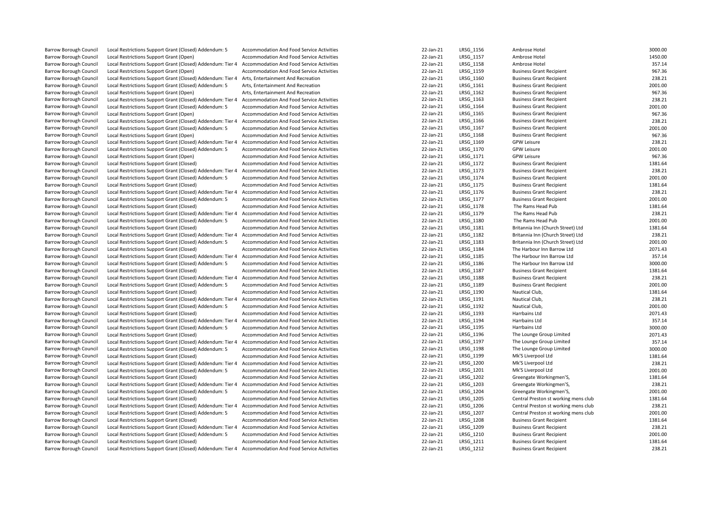| <b>Barrow Borough Council</b> | Local Restrictions Support Grant (Closed) Addendum: 5                                                   | Accommodation And Food Service Activities                                                     | 22-Jan-21 | LRSG 1156 | Ambrose Hotel                        | 3000.00            |
|-------------------------------|---------------------------------------------------------------------------------------------------------|-----------------------------------------------------------------------------------------------|-----------|-----------|--------------------------------------|--------------------|
| Barrow Borough Council        | Local Restrictions Support Grant (Open)                                                                 | Accommodation And Food Service Activities                                                     | 22-Jan-21 | LRSG 1157 | Ambrose Hotel                        | 1450.00            |
| Barrow Borough Council        | Local Restrictions Support Grant (Closed) Addendum: Tier 4                                              | <b>Accommodation And Food Service Activities</b>                                              | 22-Jan-21 | LRSG 1158 | Ambrose Hotel                        | 357.14             |
| Barrow Borough Council        | Local Restrictions Support Grant (Open)                                                                 | Accommodation And Food Service Activities                                                     | 22-Jan-21 | LRSG_1159 | <b>Business Grant Recipient</b>      | 967.36             |
| Barrow Borough Council        | Local Restrictions Support Grant (Closed) Addendum: Tier 4                                              | Arts, Entertainment And Recreation                                                            | 22-Jan-21 | LRSG 1160 | <b>Business Grant Recipient</b>      | 238.21             |
| Barrow Borough Council        | Local Restrictions Support Grant (Closed) Addendum: 5                                                   | Arts, Entertainment And Recreation                                                            | 22-Jan-21 | LRSG 1161 | <b>Business Grant Recipient</b>      | 2001.00            |
| Barrow Borough Council        | Local Restrictions Support Grant (Open)                                                                 | Arts, Entertainment And Recreation                                                            | 22-Jan-21 | LRSG_1162 | <b>Business Grant Recipient</b>      | 967.36             |
| Barrow Borough Council        | Local Restrictions Support Grant (Closed) Addendum: Tier 4                                              | Accommodation And Food Service Activities                                                     | 22-Jan-21 | LRSG 1163 | <b>Business Grant Recipient</b>      | 238.21             |
| Barrow Borough Council        | Local Restrictions Support Grant (Closed) Addendum: 5                                                   | Accommodation And Food Service Activities                                                     | 22-Jan-21 | LRSG_1164 | <b>Business Grant Recipient</b>      | 2001.00            |
| Barrow Borough Council        | Local Restrictions Support Grant (Open)                                                                 | <b>Accommodation And Food Service Activities</b>                                              | 22-Jan-21 | LRSG_1165 | <b>Business Grant Recipient</b>      | 967.36             |
| Barrow Borough Council        | Local Restrictions Support Grant (Closed) Addendum: Tier 4                                              | Accommodation And Food Service Activities                                                     | 22-Jan-21 | LRSG 1166 | <b>Business Grant Recipient</b>      | 238.21             |
| Barrow Borough Council        | Local Restrictions Support Grant (Closed) Addendum: 5                                                   | Accommodation And Food Service Activities                                                     | 22-Jan-21 | LRSG_1167 | <b>Business Grant Recipient</b>      | 2001.00            |
| Barrow Borough Council        | Local Restrictions Support Grant (Open)                                                                 | Accommodation And Food Service Activities                                                     | 22-Jan-21 | LRSG 1168 | <b>Business Grant Recipient</b>      | 967.36             |
| Barrow Borough Council        | Local Restrictions Support Grant (Closed) Addendum: Tier 4                                              | Accommodation And Food Service Activities                                                     | 22-Jan-21 | LRSG_1169 | <b>GPW Leisure</b>                   | 238.21             |
| <b>Barrow Borough Council</b> | Local Restrictions Support Grant (Closed) Addendum: 5                                                   | Accommodation And Food Service Activities                                                     | 22-Jan-21 | LRSG 1170 | <b>GPW Leisure</b>                   | 2001.00            |
| Barrow Borough Council        | Local Restrictions Support Grant (Open)                                                                 | Accommodation And Food Service Activities                                                     | 22-Jan-21 | LRSG 1171 | <b>GPW Leisure</b>                   | 967.36             |
| Barrow Borough Council        | Local Restrictions Support Grant (Closed)                                                               | Accommodation And Food Service Activities                                                     | 22-Jan-21 | LRSG_1172 | <b>Business Grant Recipient</b>      | 1381.64            |
| Barrow Borough Council        | Local Restrictions Support Grant (Closed) Addendum: Tier 4                                              | Accommodation And Food Service Activities                                                     | 22-Jan-21 | LRSG 1173 | <b>Business Grant Recipient</b>      | 238.21             |
| Barrow Borough Council        | Local Restrictions Support Grant (Closed) Addendum: 5                                                   | Accommodation And Food Service Activities                                                     | 22-Jan-21 | LRSG_1174 | <b>Business Grant Recipient</b>      | 2001.00            |
| <b>Barrow Borough Council</b> | Local Restrictions Support Grant (Closed)                                                               | Accommodation And Food Service Activities                                                     | 22-Jan-21 | LRSG 1175 | <b>Business Grant Recipient</b>      | 1381.64            |
| Barrow Borough Council        | Local Restrictions Support Grant (Closed) Addendum: Tier 4                                              | Accommodation And Food Service Activities                                                     | 22-Jan-21 | LRSG 1176 | <b>Business Grant Recipient</b>      | 238.21             |
| Barrow Borough Council        | Local Restrictions Support Grant (Closed) Addendum: 5                                                   | Accommodation And Food Service Activities                                                     | 22-Jan-21 | LRSG 1177 | <b>Business Grant Recipient</b>      | 2001.00            |
| Barrow Borough Council        | Local Restrictions Support Grant (Closed)                                                               | Accommodation And Food Service Activities                                                     | 22-Jan-21 | LRSG 1178 | The Rams Head Pub                    | 1381.64            |
| Barrow Borough Council        | Local Restrictions Support Grant (Closed) Addendum: Tier 4                                              | Accommodation And Food Service Activities                                                     | 22-Jan-21 | LRSG_1179 | The Rams Head Pub                    | 238.21             |
| <b>Barrow Borough Council</b> | Local Restrictions Support Grant (Closed) Addendum: 5                                                   | Accommodation And Food Service Activities                                                     | 22-Jan-21 | LRSG 1180 | The Rams Head Pub                    | 2001.00            |
| Barrow Borough Council        | Local Restrictions Support Grant (Closed)                                                               | Accommodation And Food Service Activities                                                     | 22-Jan-21 | LRSG 1181 | Britannia Inn (Church Street) Ltd    | 1381.64            |
| Barrow Borough Council        | Local Restrictions Support Grant (Closed) Addendum: Tier 4                                              | Accommodation And Food Service Activities                                                     | 22-Jan-21 | LRSG 1182 | Britannia Inn (Church Street) Ltd    | 238.21             |
| Barrow Borough Council        | Local Restrictions Support Grant (Closed) Addendum: 5                                                   | Accommodation And Food Service Activities                                                     | 22-Jan-21 | LRSG 1183 | Britannia Inn (Church Street) Ltd    | 2001.00            |
| Barrow Borough Council        |                                                                                                         |                                                                                               | 22-Jan-21 | LRSG 1184 | The Harbour Inn Barrow Ltd           | 2071.43            |
| <b>Barrow Borough Council</b> | Local Restrictions Support Grant (Closed)<br>Local Restrictions Support Grant (Closed) Addendum: Tier 4 | <b>Accommodation And Food Service Activities</b><br>Accommodation And Food Service Activities | 22-Jan-21 | LRSG 1185 | The Harbour Inn Barrow Ltd           | 357.14             |
| Barrow Borough Council        |                                                                                                         |                                                                                               | 22-Jan-21 |           | The Harbour Inn Barrow Ltd           |                    |
|                               | Local Restrictions Support Grant (Closed) Addendum: 5                                                   | Accommodation And Food Service Activities                                                     | 22-Jan-21 | LRSG_1186 |                                      | 3000.00<br>1381.64 |
| Barrow Borough Council        | Local Restrictions Support Grant (Closed)                                                               | Accommodation And Food Service Activities                                                     |           | LRSG 1187 | <b>Business Grant Recipient</b>      | 238.21             |
| Barrow Borough Council        | Local Restrictions Support Grant (Closed) Addendum: Tier 4                                              | Accommodation And Food Service Activities                                                     | 22-Jan-21 | LRSG 1188 | <b>Business Grant Recipient</b>      |                    |
| Barrow Borough Council        | Local Restrictions Support Grant (Closed) Addendum: 5                                                   | Accommodation And Food Service Activities                                                     | 22-Jan-21 | LRSG 1189 | <b>Business Grant Recipient</b>      | 2001.00            |
| Barrow Borough Council        | Local Restrictions Support Grant (Closed)                                                               | Accommodation And Food Service Activities                                                     | 22-Jan-21 | LRSG 1190 | Nautical Club,                       | 1381.64            |
| Barrow Borough Council        | Local Restrictions Support Grant (Closed) Addendum: Tier 4                                              | Accommodation And Food Service Activities                                                     | 22-Jan-21 | LRSG_1191 | Nautical Club,                       | 238.21             |
| Barrow Borough Council        | Local Restrictions Support Grant (Closed) Addendum: 5                                                   | Accommodation And Food Service Activities                                                     | 22-Jan-21 | LRSG 1192 | Nautical Club,                       | 2001.00            |
| Barrow Borough Council        | Local Restrictions Support Grant (Closed)                                                               | <b>Accommodation And Food Service Activities</b>                                              | 22-Jan-21 | LRSG_1193 | Harrbains Ltd                        | 2071.43            |
| Barrow Borough Council        | Local Restrictions Support Grant (Closed) Addendum: Tier 4                                              | Accommodation And Food Service Activities                                                     | 22-Jan-21 | LRSG 1194 | Harrbains Ltd                        | 357.14             |
| Barrow Borough Council        | Local Restrictions Support Grant (Closed) Addendum: 5                                                   | Accommodation And Food Service Activities                                                     | 22-Jan-21 | LRSG 1195 | Harrbains Ltd                        | 3000.00            |
| Barrow Borough Council        | Local Restrictions Support Grant (Closed)                                                               | Accommodation And Food Service Activities                                                     | 22-Jan-21 | LRSG 1196 | The Lounge Group Limited             | 2071.43            |
| Barrow Borough Council        | Local Restrictions Support Grant (Closed) Addendum: Tier 4                                              | Accommodation And Food Service Activities                                                     | 22-Jan-21 | LRSG 1197 | The Lounge Group Limited             | 357.14             |
| <b>Barrow Borough Council</b> | Local Restrictions Support Grant (Closed) Addendum: 5                                                   | Accommodation And Food Service Activities                                                     | 22-Jan-21 | LRSG_1198 | The Lounge Group Limited             | 3000.00            |
| Barrow Borough Council        | Local Restrictions Support Grant (Closed)                                                               | Accommodation And Food Service Activities                                                     | 22-Jan-21 | LRSG 1199 | Mk'S Liverpool Ltd                   | 1381.64            |
| Barrow Borough Council        | Local Restrictions Support Grant (Closed) Addendum: Tier 4                                              | Accommodation And Food Service Activities                                                     | 22-Jan-21 | LRSG 1200 | Mk'S Liverpool Ltd                   | 238.21             |
| Barrow Borough Council        | Local Restrictions Support Grant (Closed) Addendum: 5                                                   | Accommodation And Food Service Activities                                                     | 22-Jan-21 | LRSG 1201 | Mk'S Liverpool Ltd                   | 2001.00            |
| Barrow Borough Council        | Local Restrictions Support Grant (Closed)                                                               | Accommodation And Food Service Activities                                                     | 22-Jan-21 | LRSG 1202 | Greengate Workingmen'S,              | 1381.64            |
| Barrow Borough Council        | Local Restrictions Support Grant (Closed) Addendum: Tier 4                                              | <b>Accommodation And Food Service Activities</b>                                              | 22-Jan-21 | LRSG 1203 | Greengate Workingmen'S,              | 238.21             |
| Barrow Borough Council        | Local Restrictions Support Grant (Closed) Addendum: 5                                                   | Accommodation And Food Service Activities                                                     | 22-Jan-21 | LRSG 1204 | Greengate Workingmen'S,              | 2001.00            |
| Barrow Borough Council        | Local Restrictions Support Grant (Closed)                                                               | Accommodation And Food Service Activities                                                     | 22-Jan-21 | LRSG_1205 | Central Preston st working mens club | 1381.64            |
| Barrow Borough Council        | Local Restrictions Support Grant (Closed) Addendum: Tier 4                                              | Accommodation And Food Service Activities                                                     | 22-Jan-21 | LRSG 1206 | Central Preston st working mens club | 238.21             |
| Barrow Borough Council        | Local Restrictions Support Grant (Closed) Addendum: 5                                                   | Accommodation And Food Service Activities                                                     | 22-Jan-21 | LRSG_1207 | Central Preston st working mens club | 2001.00            |
| Barrow Borough Council        | Local Restrictions Support Grant (Closed)                                                               | Accommodation And Food Service Activities                                                     | 22-Jan-21 | LRSG 1208 | <b>Business Grant Recipient</b>      | 1381.64            |
| Barrow Borough Council        | Local Restrictions Support Grant (Closed) Addendum: Tier 4                                              | Accommodation And Food Service Activities                                                     | 22-Jan-21 | LRSG 1209 | <b>Business Grant Recipient</b>      | 238.21             |
| <b>Barrow Borough Council</b> | Local Restrictions Support Grant (Closed) Addendum: 5                                                   | <b>Accommodation And Food Service Activities</b>                                              | 22-Jan-21 | LRSG_1210 | <b>Business Grant Recipient</b>      | 2001.00            |
| Barrow Borough Council        | Local Restrictions Support Grant (Closed)                                                               | Accommodation And Food Service Activities                                                     | 22-Jan-21 | LRSG 1211 | <b>Business Grant Recipient</b>      | 1381.64            |
| Barrow Borough Council        | Local Restrictions Support Grant (Closed) Addendum: Tier 4                                              | Accommodation And Food Service Activities                                                     | 22-Jan-21 | LRSG_1212 | <b>Business Grant Recipient</b>      | 238.21             |
|                               |                                                                                                         |                                                                                               |           |           |                                      |                    |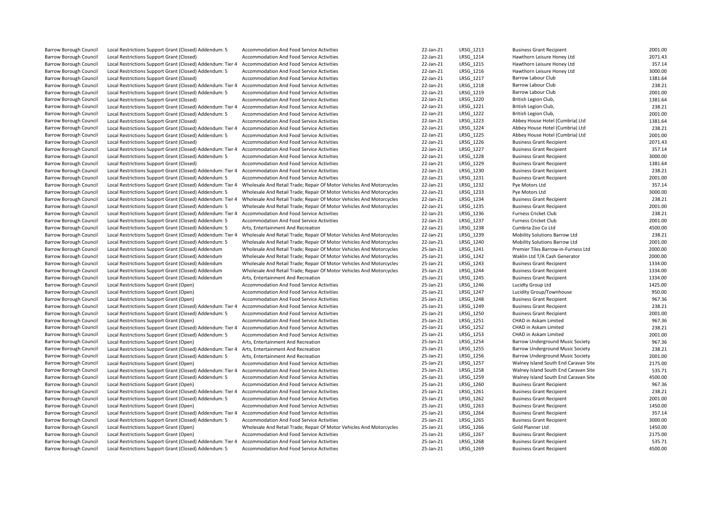| Barrow Borough Council        | Local Restrictions Support Grant (Closed) Addendum: 5      | Accommodation And Food Service Activities                            | 22-Jan-21 | LRSG_1213        | <b>Business Grant Recipient</b>         | 2001.00 |
|-------------------------------|------------------------------------------------------------|----------------------------------------------------------------------|-----------|------------------|-----------------------------------------|---------|
| <b>Barrow Borough Council</b> | Local Restrictions Support Grant (Closed)                  | Accommodation And Food Service Activities                            | 22-Jan-21 | LRSG 1214        | Hawthorn Leisure Honey Ltd              | 2071.43 |
| <b>Barrow Borough Council</b> | Local Restrictions Support Grant (Closed) Addendum: Tier 4 | Accommodation And Food Service Activities                            | 22-Jan-21 | LRSG 1215        | Hawthorn Leisure Honey Ltd              | 357.14  |
| <b>Barrow Borough Council</b> | Local Restrictions Support Grant (Closed) Addendum: 5      | Accommodation And Food Service Activities                            | 22-Jan-21 | LRSG 1216        | Hawthorn Leisure Honey Ltd              | 3000.00 |
| <b>Barrow Borough Council</b> | Local Restrictions Support Grant (Closed)                  | Accommodation And Food Service Activities                            | 22-Jan-21 | LRSG 1217        | Barrow Labour Club                      | 1381.64 |
| Barrow Borough Council        | Local Restrictions Support Grant (Closed) Addendum: Tier 4 | Accommodation And Food Service Activities                            | 22-Jan-21 | LRSG_1218        | Barrow Labour Club                      | 238.21  |
| <b>Barrow Borough Council</b> | Local Restrictions Support Grant (Closed) Addendum: 5      | Accommodation And Food Service Activities                            | 22-Jan-21 | LRSG 1219        | Barrow Labour Club                      | 2001.00 |
| <b>Barrow Borough Council</b> | Local Restrictions Support Grant (Closed)                  | Accommodation And Food Service Activities                            | 22-Jan-21 | LRSG 1220        | British Legion Club,                    | 1381.64 |
| Barrow Borough Council        | Local Restrictions Support Grant (Closed) Addendum: Tier 4 | Accommodation And Food Service Activities                            | 22-Jan-21 | LRSG_1221        | British Legion Club,                    | 238.21  |
| <b>Barrow Borough Council</b> | Local Restrictions Support Grant (Closed) Addendum: 5      | Accommodation And Food Service Activities                            | 22-Jan-21 | LRSG 1222        | British Legion Club,                    | 2001.00 |
| <b>Barrow Borough Council</b> | Local Restrictions Support Grant (Closed)                  | Accommodation And Food Service Activities                            | 22-Jan-21 | LRSG 1223        | Abbey House Hotel (Cumbria) Ltd         | 1381.64 |
| <b>Barrow Borough Council</b> | Local Restrictions Support Grant (Closed) Addendum: Tier 4 | <b>Accommodation And Food Service Activities</b>                     | 22-Jan-21 | LRSG 1224        | Abbey House Hotel (Cumbria) Ltd         | 238.21  |
| <b>Barrow Borough Council</b> | Local Restrictions Support Grant (Closed) Addendum: 5      | Accommodation And Food Service Activities                            | 22-Jan-21 | LRSG 1225        | Abbey House Hotel (Cumbria) Ltd         | 2001.00 |
| Barrow Borough Council        | Local Restrictions Support Grant (Closed)                  | Accommodation And Food Service Activities                            | 22-Jan-21 | LRSG_1226        | <b>Business Grant Recipient</b>         | 2071.43 |
| <b>Barrow Borough Council</b> | Local Restrictions Support Grant (Closed) Addendum: Tier 4 | <b>Accommodation And Food Service Activities</b>                     | 22-Jan-21 | <b>LRSG 1227</b> | <b>Business Grant Recipient</b>         | 357.14  |
| Barrow Borough Council        | Local Restrictions Support Grant (Closed) Addendum: 5      | Accommodation And Food Service Activities                            | 22-Jan-21 | LRSG_1228        | <b>Business Grant Recipient</b>         | 3000.00 |
| <b>Barrow Borough Council</b> | Local Restrictions Support Grant (Closed)                  | Accommodation And Food Service Activities                            | 22-Jan-21 | LRSG 1229        | <b>Business Grant Recipient</b>         | 1381.64 |
| <b>Barrow Borough Council</b> | Local Restrictions Support Grant (Closed) Addendum: Tier 4 | Accommodation And Food Service Activities                            | 22-Jan-21 | LRSG 1230        | <b>Business Grant Recipient</b>         | 238.21  |
| <b>Barrow Borough Council</b> | Local Restrictions Support Grant (Closed) Addendum: 5      | Accommodation And Food Service Activities                            | 22-Jan-21 | LRSG 1231        | <b>Business Grant Recipient</b>         | 2001.00 |
| <b>Barrow Borough Council</b> | Local Restrictions Support Grant (Closed) Addendum: Tier 4 | Wholesale And Retail Trade; Repair Of Motor Vehicles And Motorcycles | 22-Jan-21 | LRSG 1232        | Pye Motors Ltd                          | 357.14  |
| Barrow Borough Council        | Local Restrictions Support Grant (Closed) Addendum: 5      | Wholesale And Retail Trade; Repair Of Motor Vehicles And Motorcycles | 22-Jan-21 | LRSG_1233        | Pye Motors Ltd                          | 3000.00 |
| <b>Barrow Borough Council</b> | Local Restrictions Support Grant (Closed) Addendum: Tier 4 | Wholesale And Retail Trade; Repair Of Motor Vehicles And Motorcycles | 22-Jan-21 | LRSG 1234        | <b>Business Grant Recipient</b>         | 238.21  |
| <b>Barrow Borough Council</b> | Local Restrictions Support Grant (Closed) Addendum: 5      | Wholesale And Retail Trade; Repair Of Motor Vehicles And Motorcycles | 22-Jan-21 | LRSG 1235        | <b>Business Grant Recipient</b>         | 2001.00 |
| <b>Barrow Borough Council</b> | Local Restrictions Support Grant (Closed) Addendum: Tier 4 | Accommodation And Food Service Activities                            | 22-Jan-21 | LRSG 1236        | Furness Cricket Club                    | 238.21  |
| <b>Barrow Borough Council</b> | Local Restrictions Support Grant (Closed) Addendum: 5      | Accommodation And Food Service Activities                            | 22-Jan-21 | LRSG 1237        | Furness Cricket Club                    | 2001.00 |
| Barrow Borough Council        | Local Restrictions Support Grant (Closed) Addendum: 5      | Arts, Entertainment And Recreation                                   | 22-Jan-21 | LRSG 1238        | Cumbria Zoo Co Ltd                      | 4500.00 |
| <b>Barrow Borough Council</b> | Local Restrictions Support Grant (Closed) Addendum: Tier 4 | Wholesale And Retail Trade; Repair Of Motor Vehicles And Motorcycles | 22-Jan-21 | LRSG 1239        | Mobility Solutions Barrow Ltd           | 238.21  |
| <b>Barrow Borough Council</b> | Local Restrictions Support Grant (Closed) Addendum: 5      | Wholesale And Retail Trade; Repair Of Motor Vehicles And Motorcycles | 22-Jan-21 | LRSG 1240        | Mobility Solutions Barrow Ltd           | 2001.00 |
| Barrow Borough Council        | Local Restrictions Support Grant (Closed) Addendum         | Wholesale And Retail Trade; Repair Of Motor Vehicles And Motorcycles | 25-Jan-21 | LRSG_1241        | Premier Tiles Barrow-in-Furness Ltd     | 2000.00 |
| <b>Barrow Borough Council</b> | Local Restrictions Support Grant (Closed) Addendum         | Wholesale And Retail Trade; Repair Of Motor Vehicles And Motorcycles | 25-Jan-21 | LRSG 1242        | Waklin Ltd T/A Cash Generator           | 2000.00 |
| Barrow Borough Council        | Local Restrictions Support Grant (Closed) Addendum         | Wholesale And Retail Trade; Repair Of Motor Vehicles And Motorcycles | 25-Jan-21 | LRSG 1243        | <b>Business Grant Recipient</b>         | 1334.00 |
| <b>Barrow Borough Council</b> | Local Restrictions Support Grant (Closed) Addendum         | Wholesale And Retail Trade; Repair Of Motor Vehicles And Motorcycles | 25-Jan-21 | LRSG_1244        | <b>Business Grant Recipient</b>         | 1334.00 |
| Barrow Borough Council        | Local Restrictions Support Grant (Closed) Addendum         | Arts, Entertainment And Recreation                                   | 25-Jan-21 | LRSG_1245        | <b>Business Grant Recipient</b>         | 1334.00 |
| <b>Barrow Borough Council</b> | Local Restrictions Support Grant (Open)                    | Accommodation And Food Service Activities                            | 25-Jan-21 | LRSG 1246        | Lucidty Group Ltd                       | 1425.00 |
| <b>Barrow Borough Council</b> | Local Restrictions Support Grant (Open)                    | Accommodation And Food Service Activities                            | 25-Jan-21 | LRSG 1247        | Lucidity Group/Townhouse                | 950.00  |
| <b>Barrow Borough Council</b> | Local Restrictions Support Grant (Open)                    | Accommodation And Food Service Activities                            | 25-Jan-21 | LRSG 1248        | <b>Business Grant Recipient</b>         | 967.36  |
| Barrow Borough Council        | Local Restrictions Support Grant (Closed) Addendum: Tier 4 | Accommodation And Food Service Activities                            | 25-Jan-21 | LRSG 1249        | <b>Business Grant Recipient</b>         | 238.21  |
| <b>Barrow Borough Council</b> | Local Restrictions Support Grant (Closed) Addendum: 5      | Accommodation And Food Service Activities                            | 25-Jan-21 | LRSG 1250        | <b>Business Grant Recipient</b>         | 2001.00 |
| <b>Barrow Borough Council</b> | Local Restrictions Support Grant (Open)                    | Accommodation And Food Service Activities                            | 25-Jan-21 | LRSG 1251        | CHAD in Askam Limited                   | 967.36  |
| Barrow Borough Council        | Local Restrictions Support Grant (Closed) Addendum: Tier 4 | Accommodation And Food Service Activities                            | 25-Jan-21 | LRSG 1252        | CHAD in Askam Limited                   | 238.21  |
| <b>Barrow Borough Council</b> | Local Restrictions Support Grant (Closed) Addendum: 5      | Accommodation And Food Service Activities                            | 25-Jan-21 | LRSG 1253        | CHAD in Askam Limited                   | 2001.00 |
| Barrow Borough Council        | Local Restrictions Support Grant (Open)                    | Arts, Entertainment And Recreation                                   | 25-Jan-21 | LRSG 1254        | Barrow Underground Music Society        | 967.36  |
| <b>Barrow Borough Council</b> | Local Restrictions Support Grant (Closed) Addendum: Tier 4 | Arts, Entertainment And Recreation                                   | 25-Jan-21 | LRSG 1255        | <b>Barrow Underground Music Society</b> | 238.21  |
| <b>Barrow Borough Council</b> | Local Restrictions Support Grant (Closed) Addendum: 5      | Arts, Entertainment And Recreation                                   | 25-Jan-21 | LRSG 1256        | Barrow Underground Music Society        | 2001.00 |
| Barrow Borough Council        | Local Restrictions Support Grant (Open)                    | Accommodation And Food Service Activities                            | 25-Jan-21 | LRSG_1257        | Walney Island South End Caravan Site    | 2175.00 |
| <b>Barrow Borough Council</b> | Local Restrictions Support Grant (Closed) Addendum: Tier 4 | Accommodation And Food Service Activities                            | 25-Jan-21 | LRSG 1258        | Walney Island South End Caravan Site    | 535.71  |
| <b>Barrow Borough Council</b> | Local Restrictions Support Grant (Closed) Addendum: 5      | Accommodation And Food Service Activities                            | 25-Jan-21 | LRSG 1259        | Walney Island South End Caravan Site    | 4500.00 |
| Barrow Borough Council        | Local Restrictions Support Grant (Open)                    | Accommodation And Food Service Activities                            | 25-Jan-21 | LRSG_1260        | <b>Business Grant Recipient</b>         | 967.36  |
| <b>Barrow Borough Council</b> | Local Restrictions Support Grant (Closed) Addendum: Tier 4 | Accommodation And Food Service Activities                            | 25-Jan-21 | LRSG 1261        | <b>Business Grant Recipient</b>         | 238.21  |
| <b>Barrow Borough Council</b> | Local Restrictions Support Grant (Closed) Addendum: 5      | Accommodation And Food Service Activities                            | 25-Jan-21 | LRSG 1262        | <b>Business Grant Recipient</b>         | 2001.00 |
| <b>Barrow Borough Council</b> | Local Restrictions Support Grant (Open)                    | Accommodation And Food Service Activities                            | 25-Jan-21 | LRSG 1263        | <b>Business Grant Recipient</b>         | 1450.00 |
| <b>Barrow Borough Council</b> | Local Restrictions Support Grant (Closed) Addendum: Tier 4 | Accommodation And Food Service Activities                            | 25-Jan-21 | LRSG 1264        | <b>Business Grant Recipient</b>         | 357.14  |
| Barrow Borough Council        | Local Restrictions Support Grant (Closed) Addendum: 5      | Accommodation And Food Service Activities                            | 25-Jan-21 | LRSG_1265        | <b>Business Grant Recipient</b>         | 3000.00 |
| <b>Barrow Borough Council</b> | Local Restrictions Support Grant (Open)                    | Wholesale And Retail Trade; Repair Of Motor Vehicles And Motorcycles | 25-Jan-21 | LRSG 1266        | Gold Planner Ltd                        | 1450.00 |
| <b>Barrow Borough Council</b> | Local Restrictions Support Grant (Open)                    | Accommodation And Food Service Activities                            | 25-Jan-21 | LRSG_1267        | <b>Business Grant Recipient</b>         | 2175.00 |
| <b>Barrow Borough Council</b> | Local Restrictions Support Grant (Closed) Addendum: Tier 4 | Accommodation And Food Service Activities                            | 25-Jan-21 | LRSG 1268        | <b>Business Grant Recipient</b>         | 535.71  |
| Barrow Borough Council        | Local Restrictions Support Grant (Closed) Addendum: 5      | Accommodation And Food Service Activities                            | 25-Jan-21 | LRSG 1269        | <b>Business Grant Recipient</b>         | 4500.00 |
|                               |                                                            |                                                                      |           |                  |                                         |         |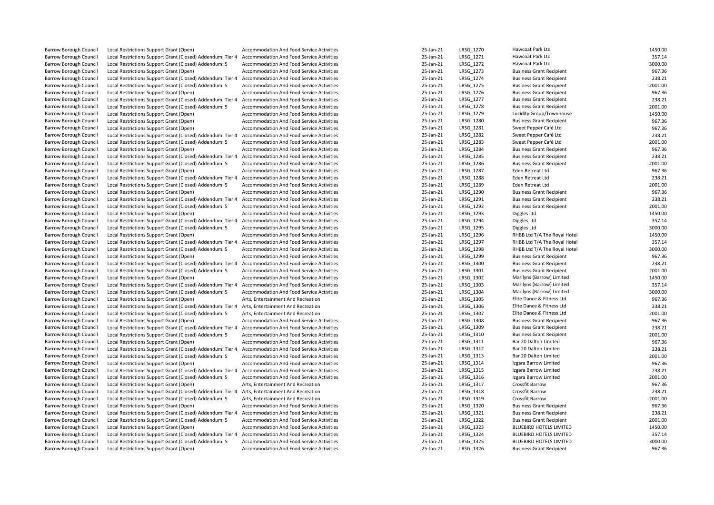Barrow Borough Council Local Restrictions Support Grant (Open) Accommodation And Food Service Activities 25-Jan-21 LRSG\_1270 Hawcoat Park Ltd 1450.00<br>Barrow Borough Council Local Restrictions Support Grant (Closed) Addendu Barrow Borough Council Local Restrictions Support Grant (Closed) Addendum: Tier 4 Accommodation And Food Service Activities and the state of the state of the STAT and the STAT and the STAT and The STAT and The STAT and The Barrow Borough Council Local Restrictions Support Grant (Closed) Addendum: 5 Accommodation And Food Service Activities 25-Jan-21 LRSG\_1272 Hawcoat Park Ltd 3000.00<br>25-Jan-21 LRSG 1273 Business Grant Restrictions Support Gr Barrow Borough Council Local Restrictions Support Grant (Open) Accommodation And Food Service Activities 25-Jan-21 LRSG\_1273 Business Grant Recipient 967.36 Barrow Borough Council Local Restrictions Support Grant (Closed) Addendum: Tier 4 Accommodation And Food Service Activities 25-Jan-21 25-Jan-21 LRSG\_1274 Business Grant Recipient 238.21 238.21 238.21 276 238.21 276 2001.00 Barrow Borough Council Local Restrictions Support Grant (Closed) Addendum: 5 Accommodation And Food Service Activities 25-Jan-21 LRSG\_1275 Business Grant Recipient 2001.00<br>25-Jan-21 LRSG 1276 Business Grant Recipient 2007. Barrow Borough Council Local Restrictions Support Grant (Open) Accommodation And Food Service Activities 25-Jan-21 LRSG\_1276 Business Grant Recipient 967.36 Barrow Borough Council Local Restrictions Support Grant (Closed) Addendum: Tier 4 Accommodation And Food Service Activities 25-Jan-21 LRSG 1277 Business Grant Recipient 238.21 278.21 Barrow Borough Council Local Restrictions Support Grant (Closed) Addendum: 5 Accommodation And Food Service Activities 25-Jan-21 LRSG 1278 Business Grant Recipient 2001.00 Barrow Borough Council Local Restrictions Support Grant (Open) and Accommodation And Food Service Activities and the strictions and Food Service Activities 25-Jan-21 LRSG\_1279 Lucidity Group/Townhouse 1450.00<br>25-Jan-21 LRS Barrow Borough Council Local Restrictions Support Grant (Open) and Accommodation And Food Service Activities and the state and the state activities and a state activities 25-Jan-21 LRSG\_1280 Business Grant Recipient 967.36 Barrow Borough Council Local Restrictions Support Grant (Open) and Accommodation And Food Service Activities and the strictions of the Support Grant (Closed) Addendum: Tier 4 Accommodation And Food Service Activities 35-Ja Exal Restrictions Support Grant (Closed) Addendum: Tier 4 Accommodation And Food Service Activities and the striction and the strictions of the Strictions Support Grant (Closed) Addendum: 5 Accommodation And Food Service A Barrow Borough Council Local Restrictions Support Grant (Closed) Addendum: 5 Accommodation And Food Service Activities 25-Jan-21 LRSG\_1283 Syeet Pepper Café Ltd 2001.<br>Barrow Borough Council Local Restrictions Support Grant Barrow Borough Council Local Restrictions Support Grant (Open) and Accommodation And Food Service Activities 25-Jan-21 LRSG 1284 Business Grant Recipient 967.36 Barrow Borough Council Local Restrictions Support Grant (Closed) Addendum: Tier 4 Accommodation And Food Service Activities 25-Jan-21 LRSG\_1285 Business Grant Recipient 238.21 238.21 DRSG\_1285 Business Grant Recipient 2001 Barrow Borough Council Local Restrictions Support Grant (Closed) Addendum: 5 Accommodation And Food Service Activities 25-Jan-21 LRSG\_1286 Business Grant Recipient 2001.00<br>25-Jan-21 LRSG 1287 Eden Retreat Ltd Local Restric Barrow Borough Council Local Restrictions Support Grant (Open) Accommodation And Food Service Activities and the state of the state activities and the state activities and the state activities 238.21 and the state of the s Barrow Borough Council Local Restrictions Support Grant (Closed) Addendum: Tier 4 Accommodation And Food Service Activities 25-Jan-21 LRSG 1288 Eden Retreat Ltd Barrow Borough Council Local Restrictions Support Grant (Closed) Addendum: 5 Accommodation And Food Service Activities 25-Jan-21 LRSG\_1289 Eden Retreat Ltd LGG Activities 2001.00<br>25-Jan-21 LRSG 1290 Business Grant Restrict Barrow Borough Council Local Restrictions Support Grant (Open) <br>Barrow Borough Council Local Restrictions Support Grant (Closed) Addendum: Tier 4 Accommodation And Food Service Activities 25-Jan-21 LRSG\_1290 Business Grant Exal Restrictions Support Grant (Closed) Addendum: Tier 4 Accommodation And Food Service Activities and the same and the state of the state and Tag and Tag and Tag and Tag and Tag and Tag and Tag and Tag and Tag and Tag an Barrow Borough Council Local Restrictions Support Grant (Closed) Addendum: 5 Accommodation And Food Service Activities 25-Jan-21 LRSG\_1292 Business Grant Recipient Barrow Borough Council Local Restrictions Support Grant (Open) and Accommodation And Food Service Activities 25-Jan-21 LRSG 1293 Diggles Ltd 201450.00 Barrow Borough Council Local Restrictions Support Grant (Closed) Addendum: Tier 4 Accommodation And Food Service Activities 25-Jan-21 LRSG\_1294 Diggles Ltd Diggles Ltd 25-Jan-21 Districtions Support Grant (Closed) Addendum Barrow Borough Council Local Restrictions Support Grant (Closed) Addendum: 5 Barrow Borough Council Local Restrictions Support Grant (Open) Accommodation And Food Service Activities 25-Jan-21 LRSG 1296 RHBB Ltd T/A The Royal Hotel 1450.00 Barrow Borough Council Local Restrictions Support Grant (Closed) Addendum: Tier 4 Accommodation And Food Service Activities 25-Jan-21 LRSG\_1297 RHBB Ltd T/A The Royal Hotel 357.14 357.14 Barrow Borough Council Local Restrictions Support Grant (Closed) Addendum: 5 Accommodation And Food Service Activities 25-Jan-21 LRSG\_1298 RHBB Ltd T/A The Royal Hotel 3000.00<br>25-Jan-21 LRSG 1299 Business Grant Restriction Barrow Borough Council Local Restrictions Support Grant (Open) Accommodation And Food Service Activities 25-Jan-21 LRSG\_1299 Business Grant Recipient 967.36<br>Barrow Borough Council Local Restrictions Support Grant (Closed) Barrow Borough Council Local Restrictions Support Grant (Closed) Addendum: Tier 4 Accommodation And Food Service Activities 25-Jan-21 LRSG\_1300 Business Grant Recipient Barrow Borough Council Local Restrictions Support Grant (Closed) Addendum: 5 Accommodation And Food Service Activities 25-Jan-21 LRSG\_1301 Business Grant Recipient 2001.00<br>25-Jan-21 LRSG 1302 Marilyns (Barrow) Limited 1450 Barrow Borough Council Local Restrictions Support Grant (Open) Accommodation And Food Service Activities and the strictions and Food Service Activities and a strictions 25-Jan-21 LRSG\_1302 Marilyns (Barrow) Limited 1450.00 Barrow Borough Council Council Council Council And Tool And And Accommodation And Food Service Activities 25-Jan-21 LRSG\_1303 Marilyns (25-Jan-21 LRSG\_1303 Marilyns (Barrow) Limited 357.14 March 25-Jan-21 March 25-Jan-21 L Barrow Borough Council Local Restrictions Support Grant (Closed) Addendum: 5 Accommodation And Food Service Activities 2000 25-Jan-21 LRSG\_1304 Marilyns (Barrow) Limited 3000.00<br>25-Jan-21 LRSG\_1305 Elite Dance & Fitness Lt Barrow Borough Council Local Restrictions Support Grant (Open) Arts, Entertainment And Recreation 25-Jan-21 LRSG 1305 Elite Dance & Fitness Ltd 967.36 Barrow Borough Council Local Restrictions Support Grant (Closed) Addendum: Tier 4 Arts, Entertainment And Recreation 25-Jan-21 LRSG\_1306 Elite Dance & Fitness Ltd 238.21 238.21 LRSG\_1306 Elite Dance & Fitness Ltd 2001.00<br>2 Barrow Borough Council Local Restrictions Support Grant (Closed) Addendum: 5 Arts, Entertainment And Recreation 25-Jan-21 LRSG\_1307 Elite Dance & Fitness Ltd 2001.00 Barrow Borough Council Local Restrictions Support Grant (Open) Accommodation And Food Service Activities 25-Jan-21 LRSG\_1308 Business Grant Recipient 967.36<br>238.21 Barrow Borough Council Local Restrictions Support Grant (C Barrow Borough Council Local Restrictions Support Grant (Closed) Addendum: Tier 4 Accommodation And Food Service Activities 25-Jan-21 LRSG 1309 Business Grant Recipient Barrow Borough Council Local Restrictions Support Grant (Closed) Addendum: 5 Accommodation And Food Service Activities 25-Jan-21 LRSG 1310 Business Grant Recipient 2001.00 Barrow Borough Council Local Restrictions Support Grant (Open) Accommodation And Food Service Activities 25-Jan-21 LRSG\_1311 Bar 20 Dalton Limited 967.36<br>Barrow Borough Council Local Restrictions Support Grant (Closed) Add Barrow Borough Council Local Restrictions Support Grant (Closed) Addendum: Tier 4 Accommodation And Food Service Activities 25-Jan-21 LRSG\_1312 Bar 20 Dalton Limited 238.21 238.21 238.21 238.21 238.21 238.21 239.21 239.21 Barrow Borough Council Local Restrictions Support Grant (Closed) Addendum: 5 Accommodation And Food Service Activities 25-Jan-21 LRSG 1313 Bar 20 Dalton Limited Barrow Borough Council Local Restrictions Support Grant (Open) Accommodation And Food Service Activities 25-Jan-21 LRSG\_1314 Izgara Barrow Limited 967.36 Barrow Borough Council Local Restrictions Support Grant (Closed) Addendum: Tier 4 Accommodation And Food Service Activities 258.21 25-Jan-21 LRSG 1315 Izgara Barrow Limited 238.21 Barrow Borough Council Local Restrictions Support Grant (Closed) Addendum: 5 Accommodation And Food Service Activities 25-Jan-21 LRSG 1316 Izgara Barrow Limited 2001.00 Barrow Borough Council Local Restrictions Support Grant (Open) Arts, Entertainment And Recreation 25-Jan-21 LRSG\_1317 Crossfit Barrow 967.36 Barrow Borough Council Local Restrictions Support Grant (Closed) Addendum: Tier 4 Arts, Entertainment And Recreation 238.21 25-Jan-21 LRSG 1318 Crossfit Barrow 238.21 Barrow Borough Council Local Restrictions Support Grant (Closed) Addendum: 5 Arts, Entertainment And Recreation<br>Barrow Borough Council Local Restrictions Support Grant (Open) 2001.00 2001.00 Accommodation And Food Service Barrow Borough Council Local Restrictions Support Grant (Open) Accommodation And Food Service Activities 25-Jan-21 LRSG 1320 Business Grant Recipient 967.36 Barrow Borough Council Local Restrictions Support Grant (Closed) Addendum: Tier 4 Accommodation And Food Service Activities 25-Jan-21 LRSG 1321 Business Grant Recipient 238.21 238.21 Barrow Borough Council Local Restrictions Support Grant (Closed) Addendum: 5 Accommodation And Food Service Activities 25-Jan-21 LRSG 1322 Business Grant Recipient 2001.00 Barrow Borough Council Local Restrictions Support Grant (Open) <br>Barrow Borough Council Local Restrictions Support Grant (Closed) Addendum: Tier 4 Accommodation And Food Service Activities 25-Jan-21 25-Jan-21 LRSG\_1324 BLUE Barrow Borough Council Local Restrictions Support Grant (Closed) Addendum: Tier 4 Accommodation And Food Service Activities 25-Jan-21 LRSG\_1324 BLUEBIRD HOTELS LIMITED 357.14 Barrow Borough Council Local Restrictions Support Grant (Closed) Addendum: 5 Accommodation And Food Service Activities 25 25-Jan-21 LRSG 1325 BLUEBIRD HOTELS LIMITED 3000.00 Barrow Borough Council Local Restrictions Support Grant (Open) and Accommodation And Food Service Activities 25-Jan-21 LRSG 1326 Business Grant Recipient 967.36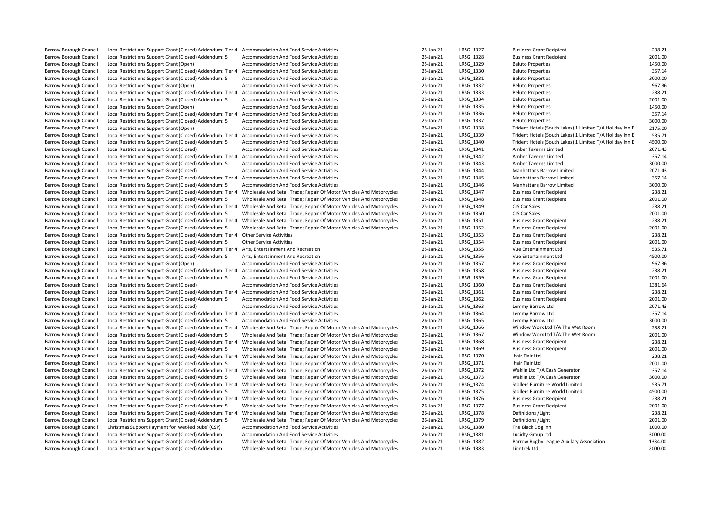| <b>Barrow Borough Council</b> | Local Restrictions Support Grant (Closed) Addendum: Tier 4 | Accommodation And Food Service Activities                            | 25-Jan-21 | LRSG 1327 | <b>Business Grant Recipient</b>                           | 238.21  |
|-------------------------------|------------------------------------------------------------|----------------------------------------------------------------------|-----------|-----------|-----------------------------------------------------------|---------|
| Barrow Borough Council        | Local Restrictions Support Grant (Closed) Addendum: 5      | <b>Accommodation And Food Service Activities</b>                     | 25-Jan-21 | LRSG 1328 | <b>Business Grant Recipient</b>                           | 2001.00 |
| <b>Barrow Borough Council</b> | Local Restrictions Support Grant (Open)                    | Accommodation And Food Service Activities                            | 25-Jan-21 | LRSG 1329 | <b>Beluto Properties</b>                                  | 1450.00 |
| <b>Barrow Borough Council</b> |                                                            | <b>Accommodation And Food Service Activities</b>                     | 25-Jan-21 | LRSG 1330 | <b>Beluto Properties</b>                                  | 357.14  |
|                               | Local Restrictions Support Grant (Closed) Addendum: Tier 4 |                                                                      |           |           |                                                           |         |
| <b>Barrow Borough Council</b> | Local Restrictions Support Grant (Closed) Addendum: 5      | Accommodation And Food Service Activities                            | 25-Jan-21 | LRSG 1331 | <b>Beluto Properties</b>                                  | 3000.00 |
| <b>Barrow Borough Council</b> | Local Restrictions Support Grant (Open)                    | Accommodation And Food Service Activities                            | 25-Jan-21 | LRSG 1332 | <b>Beluto Properties</b>                                  | 967.36  |
| <b>Barrow Borough Council</b> | Local Restrictions Support Grant (Closed) Addendum: Tier 4 | Accommodation And Food Service Activities                            | 25-Jan-21 | LRSG 1333 | <b>Beluto Properties</b>                                  | 238.21  |
| <b>Barrow Borough Council</b> | Local Restrictions Support Grant (Closed) Addendum: 5      | Accommodation And Food Service Activities                            | 25-Jan-21 | LRSG 1334 | <b>Beluto Properties</b>                                  | 2001.00 |
| Barrow Borough Council        | Local Restrictions Support Grant (Open)                    | Accommodation And Food Service Activities                            | 25-Jan-21 | LRSG 1335 | <b>Beluto Properties</b>                                  | 1450.00 |
| <b>Barrow Borough Council</b> | Local Restrictions Support Grant (Closed) Addendum: Tier 4 | Accommodation And Food Service Activities                            | 25-Jan-21 | LRSG 1336 | <b>Beluto Properties</b>                                  | 357.14  |
| <b>Barrow Borough Council</b> | Local Restrictions Support Grant (Closed) Addendum: 5      | Accommodation And Food Service Activities                            | 25-Jan-21 | LRSG 1337 | <b>Beluto Properties</b>                                  | 3000.00 |
| <b>Barrow Borough Council</b> | Local Restrictions Support Grant (Open)                    | <b>Accommodation And Food Service Activities</b>                     | 25-Jan-21 | LRSG 1338 | Trident Hotels (South Lakes) 1 Limited T/A Holiday Inn E: | 2175.00 |
| <b>Barrow Borough Council</b> | Local Restrictions Support Grant (Closed) Addendum: Tier 4 | Accommodation And Food Service Activities                            | 25-Jan-21 | LRSG 1339 | Trident Hotels (South Lakes) 1 Limited T/A Holiday Inn E: | 535.71  |
| <b>Barrow Borough Council</b> | Local Restrictions Support Grant (Closed) Addendum: 5      | Accommodation And Food Service Activities                            | 25-Jan-21 | LRSG 1340 | Trident Hotels (South Lakes) 1 Limited T/A Holiday Inn E: | 4500.00 |
| <b>Barrow Borough Council</b> | Local Restrictions Support Grant (Closed)                  | Accommodation And Food Service Activities                            | 25-Jan-21 | LRSG 1341 | <b>Amber Taverns Limited</b>                              | 2071.43 |
| Barrow Borough Council        | Local Restrictions Support Grant (Closed) Addendum: Tier 4 | <b>Accommodation And Food Service Activities</b>                     | 25-Jan-21 | LRSG_1342 | Amber Taverns Limited                                     | 357.14  |
| <b>Barrow Borough Council</b> | Local Restrictions Support Grant (Closed) Addendum: 5      | <b>Accommodation And Food Service Activities</b>                     | 25-Jan-21 | LRSG 1343 | Amber Taverns Limited                                     | 3000.00 |
| Barrow Borough Council        | Local Restrictions Support Grant (Closed)                  | Accommodation And Food Service Activities                            | 25-Jan-21 | LRSG 1344 | Manhattans Barrow Limited                                 | 2071.43 |
| <b>Barrow Borough Council</b> | Local Restrictions Support Grant (Closed) Addendum: Tier 4 | <b>Accommodation And Food Service Activities</b>                     | 25-Jan-21 | LRSG 1345 | Manhattans Barrow Limited                                 | 357.14  |
| Barrow Borough Council        | Local Restrictions Support Grant (Closed) Addendum: 5      | Accommodation And Food Service Activities                            | 25-Jan-21 | LRSG_1346 | Manhattans Barrow Limited                                 | 3000.00 |
| Barrow Borough Council        | Local Restrictions Support Grant (Closed) Addendum: Tier 4 | Wholesale And Retail Trade; Repair Of Motor Vehicles And Motorcycles | 25-Jan-21 | LRSG 1347 | <b>Business Grant Recipient</b>                           | 238.21  |
| Barrow Borough Council        | Local Restrictions Support Grant (Closed) Addendum: 5      | Wholesale And Retail Trade; Repair Of Motor Vehicles And Motorcycles | 25-Jan-21 | LRSG 1348 | <b>Business Grant Recipient</b>                           | 2001.00 |
| Barrow Borough Council        | Local Restrictions Support Grant (Closed) Addendum: Tier 4 | Wholesale And Retail Trade; Repair Of Motor Vehicles And Motorcycles | 25-Jan-21 | LRSG 1349 | CJS Car Sales                                             | 238.21  |
| Barrow Borough Council        | Local Restrictions Support Grant (Closed) Addendum: 5      | Wholesale And Retail Trade; Repair Of Motor Vehicles And Motorcycles | 25-Jan-21 | LRSG 1350 | CJS Car Sales                                             | 2001.00 |
| Barrow Borough Council        | Local Restrictions Support Grant (Closed) Addendum: Tier 4 | Wholesale And Retail Trade; Repair Of Motor Vehicles And Motorcycles | 25-Jan-21 | LRSG_1351 | <b>Business Grant Recipient</b>                           | 238.21  |
| Barrow Borough Council        | Local Restrictions Support Grant (Closed) Addendum: 5      | Wholesale And Retail Trade; Repair Of Motor Vehicles And Motorcycles | 25-Jan-21 | LRSG 1352 | <b>Business Grant Recipient</b>                           | 2001.00 |
| <b>Barrow Borough Council</b> | Local Restrictions Support Grant (Closed) Addendum: Tier 4 | <b>Other Service Activities</b>                                      | 25-Jan-21 | LRSG 1353 | <b>Business Grant Recipient</b>                           | 238.21  |
| Barrow Borough Council        | Local Restrictions Support Grant (Closed) Addendum: 5      | <b>Other Service Activities</b>                                      | 25-Jan-21 | LRSG_1354 | <b>Business Grant Recipient</b>                           | 2001.00 |
| Barrow Borough Council        | Local Restrictions Support Grant (Closed) Addendum: Tier 4 | Arts, Entertainment And Recreation                                   | 25-Jan-21 | LRSG 1355 | Vue Entertainment Ltd                                     | 535.71  |
| <b>Barrow Borough Council</b> | Local Restrictions Support Grant (Closed) Addendum: 5      | Arts, Entertainment And Recreation                                   | 25-Jan-21 | LRSG 1356 | Vue Entertainment Ltd                                     | 4500.00 |
| Barrow Borough Council        |                                                            | Accommodation And Food Service Activities                            | 26-Jan-21 | LRSG 1357 | <b>Business Grant Recipient</b>                           | 967.36  |
| Barrow Borough Council        | Local Restrictions Support Grant (Open)                    | Accommodation And Food Service Activities                            | 26-Jan-21 | LRSG 1358 | <b>Business Grant Recipient</b>                           | 238.21  |
|                               | Local Restrictions Support Grant (Closed) Addendum: Tier 4 |                                                                      |           |           |                                                           |         |
| Barrow Borough Council        | Local Restrictions Support Grant (Closed) Addendum: 5      | Accommodation And Food Service Activities                            | 26-Jan-21 | LRSG_1359 | <b>Business Grant Recipient</b>                           | 2001.00 |
| Barrow Borough Council        | Local Restrictions Support Grant (Closed)                  | Accommodation And Food Service Activities                            | 26-Jan-21 | LRSG 1360 | <b>Business Grant Recipient</b>                           | 1381.64 |
| Barrow Borough Council        | Local Restrictions Support Grant (Closed) Addendum: Tier 4 | Accommodation And Food Service Activities                            | 26-Jan-21 | LRSG_1361 | <b>Business Grant Recipient</b>                           | 238.21  |
| Barrow Borough Council        | Local Restrictions Support Grant (Closed) Addendum: 5      | Accommodation And Food Service Activities                            | 26-Jan-21 | LRSG_1362 | <b>Business Grant Recipient</b>                           | 2001.00 |
| <b>Barrow Borough Council</b> | Local Restrictions Support Grant (Closed)                  | <b>Accommodation And Food Service Activities</b>                     | 26-Jan-21 | LRSG 1363 | Lemmy Barrow Ltd                                          | 2071.43 |
| Barrow Borough Council        | Local Restrictions Support Grant (Closed) Addendum: Tier 4 | Accommodation And Food Service Activities                            | 26-Jan-21 | LRSG 1364 | Lemmy Barrow Ltd                                          | 357.14  |
| Barrow Borough Council        | Local Restrictions Support Grant (Closed) Addendum: 5      | Accommodation And Food Service Activities                            | 26-Jan-21 | LRSG 1365 | Lemmy Barrow Ltd                                          | 3000.00 |
| Barrow Borough Council        | Local Restrictions Support Grant (Closed) Addendum: Tier 4 | Wholesale And Retail Trade; Repair Of Motor Vehicles And Motorcycles | 26-Jan-21 | LRSG_1366 | Window Worx Ltd T/A The Wet Room                          | 238.21  |
| Barrow Borough Council        | Local Restrictions Support Grant (Closed) Addendum: 5      | Wholesale And Retail Trade; Repair Of Motor Vehicles And Motorcycles | 26-Jan-21 | LRSG_1367 | Window Worx Ltd T/A The Wet Room                          | 2001.00 |
| <b>Barrow Borough Council</b> | Local Restrictions Support Grant (Closed) Addendum: Tier 4 | Wholesale And Retail Trade; Repair Of Motor Vehicles And Motorcycles | 26-Jan-21 | LRSG 1368 | <b>Business Grant Recipient</b>                           | 238.21  |
| Barrow Borough Council        | Local Restrictions Support Grant (Closed) Addendum: 5      | Wholesale And Retail Trade; Repair Of Motor Vehicles And Motorcycles | 26-Jan-21 | LRSG 1369 | <b>Business Grant Recipient</b>                           | 2001.00 |
| Barrow Borough Council        | Local Restrictions Support Grant (Closed) Addendum: Tier 4 | Wholesale And Retail Trade; Repair Of Motor Vehicles And Motorcycles | 26-Jan-21 | LRSG 1370 | hair Flair Ltd                                            | 238.21  |
| <b>Barrow Borough Council</b> | Local Restrictions Support Grant (Closed) Addendum: 5      | Wholesale And Retail Trade; Repair Of Motor Vehicles And Motorcycles | 26-Jan-21 | LRSG_1371 | hair Flair Ltd                                            | 2001.00 |
| Barrow Borough Council        | Local Restrictions Support Grant (Closed) Addendum: Tier 4 | Wholesale And Retail Trade; Repair Of Motor Vehicles And Motorcycles | 26-Jan-21 | LRSG 1372 | Waklin Ltd T/A Cash Generator                             | 357.14  |
| <b>Barrow Borough Council</b> | Local Restrictions Support Grant (Closed) Addendum: 5      | Wholesale And Retail Trade; Repair Of Motor Vehicles And Motorcycles | 26-Jan-21 | LRSG 1373 | Waklin Ltd T/A Cash Generator                             | 3000.00 |
| <b>Barrow Borough Council</b> | Local Restrictions Support Grant (Closed) Addendum: Tier 4 | Wholesale And Retail Trade; Repair Of Motor Vehicles And Motorcycles | 26-Jan-21 | LRSG_1374 | Stollers Furniture World Limited                          | 535.71  |
| Barrow Borough Council        | Local Restrictions Support Grant (Closed) Addendum: 5      | Wholesale And Retail Trade; Repair Of Motor Vehicles And Motorcycles | 26-Jan-21 | LRSG 1375 | Stollers Furniture World Limited                          | 4500.00 |
| <b>Barrow Borough Council</b> | Local Restrictions Support Grant (Closed) Addendum: Tier 4 | Wholesale And Retail Trade; Repair Of Motor Vehicles And Motorcycles | 26-Jan-21 | LRSG 1376 | <b>Business Grant Recipient</b>                           | 238.21  |
| Barrow Borough Council        | Local Restrictions Support Grant (Closed) Addendum: 5      | Wholesale And Retail Trade; Repair Of Motor Vehicles And Motorcycles | 26-Jan-21 | LRSG 1377 | <b>Business Grant Recipient</b>                           | 2001.00 |
| Barrow Borough Council        | Local Restrictions Support Grant (Closed) Addendum: Tier 4 | Wholesale And Retail Trade; Repair Of Motor Vehicles And Motorcycles | 26-Jan-21 | LRSG 1378 | Definitions / Light                                       | 238.21  |
| <b>Barrow Borough Council</b> | Local Restrictions Support Grant (Closed) Addendum: 5      | Wholesale And Retail Trade; Repair Of Motor Vehicles And Motorcycles | 26-Jan-21 | LRSG_1379 | Definitions / Light                                       | 2001.00 |
| Barrow Borough Council        | Christmas Support Payment for 'wet-led pubs' (CSP)         | Accommodation And Food Service Activities                            | 26-Jan-21 | LRSG 1380 | The Black Dog Inn                                         | 1000.00 |
| Barrow Borough Council        | Local Restrictions Support Grant (Closed) Addendum         | Accommodation And Food Service Activities                            | 26-Jan-21 | LRSG_1381 | Lucidty Group Ltd                                         | 3000.00 |
| Barrow Borough Council        | Local Restrictions Support Grant (Closed) Addendum         | Wholesale And Retail Trade; Repair Of Motor Vehicles And Motorcycles | 26-Jan-21 | LRSG 1382 | Barrow Rugby League Auxilary Association                  | 1334.00 |
| <b>Barrow Borough Council</b> | Local Restrictions Support Grant (Closed) Addendum         | Wholesale And Retail Trade; Repair Of Motor Vehicles And Motorcycles | 26-Jan-21 | LRSG 1383 | Liontrek Ltd                                              | 2000.00 |
|                               |                                                            |                                                                      |           |           |                                                           |         |